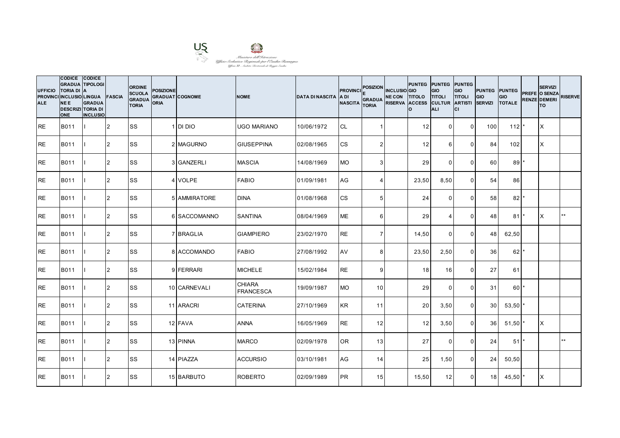

| <b>UFFICIO</b><br><b>ALE</b> | <b>CODICE</b><br><b>GRADUA TIPOLOGI</b><br><b>TORIA DI A</b><br>PROVINCI INCLUSIO LINGUA FASCIA<br>NEE.<br><b>DESCRIZI TORIA DI</b><br><b>ONE</b> | CODICE<br><b>GRADUA</b><br><b>INCLUSIO</b> |                | <b>ORDINE</b><br><b>SCUOLA</b><br><b>GRADUA</b><br><b>TORIA</b> | <b>POSIZIONE</b><br><b>ORIA</b> | <b>GRADUAT COGNOME</b> | <b>NOME</b>                       | <b>DATA DI NASCITA</b> | <b>PROVINCI</b><br><b>ADI</b><br><b>NASCITA</b> | <b>POSIZION</b><br><b>GRADUA</b><br><b>TORIA</b> | <b>INCLUSIO</b> GIO<br>NE CON TITOLO TITOLI<br>RISERVA ACCESS CULTUR ARTISTI | PUNTEG PUNTEG PUNTEG<br>I٥ | <b>GIO</b><br>ALI | GIO<br><b>TITOLI</b><br>lcı | <b>PUNTEG PUNTEG</b><br>GIO<br><b>SERVIZI</b> | GIO<br><b>TOTALE</b> | <b>SERVIZI</b><br>PREFE O SENZA<br><b>RENZE DEMERI</b><br>lTO. | <b>RISERVE</b> |
|------------------------------|---------------------------------------------------------------------------------------------------------------------------------------------------|--------------------------------------------|----------------|-----------------------------------------------------------------|---------------------------------|------------------------|-----------------------------------|------------------------|-------------------------------------------------|--------------------------------------------------|------------------------------------------------------------------------------|----------------------------|-------------------|-----------------------------|-----------------------------------------------|----------------------|----------------------------------------------------------------|----------------|
| <b>IRE</b>                   | B011                                                                                                                                              |                                            | $\overline{2}$ | SS                                                              |                                 | 1 DI DIO               | <b>UGO MARIANO</b>                | 10/06/1972             | <b>CL</b>                                       |                                                  |                                                                              | 12                         | $\mathbf 0$       | $\mathbf 0$                 | 100                                           | 112                  | ΙX                                                             |                |
| <b>IRE</b>                   | B011                                                                                                                                              |                                            | 2              | SS                                                              |                                 | 2 MAGURNO              | <b>GIUSEPPINA</b>                 | 02/08/1965             | <b>CS</b>                                       | $\overline{2}$                                   |                                                                              | 12                         | 6                 | $\mathbf 0$                 | 84                                            | 102                  | X                                                              |                |
| RE                           | B011                                                                                                                                              |                                            | $\overline{2}$ | SS                                                              |                                 | 3 GANZERLI             | <b>MASCIA</b>                     | 14/08/1969             | <b>MO</b>                                       | 3                                                |                                                                              | 29                         | $\Omega$          | $\mathbf 0$                 | 60                                            | 89                   |                                                                |                |
| RE                           | B011                                                                                                                                              |                                            | $\overline{2}$ | SS                                                              |                                 | 4 VOLPE                | <b>FABIO</b>                      | 01/09/1981             | AG                                              | $\boldsymbol{\Delta}$                            |                                                                              | 23,50                      | 8,50              | $\mathbf 0$                 | 54                                            | 86                   |                                                                |                |
| <b>RE</b>                    | B011                                                                                                                                              |                                            | $\mathfrak{p}$ | SS                                                              |                                 | 5 AMMIRATORE           | <b>DINA</b>                       | 01/08/1968             | <b>CS</b>                                       | 5                                                |                                                                              | 24                         | $\Omega$          | $\Omega$                    | 58                                            | 82                   |                                                                |                |
| RE                           | B011                                                                                                                                              |                                            | 2              | SS                                                              |                                 | 6 SACCOMANNO           | <b>SANTINA</b>                    | 08/04/1969             | <b>ME</b>                                       | 6                                                |                                                                              | 29                         | $\overline{4}$    | $\Omega$                    | 48                                            | 81                   | X                                                              | $**$           |
| RE                           | B011                                                                                                                                              |                                            | $\overline{2}$ | SS                                                              |                                 | 7 BRAGLIA              | <b>GIAMPIERO</b>                  | 23/02/1970             | <b>RE</b>                                       | $\overline{7}$                                   |                                                                              | 14,50                      | $\mathbf 0$       | $\mathbf 0$                 | 48                                            | 62,50                |                                                                |                |
| RE                           | B011                                                                                                                                              |                                            | 2              | SS                                                              |                                 | 8 ACCOMANDO            | <b>FABIO</b>                      | 27/08/1992             | AV                                              | 8                                                |                                                                              | 23,50                      | 2,50              | $\mathbf 0$                 | 36                                            | 62                   |                                                                |                |
| RE                           | B011                                                                                                                                              |                                            | $\overline{2}$ | SS                                                              |                                 | 9 FERRARI              | <b>MICHELE</b>                    | 15/02/1984             | <b>RE</b>                                       | 9                                                |                                                                              | 18                         | 16                | $\mathbf 0$                 | 27                                            | 61                   |                                                                |                |
| <b>RE</b>                    | B011                                                                                                                                              |                                            | $\overline{2}$ | <b>SS</b>                                                       |                                 | 10 CARNEVALI           | <b>CHIARA</b><br><b>FRANCESCA</b> | 19/09/1987             | <b>MO</b>                                       | 10 <sup>1</sup>                                  |                                                                              | 29                         | $\mathbf{0}$      | $\mathbf 0$                 | 31                                            | $60*$                |                                                                |                |
| RE                           | B011                                                                                                                                              |                                            | 2              | SS                                                              |                                 | 11 ARACRI              | <b>CATERINA</b>                   | 27/10/1969             | <b>KR</b>                                       | 11                                               |                                                                              | 20                         | 3,50              | $\mathbf 0$                 | 30                                            | 53,50                |                                                                |                |
| <b>RE</b>                    | B011                                                                                                                                              |                                            | $\overline{2}$ | <b>SS</b>                                                       |                                 | 12 FAVA                | <b>ANNA</b>                       | 16/05/1969             | <b>RE</b>                                       | 12                                               |                                                                              | 12                         | 3,50              | $\mathbf 0$                 | 36                                            | 51,50                | X                                                              |                |
| RE                           | B011                                                                                                                                              |                                            | $\overline{2}$ | SS                                                              |                                 | 13 PINNA               | <b>MARCO</b>                      | 02/09/1978             | <b>OR</b>                                       | 13                                               |                                                                              | 27                         | $\mathbf 0$       | $\mathbf 0$                 | 24                                            | $51$ <sup>*</sup>    |                                                                | $\star\star$   |
| <b>RE</b>                    | B011                                                                                                                                              |                                            | $\overline{2}$ | SS                                                              |                                 | 14 PIAZZA              | <b>ACCURSIO</b>                   | 03/10/1981             | AG                                              | 14                                               |                                                                              | 25                         | 1,50              | $\mathbf 0$                 | 24                                            | 50,50                |                                                                |                |
| <b>RE</b>                    | B011                                                                                                                                              |                                            | $\overline{2}$ | SS                                                              |                                 | 15 BARBUTO             | <b>ROBERTO</b>                    | 02/09/1989             | <b>PR</b>                                       | 15                                               |                                                                              | 15,50                      | 12                | $\mathbf 0$                 | 18 <sup>1</sup>                               | 45,50                | X                                                              |                |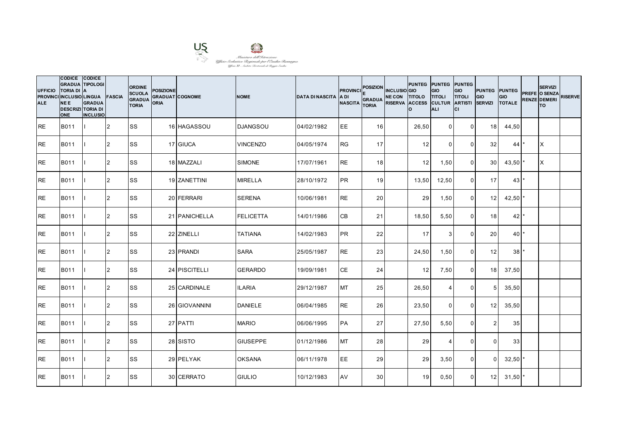

| <b>UFFICIO</b><br><b>ALE</b> | CODICE CODICE<br><b>GRADUA TIPOLOGI</b><br><b>TORIA DI A</b><br>PROVINCI INCLUSIO LINGUA FASCIA<br><b>NEE</b><br><b>DESCRIZI TORIA DI</b><br><b>ONE</b> | <b>GRADUA</b><br><b>INCLUSIO</b> |                | <b>ORDINE</b><br><b>SCUOLA</b><br><b>GRADUA</b><br><b>TORIA</b> | <b>POSIZIONE</b><br><b>ORIA</b> | <b>GRADUAT COGNOME</b> | <b>NOME</b>      | <b>DATA DI NASCITA</b> | <b>PROVINCI</b><br><b>ADI</b><br><b>NASCITA</b> | POSIZION INCLUSIO GIO<br>GRADUA NE CON TITOLO TITOLI<br><b>TORIA</b> | RISERVA ACCESS CULTUR ARTISTI | Ιo    | PUNTEG PUNTEG PUNTEG<br>GIO<br><b>ALI</b> | GIO<br><b>TITOLI</b><br>lcı | <b>PUNTEG</b> PUNTEG<br><b>GIO</b><br><b>SERVIZI</b> | <b>GIO</b><br><b>TOTALE</b> | <b>SERVIZI</b><br>PREFE O SENZA<br>RENZE DEMERI<br><b>TO</b> | <b>RISERVE</b> |
|------------------------------|---------------------------------------------------------------------------------------------------------------------------------------------------------|----------------------------------|----------------|-----------------------------------------------------------------|---------------------------------|------------------------|------------------|------------------------|-------------------------------------------------|----------------------------------------------------------------------|-------------------------------|-------|-------------------------------------------|-----------------------------|------------------------------------------------------|-----------------------------|--------------------------------------------------------------|----------------|
| <b>RE</b>                    | B011                                                                                                                                                    |                                  | <b>2</b>       | lss                                                             |                                 | 16 HAGASSOU            | <b>DJANGSOU</b>  | 04/02/1982             | EE                                              | 16                                                                   |                               | 26,50 | $\mathbf 0$                               | $\overline{0}$              | 18 <sup>1</sup>                                      | 44,50                       |                                                              |                |
| <b>RE</b>                    | B011                                                                                                                                                    |                                  | $\overline{2}$ | <b>SS</b>                                                       |                                 | 17 GIUCA               | <b>VINCENZO</b>  | 04/05/1974             | <b>RG</b>                                       | 17 <sup>1</sup>                                                      |                               | 12    | $\Omega$                                  | $\Omega$                    | 32                                                   | 44                          | ΙX                                                           |                |
| <b>RE</b>                    | B011                                                                                                                                                    |                                  | $\overline{2}$ | <b>SS</b>                                                       |                                 | 18 MAZZALI             | <b>SIMONE</b>    | 17/07/1961             | <b>RE</b>                                       | 18                                                                   |                               | 12    | 1,50                                      | $\mathbf 0$                 | 30 <sup>1</sup>                                      | 43,50                       | X                                                            |                |
| <b>RE</b>                    | B011                                                                                                                                                    |                                  | 2              | <b>SS</b>                                                       |                                 | 19 ZANETTINI           | <b>MIRELLA</b>   | 28/10/1972             | <b>PR</b>                                       | 19                                                                   |                               | 13,50 | 12,50                                     | $\overline{0}$              | 17                                                   | $43$ *                      |                                                              |                |
| <b>RE</b>                    | B011                                                                                                                                                    |                                  | 2              | <b>SS</b>                                                       |                                 | 20 FERRARI             | <b>SERENA</b>    | 10/06/1981             | <b>RE</b>                                       | 20 <sup>1</sup>                                                      |                               | 29    | 1,50                                      | $\Omega$                    | 12 <sup>1</sup>                                      | $42,50$ *                   |                                                              |                |
| <b>RE</b>                    | B011                                                                                                                                                    |                                  | $\overline{2}$ | <b>SS</b>                                                       |                                 | 21 PANICHELLA          | <b>FELICETTA</b> | 14/01/1986             | <b>CB</b>                                       | 21                                                                   |                               | 18,50 | 5,50                                      | $\mathbf{0}$                | 18                                                   | 42                          |                                                              |                |
| <b>RE</b>                    | B011                                                                                                                                                    |                                  | 2              | <b>SS</b>                                                       |                                 | 22 ZINELLI             | <b>TATIANA</b>   | 14/02/1983             | <b>PR</b>                                       | 22                                                                   |                               | 17    | $\mathbf{3}$                              | $\mathbf 0$                 | 20 <sub>l</sub>                                      | $40$ <sup>*</sup>           |                                                              |                |
| <b>RE</b>                    | B011                                                                                                                                                    |                                  | $\overline{2}$ | <b>SS</b>                                                       |                                 | 23 PRANDI              | <b>SARA</b>      | 25/05/1987             | <b>RE</b>                                       | 23                                                                   |                               | 24,50 | 1,50                                      | $\Omega$                    | 12                                                   | 38                          |                                                              |                |
| <b>RE</b>                    | B011                                                                                                                                                    |                                  | $\overline{2}$ | <b>SS</b>                                                       |                                 | 24 PISCITELLI          | <b>GERARDO</b>   | 19/09/1981             | <b>CE</b>                                       | 24                                                                   |                               | 12    | 7,50                                      | $\mathbf 0$                 | 18                                                   | 37,50                       |                                                              |                |
| <b>RE</b>                    | B011                                                                                                                                                    |                                  | 2              | <b>SS</b>                                                       |                                 | 25 CARDINALE           | <b>ILARIA</b>    | 29/12/1987             | <b>MT</b>                                       | 25                                                                   |                               | 26,50 | $\overline{4}$                            | $\mathbf 0$                 | 5 <sup>1</sup>                                       | 35,50                       |                                                              |                |
| <b>RE</b>                    | B011                                                                                                                                                    |                                  | 2              | <b>SS</b>                                                       |                                 | 26 GIOVANNINI          | <b>DANIELE</b>   | 06/04/1985             | <b>RE</b>                                       | 26                                                                   |                               | 23,50 | $\Omega$                                  | $\Omega$                    | 12                                                   | 35,50                       |                                                              |                |
| <b>RE</b>                    | B011                                                                                                                                                    |                                  | $\overline{2}$ | <b>SS</b>                                                       |                                 | 27 PATTI               | <b>MARIO</b>     | 06/06/1995             | <b>PA</b>                                       | 27                                                                   |                               | 27,50 | 5,50                                      | $\mathbf 0$                 | 2                                                    | 35                          |                                                              |                |
| <b>RE</b>                    | B011                                                                                                                                                    |                                  | 2              | <b>SS</b>                                                       |                                 | 28 SISTO               | <b>GIUSEPPE</b>  | 01/12/1986             | <b>MT</b>                                       | 28                                                                   |                               | 29    | $\overline{4}$                            | $\mathbf 0$                 | $\Omega$                                             | 33                          |                                                              |                |
| <b>RE</b>                    | B011                                                                                                                                                    |                                  | 2              | <b>SS</b>                                                       |                                 | 29 PELYAK              | <b>OKSANA</b>    | 06/11/1978             | EE                                              | 29                                                                   |                               | 29    | 3,50                                      | $\mathbf 0$                 | $\Omega$                                             | 32,50                       |                                                              |                |
| <b>RE</b>                    | B011                                                                                                                                                    |                                  | 2              | <b>SS</b>                                                       |                                 | 30 CERRATO             | <b>GIULIO</b>    | 10/12/1983             | AV                                              | 30 <sup>1</sup>                                                      |                               | 19    | 0,50                                      | $\mathbf{0}$                | 12 <sup>1</sup>                                      | $31,50$ *                   |                                                              |                |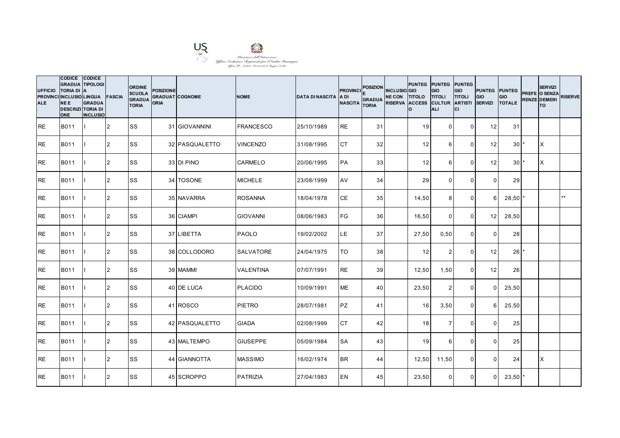

| <b>UFFICIO</b><br><b>ALE</b> | CODICE CODICE<br><b>GRADUA TIPOLOGI</b><br><b>TORIA DI</b><br>PROVINCI INCLUSIO LINGUA FASCIA<br><b>NEE</b><br><b>DESCRIZI TORIA DI</b><br><b>ONE</b> | <b>IA</b><br><b>GRADUA</b><br><b>INCLUSIO</b> |                | <b>ORDINE</b><br><b>SCUOLA</b><br><b>GRADUA</b><br><b>TORIA</b> | <b>POSIZIONE</b><br><b>GRADUAT COGNOME</b><br><b>ORIA</b> |                | <b>NOME</b>      | <b>DATA DI NASCITA</b> | <b>PROVINCI</b><br>IA DI<br><b>NASCITA</b> | <b>POSIZION</b><br><b>GRADUA</b><br><b>TORIA</b> | <b>INCLUSIO</b> GIO<br>NE CON TITOLO TITOLI<br>RISERVA ACCESS CULTUR ARTISTI | PUNTEG PUNTEG PUNTEG<br>Ιo | <b>GIO</b><br><b>ALI</b> | GIO<br><b>TITOLI</b><br>lcı | <b>PUNTEG PUNTEG</b><br>GIO<br><b>SERVIZI</b> | <b>GIO</b><br><b>TOTALE</b> | <b>SERVIZI</b><br>PREFE O SENZA<br><b>RENZE DEMERI</b><br>lTO. | <b>RISERVE</b> |
|------------------------------|-------------------------------------------------------------------------------------------------------------------------------------------------------|-----------------------------------------------|----------------|-----------------------------------------------------------------|-----------------------------------------------------------|----------------|------------------|------------------------|--------------------------------------------|--------------------------------------------------|------------------------------------------------------------------------------|----------------------------|--------------------------|-----------------------------|-----------------------------------------------|-----------------------------|----------------------------------------------------------------|----------------|
| IRE.                         | <b>B011</b>                                                                                                                                           |                                               | 12             | <b>SS</b>                                                       |                                                           | 31 GIOVANNINI  | <b>FRANCESCO</b> | 25/10/1989             | <b>RE</b>                                  | 31                                               |                                                                              | 19                         | $\Omega$                 | $\overline{0}$              | 12 <sup>1</sup>                               | 31                          |                                                                |                |
| <b>RE</b>                    | B011                                                                                                                                                  |                                               | 2              | <b>SS</b>                                                       |                                                           | 32 PASQUALETTO | <b>VINCENZO</b>  | 31/08/1995             | <b>CT</b>                                  | 32 <sub>l</sub>                                  |                                                                              | 12                         | 6                        | $\Omega$                    | 12 <sup>1</sup>                               | 30 <sup>1</sup>             | IX.                                                            |                |
| <b>RE</b>                    | B011                                                                                                                                                  |                                               | 2              | <b>SS</b>                                                       |                                                           | 33 DI PINO     | <b>CARMELO</b>   | 20/06/1995             | PA                                         | 33                                               |                                                                              | 12                         | 6                        | $\mathbf 0$                 | 12                                            | 30 <sup>°</sup>             | X                                                              |                |
| <b>RE</b>                    | B011                                                                                                                                                  |                                               | $\overline{2}$ | <b>SS</b>                                                       |                                                           | 34 TOSONE      | <b>MICHELE</b>   | 23/08/1999             | AV                                         | 34                                               |                                                                              | 29                         | $\overline{0}$           | $\mathbf 0$                 | $\overline{0}$                                | 29                          |                                                                |                |
| <b>RE</b>                    | B011                                                                                                                                                  |                                               | 2              | <b>SS</b>                                                       |                                                           | 35 NAVARRA     | <b>ROSANNA</b>   | 18/04/1978             | <b>CE</b>                                  | 35                                               |                                                                              | 14,50                      | 8                        | $\mathbf{0}$                | 6                                             | 28,50                       |                                                                | $***$          |
| <b>RE</b>                    | B011                                                                                                                                                  |                                               | $\overline{2}$ | SS                                                              |                                                           | 36 CIAMPI      | <b>GIOVANNI</b>  | 08/06/1983             | <b>FG</b>                                  | 36                                               |                                                                              | 16,50                      | $\Omega$                 | $\mathbf{0}$                | 12                                            | 28,50                       |                                                                |                |
| <b>RE</b>                    | B011                                                                                                                                                  |                                               | 2              | SS                                                              |                                                           | 37 LIBETTA     | <b>PAOLO</b>     | 19/02/2002             | LE                                         | 37                                               |                                                                              | 27,50                      | 0,50                     | $\overline{0}$              | $\Omega$                                      | 28                          |                                                                |                |
| <b>RE</b>                    | B011                                                                                                                                                  |                                               | 2              | <b>SS</b>                                                       |                                                           | 38 COLLODORO   | <b>SALVATORE</b> | 24/04/1975             | TO                                         | 38                                               |                                                                              | 12                         | $\overline{2}$           | $\mathbf{0}$                | 12                                            | 26                          |                                                                |                |
| <b>RE</b>                    | B011                                                                                                                                                  |                                               | 2              | SS                                                              |                                                           | 39 MAMMI       | <b>VALENTINA</b> | 07/07/1991             | <b>RE</b>                                  | 39                                               |                                                                              | 12,50                      | 1,50                     | $\mathbf 0$                 | 12                                            | 26                          |                                                                |                |
| <b>RE</b>                    | B011                                                                                                                                                  |                                               | 2              | <b>SS</b>                                                       |                                                           | 40 DE LUCA     | <b>PLACIDO</b>   | 10/09/1991             | <b>ME</b>                                  | 40                                               |                                                                              | 23,50                      | 2                        | $\mathbf 0$                 | $\Omega$                                      | 25,50                       |                                                                |                |
| RE                           | B011                                                                                                                                                  |                                               | 2              | SS                                                              |                                                           | 41 ROSCO       | PIETRO           | 28/07/1981             | <b>PZ</b>                                  | 41                                               |                                                                              | 16                         | 3,50                     | $\mathbf{0}$                | 6                                             | 25,50                       |                                                                |                |
| <b>RE</b>                    | <b>B011</b>                                                                                                                                           |                                               | $\overline{2}$ | <b>SS</b>                                                       |                                                           | 42 PASQUALETTO | <b>GIADA</b>     | 02/08/1999             | <b>CT</b>                                  | 42                                               |                                                                              | 18                         | $\overline{7}$           | $\mathbf{0}$                | $\Omega$                                      | 25                          |                                                                |                |
| <b>RE</b>                    | B011                                                                                                                                                  |                                               | 2              | <b>SS</b>                                                       |                                                           | 43 MALTEMPO    | <b>GIUSEPPE</b>  | 05/09/1984             | <b>SA</b>                                  | 43                                               |                                                                              | 19                         | $6\phantom{1}$           | $\mathbf 0$                 | $\overline{0}$                                | 25                          |                                                                |                |
| <b>RE</b>                    | B011                                                                                                                                                  |                                               | 2              | <b>SS</b>                                                       |                                                           | 44 GIANNOTTA   | <b>MASSIMO</b>   | 16/02/1974             | <b>BR</b>                                  | 44                                               |                                                                              | 12,50                      | 11,50                    | $\mathbf 0$                 | $\Omega$                                      | 24                          | X                                                              |                |
| <b>RE</b>                    | B011                                                                                                                                                  |                                               | 2              | <b>SS</b>                                                       |                                                           | 45 SCROPPO     | <b>PATRIZIA</b>  | 27/04/1983             | <b>IEN</b>                                 | 45                                               |                                                                              | 23,50                      | $\Omega$                 | $\mathbf{0}$                | $\Omega$                                      | $23,50$ $*$                 |                                                                |                |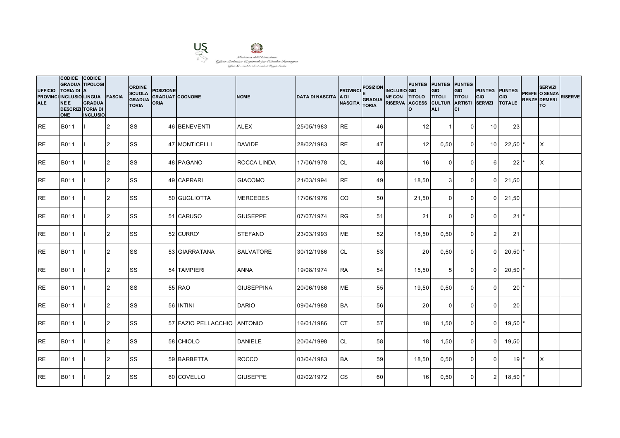

| <b>UFFICIO</b><br><b>ALE</b> | CODICE CODICE<br><b>GRADUA TIPOLOGI</b><br><b>TORIA DI</b><br>PROVINCI INCLUSIO LINGUA FASCIA<br><b>NEE</b><br><b>DESCRIZI TORIA DI</b><br><b>ONE</b> | <b>IA</b><br><b>GRADUA</b><br><b>INCLUSIO</b> |                | <b>ORDINE</b><br><b>SCUOLA</b><br><b>GRADUA</b><br><b>TORIA</b> | <b>POSIZIONE</b><br><b>GRADUAT COGNOME</b><br><b>ORIA</b> |                             | <b>NOME</b>        | <b>DATA DI NASCITA</b> | <b>PROVINCI</b><br>IA DI<br><b>NASCITA</b> | <b>POSIZION</b><br><b>GRADUA</b><br><b>TORIA</b> | <b>INCLUSIO</b> GIO<br>NE CON TITOLO TITOLI<br>RISERVA ACCESS CULTUR ARTISTI | Ιo    | PUNTEG PUNTEG PUNTEG<br><b>GIO</b><br><b>ALI</b> | GIO<br><b>TITOLI</b><br>lcı | <b>PUNTEG PUNTEG</b><br>GIO<br><b>SERVIZI</b> | <b>GIO</b><br><b>TOTALE</b> | <b>SERVIZI</b><br>PREFE O SENZA<br><b>RENZE DEMERI</b><br>lTO. | <b>RISERVE</b> |
|------------------------------|-------------------------------------------------------------------------------------------------------------------------------------------------------|-----------------------------------------------|----------------|-----------------------------------------------------------------|-----------------------------------------------------------|-----------------------------|--------------------|------------------------|--------------------------------------------|--------------------------------------------------|------------------------------------------------------------------------------|-------|--------------------------------------------------|-----------------------------|-----------------------------------------------|-----------------------------|----------------------------------------------------------------|----------------|
| IRE.                         | <b>B011</b>                                                                                                                                           |                                               | 12             | <b>SS</b>                                                       |                                                           | 46 BENEVENTI                | <b>ALEX</b>        | 25/05/1983             | <b>RE</b>                                  | 46                                               |                                                                              | 12    | -1                                               | $\overline{0}$              | 10 <sup>1</sup>                               | 23                          |                                                                |                |
| <b>RE</b>                    | B011                                                                                                                                                  |                                               | 2              | <b>SS</b>                                                       |                                                           | 47 MONTICELLI               | <b>DAVIDE</b>      | 28/02/1983             | <b>RE</b>                                  | 47                                               |                                                                              | 12    | 0,50                                             | $\Omega$                    | 10 <sup>1</sup>                               | $22,50$ *                   | IX.                                                            |                |
| <b>RE</b>                    | B011                                                                                                                                                  |                                               | 2              | <b>SS</b>                                                       |                                                           | 48 PAGANO                   | <b>ROCCA LINDA</b> | 17/06/1978             | <b>CL</b>                                  | 48                                               |                                                                              | 16    | $\Omega$                                         | $\mathbf 0$                 | 6                                             | 22                          | X                                                              |                |
| <b>RE</b>                    | B011                                                                                                                                                  |                                               | $\overline{2}$ | <b>SS</b>                                                       |                                                           | 49 CAPRARI                  | <b>GIACOMO</b>     | 21/03/1994             | <b>RE</b>                                  | 49                                               |                                                                              | 18,50 | 3 <sup>1</sup>                                   | $\mathbf 0$                 | $\Omega$                                      | 21,50                       |                                                                |                |
| <b>RE</b>                    | B011                                                                                                                                                  |                                               | 2              | <b>SS</b>                                                       |                                                           | 50 GUGLIOTTA                | <b>MERCEDES</b>    | 17/06/1976             | <b>CO</b>                                  | 50 <sup>1</sup>                                  |                                                                              | 21,50 | $\Omega$                                         | $\mathbf{0}$                | $\Omega$                                      | 21,50                       |                                                                |                |
| <b>RE</b>                    | B011                                                                                                                                                  |                                               | $\overline{2}$ | SS                                                              |                                                           | 51 CARUSO                   | <b>GIUSEPPE</b>    | 07/07/1974             | <b>RG</b>                                  | 51                                               |                                                                              | 21    | $\Omega$                                         | $\mathbf{0}$                | $\Omega$                                      | 21                          |                                                                |                |
| <b>RE</b>                    | B011                                                                                                                                                  |                                               | 2              | SS                                                              |                                                           | 52 CURRO'                   | <b>STEFANO</b>     | 23/03/1993             | <b>ME</b>                                  | 52                                               |                                                                              | 18,50 | 0,50                                             | $\overline{0}$              | 2 <sub>1</sub>                                | 21                          |                                                                |                |
| <b>RE</b>                    | B011                                                                                                                                                  |                                               | 2              | <b>SS</b>                                                       |                                                           | 53 GIARRATANA               | <b>SALVATORE</b>   | 30/12/1986             | <b>CL</b>                                  | 53                                               |                                                                              | 20    | 0,50                                             | $\Omega$                    | $\Omega$                                      | 20,50                       |                                                                |                |
| <b>RE</b>                    | B011                                                                                                                                                  |                                               | 2              | SS                                                              |                                                           | 54 TAMPIERI                 | <b>ANNA</b>        | 19/08/1974             | <b>RA</b>                                  | 54                                               |                                                                              | 15,50 | 5 <sup>5</sup>                                   | $\mathbf 0$                 | $\Omega$                                      | $20,50$ *                   |                                                                |                |
| <b>RE</b>                    | B011                                                                                                                                                  |                                               | 2              | <b>SS</b>                                                       |                                                           | 55 RAO                      | <b>GIUSEPPINA</b>  | 20/06/1986             | <b>ME</b>                                  | 55                                               |                                                                              | 19,50 | 0,50                                             | $\Omega$                    | $\Omega$                                      | $20*$                       |                                                                |                |
| RE                           | B011                                                                                                                                                  |                                               | 2              | SS                                                              |                                                           | 56 INTINI                   | <b>DARIO</b>       | 09/04/1988             | <b>BA</b>                                  | 56                                               |                                                                              | 20    | $\Omega$                                         | $\Omega$                    | $\Omega$                                      | 20                          |                                                                |                |
| <b>RE</b>                    | <b>B011</b>                                                                                                                                           |                                               | $\overline{2}$ | <b>SS</b>                                                       |                                                           | 57 FAZIO PELLACCHIO ANTONIO |                    | 16/01/1986             | <b>CT</b>                                  | 57                                               |                                                                              | 18    | 1,50                                             | $\mathbf 0$                 | $\Omega$                                      | 19,50                       |                                                                |                |
| <b>RE</b>                    | B011                                                                                                                                                  |                                               | 2              | <b>SS</b>                                                       |                                                           | 58 CHIOLO                   | <b>DANIELE</b>     | 20/04/1998             | <b>CL</b>                                  | 58                                               |                                                                              | 18    | 1,50                                             | $\overline{0}$              | $\overline{0}$                                | 19,50                       |                                                                |                |
| <b>RE</b>                    | B011                                                                                                                                                  |                                               | 2              | <b>SS</b>                                                       |                                                           | 59 BARBETTA                 | <b>ROCCO</b>       | 03/04/1983             | <b>BA</b>                                  | 59                                               |                                                                              | 18,50 | 0,50                                             | $\mathbf 0$                 | $\Omega$                                      | 19                          | ΙX                                                             |                |
| <b>RE</b>                    | B011                                                                                                                                                  |                                               | 2              | <b>SS</b>                                                       |                                                           | 60 COVELLO                  | <b>GIUSEPPE</b>    | 02/02/1972             | <b>CS</b>                                  | 60                                               |                                                                              | 16    | 0,50                                             | $\mathbf{0}$                | 2 <sup>1</sup>                                | $18,50$ $*$                 |                                                                |                |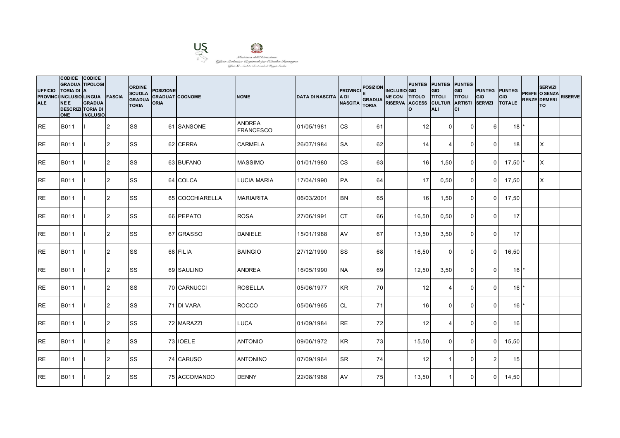

| <b>UFFICIO</b><br><b>ALE</b> | CODICE CODICE<br><b>GRADUA TIPOLOGI</b><br><b>TORIA DI</b><br>PROVINCI INCLUSIO LINGUA FASCIA<br><b>NEE</b><br><b>DESCRIZI TORIA DI</b><br><b>ONE</b> | <b>IA</b><br><b>GRADUA</b><br><b>INCLUSIO</b> |                | <b>ORDINE</b><br><b>SCUOLA</b><br><b>GRADUA</b><br><b>TORIA</b> | <b>POSIZIONE</b><br><b>GRADUAT COGNOME</b><br>ORIA |                 | <b>NOME</b>                       | <b>DATA DI NASCITA</b> | <b>PROVINCI</b><br>IA DI<br><b>NASCITA</b> | <b>POSIZION</b><br><b>GRADUA</b><br><b>TORIA</b> | <b>INCLUSIO</b> GIO<br>NE CON TITOLO TITOLI<br>RISERVA ACCESS CULTUR ARTISTI | Ιo    | PUNTEG PUNTEG PUNTEG<br><b>GIO</b><br><b>ALI</b> | GIO<br><b>TITOLI</b><br>Iсı | <b>PUNTEG PUNTEG</b><br>GIO<br><b>SERVIZI</b> | <b>GIO</b><br><b>TOTALE</b> | <b>SERVIZI</b><br>PREFE O SENZA<br><b>RENZE DEMERI</b><br>lTO. | <b>RISERVE</b> |
|------------------------------|-------------------------------------------------------------------------------------------------------------------------------------------------------|-----------------------------------------------|----------------|-----------------------------------------------------------------|----------------------------------------------------|-----------------|-----------------------------------|------------------------|--------------------------------------------|--------------------------------------------------|------------------------------------------------------------------------------|-------|--------------------------------------------------|-----------------------------|-----------------------------------------------|-----------------------------|----------------------------------------------------------------|----------------|
| IRE.                         | <b>B011</b>                                                                                                                                           |                                               | 12             | <b>SS</b>                                                       |                                                    | 61 SANSONE      | <b>ANDREA</b><br><b>FRANCESCO</b> | 01/05/1981             | <b>CS</b>                                  | 61                                               |                                                                              | 12    | $\Omega$                                         | $\Omega$                    | 6                                             | $18$ <sup>*</sup>           |                                                                |                |
| <b>RE</b>                    | B011                                                                                                                                                  |                                               | 2              | <b>SS</b>                                                       |                                                    | 62 CERRA        | <b>CARMELA</b>                    | 26/07/1984             | <b>SA</b>                                  | 62                                               |                                                                              | 14    | $\boldsymbol{\Delta}$                            | $\mathbf{0}$                | $\Omega$                                      | 18                          | X                                                              |                |
| RE                           | B011                                                                                                                                                  |                                               | 2              | <b>SS</b>                                                       |                                                    | 63 BUFANO       | <b>MASSIMO</b>                    | 01/01/1980             | <b>CS</b>                                  | 63                                               |                                                                              | 16    | 1,50                                             | $\mathbf 0$                 | $\Omega$                                      | 17,50                       | X                                                              |                |
| <b>RE</b>                    | B011                                                                                                                                                  |                                               | 2              | <b>SS</b>                                                       |                                                    | 64 COLCA        | <b>LUCIA MARIA</b>                | 17/04/1990             | PA                                         | 64                                               |                                                                              | 17    | 0,50                                             | $\mathbf 0$                 | $\overline{0}$                                | 17,50                       | ΙX                                                             |                |
| <b>RE</b>                    | B011                                                                                                                                                  |                                               | $\overline{2}$ | <b>SS</b>                                                       |                                                    | 65 COCCHIARELLA | <b>MARIARITA</b>                  | 06/03/2001             | <b>BN</b>                                  | 65                                               |                                                                              | 16    | 1,50                                             | $\mathbf 0$                 | $\overline{0}$                                | 17,50                       |                                                                |                |
| <b>RE</b>                    | B011                                                                                                                                                  |                                               | 2              | <b>SS</b>                                                       |                                                    | 66 PEPATO       | <b>ROSA</b>                       | 27/06/1991             | <b>CT</b>                                  | 66                                               |                                                                              | 16,50 | 0,50                                             | $\mathbf 0$                 | $\Omega$                                      | 17                          |                                                                |                |
| <b>RE</b>                    | B011                                                                                                                                                  |                                               | 2              | <b>SS</b>                                                       |                                                    | 67 GRASSO       | <b>DANIELE</b>                    | 15/01/1988             | AV                                         | 67                                               |                                                                              | 13,50 | 3,50                                             | $\overline{0}$              | $\overline{0}$                                | 17                          |                                                                |                |
| <b>RE</b>                    | B011                                                                                                                                                  |                                               | $\overline{2}$ | <b>SS</b>                                                       |                                                    | 68 FILIA        | <b>BAINGIO</b>                    | 27/12/1990             | <b>SS</b>                                  | 68                                               |                                                                              | 16,50 | $\Omega$                                         | $\mathbf{0}$                | $\Omega$                                      | 16,50                       |                                                                |                |
| <b>I</b> RE                  | B011                                                                                                                                                  |                                               | $\overline{2}$ | <b>SS</b>                                                       |                                                    | 69 SAULINO      | <b>ANDREA</b>                     | 16/05/1990             | <b>NA</b>                                  | 69                                               |                                                                              | 12,50 | 3,50                                             | $\mathbf{0}$                | $\Omega$                                      | 16                          |                                                                |                |
| IRE.                         | B011                                                                                                                                                  |                                               | 2              | <b>SS</b>                                                       |                                                    | 70 CARNUCCI     | <b>ROSELLA</b>                    | 05/06/1977             | <b>KR</b>                                  | 70                                               |                                                                              | 12    | $\overline{4}$                                   | $\mathbf 0$                 | $\Omega$                                      | $16$ <sup>*</sup>           |                                                                |                |
| <b>RE</b>                    | B011                                                                                                                                                  |                                               | 2              | <b>SS</b>                                                       |                                                    | 71 DI VARA      | <b>ROCCO</b>                      | 05/06/1965             | <b>CL</b>                                  | 71                                               |                                                                              | 16    | $\Omega$                                         | $\mathbf{0}$                | $\Omega$                                      | 16                          |                                                                |                |
| <b>RE</b>                    | B011                                                                                                                                                  |                                               | 2              | <b>SS</b>                                                       |                                                    | 72 MARAZZI      | <b>LUCA</b>                       | 01/09/1984             | <b>RE</b>                                  | 72                                               |                                                                              | 12    | $\boldsymbol{\Delta}$                            | $\mathbf{0}$                | $\Omega$                                      | 16                          |                                                                |                |
| <b>RE</b>                    | B011                                                                                                                                                  |                                               | 2              | SS                                                              |                                                    | 73 IOELE        | <b>ANTONIO</b>                    | 09/06/1972             | <b>KR</b>                                  | 73                                               |                                                                              | 15,50 | $\mathbf 0$                                      | $\mathbf 0$                 | $\overline{0}$                                | 15,50                       |                                                                |                |
| <b>RE</b>                    | B011                                                                                                                                                  |                                               | 2              | <b>SS</b>                                                       |                                                    | 74 CARUSO       | <b>ANTONINO</b>                   | 07/09/1964             | <b>SR</b>                                  | 74                                               |                                                                              | 12    | -1                                               | $\mathbf 0$                 | 2 <sub>1</sub>                                | 15                          |                                                                |                |
| <b>RE</b>                    | B011                                                                                                                                                  |                                               | 2              | SS                                                              |                                                    | 75 ACCOMANDO    | <b>DENNY</b>                      | 22/08/1988             | AV                                         | 75                                               |                                                                              | 13,50 | $\overline{1}$                                   | $\mathbf{0}$                | $\Omega$                                      | 14,50                       |                                                                |                |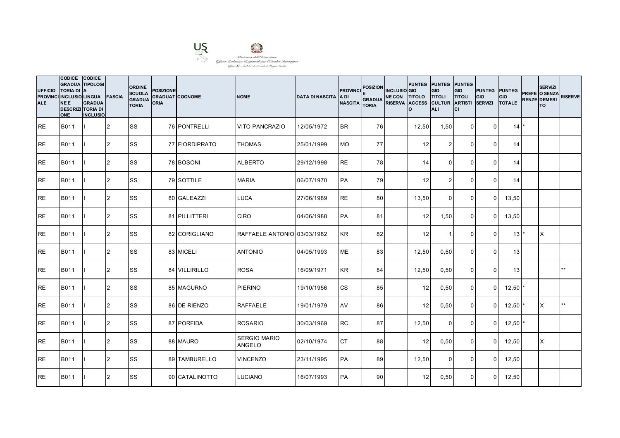

| <b>UFFICIO</b><br><b>ALE</b> | <b>CODICE</b><br><b>GRADUA TIPOLOGI</b><br><b>TORIA DI</b><br>PROVINCI INCLUSIO LINGUA<br><b>NEE</b><br><b>DESCRIZI TORIA DI</b><br><b>ONE</b> | <b>CODICE</b><br>ΙA<br><b>GRADUA</b><br><b>INCLUSIO</b> | <b>FASCIA</b>  | <b>ORDINE</b><br><b>SCUOLA</b><br><b>GRADUA</b><br><b>TORIA</b> | <b>POSIZIONE</b><br><b>GRADUAT COGNOME</b><br><b>ORIA</b> |                | <b>NOME</b>                          | <b>DATA DI NASCITA</b> | <b>PROVINCI</b><br>IA DI<br><b>NASCITA</b> | <b>POSIZION</b><br><b>GRADUA</b><br><b>TORIA</b> | <b>INCLUSIO GIO</b><br>NE CON TITOLO TITOLI<br>RISERVA ACCESS CULTUR ARTISTI | Ιo    | <b>PUNTEG PUNTEG PUNTEG</b><br><b>GIO</b><br><b>ALI</b> | GIO<br><b>TITOLI</b><br>lcı | <b>PUNTEG PUNTEG</b><br>GIO<br><b>SERVIZI</b> | <b>GIO</b><br><b>TOTALE</b>   | <b>SERVIZI</b><br>PREFE O SENZA<br><b>RENZE DEMERI</b><br>lTO. | <b>RISERVE</b> |
|------------------------------|------------------------------------------------------------------------------------------------------------------------------------------------|---------------------------------------------------------|----------------|-----------------------------------------------------------------|-----------------------------------------------------------|----------------|--------------------------------------|------------------------|--------------------------------------------|--------------------------------------------------|------------------------------------------------------------------------------|-------|---------------------------------------------------------|-----------------------------|-----------------------------------------------|-------------------------------|----------------------------------------------------------------|----------------|
| IRE.                         | <b>B011</b>                                                                                                                                    |                                                         | 12             | <b>SS</b>                                                       |                                                           | 76 PONTRELLI   | <b>VITO PANCRAZIO</b>                | 12/05/1972             | <b>IBR</b>                                 | 76                                               |                                                                              | 12,50 | 1,50                                                    | $\overline{0}$              | $\Omega$                                      | 14                            |                                                                |                |
| <b>RE</b>                    | B011                                                                                                                                           |                                                         | <b>2</b>       | SS                                                              |                                                           | 77 FIORDIPRATO | <b>THOMAS</b>                        | 25/01/1999             | <b>MO</b>                                  | 77 I                                             |                                                                              | 12    | $\overline{2}$                                          | $\Omega$                    | $\Omega$                                      | 14                            |                                                                |                |
| <b>RE</b>                    | B011                                                                                                                                           |                                                         | 2              | <b>SS</b>                                                       |                                                           | 78 BOSONI      | <b>ALBERTO</b>                       | 29/12/1998             | <b>RE</b>                                  | 78                                               |                                                                              | 14    | $\Omega$                                                | $\mathbf 0$                 | $\Omega$                                      | 14                            |                                                                |                |
| IRE.                         | B011                                                                                                                                           |                                                         | 2              | <b>SS</b>                                                       |                                                           | 79 SOTTILE     | <b>MARIA</b>                         | 06/07/1970             | <b>PA</b>                                  | 79                                               |                                                                              | 12    | $\overline{2}$                                          | $\mathbf{0}$                | $\Omega$                                      | 14                            |                                                                |                |
| <b>RE</b>                    | B011                                                                                                                                           |                                                         | $\overline{2}$ | <b>SS</b>                                                       |                                                           | 80 GALEAZZI    | LUCA                                 | 27/06/1989             | <b>RE</b>                                  | 80                                               |                                                                              | 13,50 | $\Omega$                                                | $\mathbf{0}$                | $\Omega$                                      | 13,50                         |                                                                |                |
| <b>RE</b>                    | B011                                                                                                                                           |                                                         | 2              | SS                                                              |                                                           | 81 PILLITTERI  | <b>CIRO</b>                          | 04/06/1988             | PA                                         | 81                                               |                                                                              | 12    | 1,50                                                    | $\mathbf 0$                 | $\Omega$                                      | 13,50                         |                                                                |                |
| <b>RE</b>                    | B011                                                                                                                                           |                                                         | 2              | <b>SS</b>                                                       |                                                           | 82 CORIGLIANO  | RAFFAELE ANTONIO 03/03/1982          |                        | <b>KR</b>                                  | 82                                               |                                                                              | 12    | $\overline{1}$                                          | $\mathbf 0$                 | $\overline{0}$                                | $13$ $\overline{\phantom{a}}$ | IX.                                                            |                |
| <b>RE</b>                    | B011                                                                                                                                           |                                                         | 2              | <b>SS</b>                                                       |                                                           | 83 MICELI      | <b>ANTONIO</b>                       | 04/05/1993             | <b>ME</b>                                  | 83                                               |                                                                              | 12,50 | 0,50                                                    | $\Omega$                    | $\Omega$                                      | 13                            |                                                                |                |
| <b>RE</b>                    | B011                                                                                                                                           |                                                         | 2              | <b>SS</b>                                                       |                                                           | 84 VILLIRILLO  | <b>ROSA</b>                          | 16/09/1971             | <b>KR</b>                                  | 84                                               |                                                                              | 12,50 | 0,50                                                    | $\mathbf 0$                 | $\Omega$                                      | 13                            |                                                                | $***$          |
| <b>RE</b>                    | B011                                                                                                                                           |                                                         | $\overline{2}$ | <b>SS</b>                                                       |                                                           | 85 MAGURNO     | <b>PIERINO</b>                       | 19/10/1956             | <b>CS</b>                                  | 85                                               |                                                                              | 12    | 0,50                                                    | $\overline{0}$              | $\overline{0}$                                | $12,50$ $^{\circ}$            |                                                                |                |
| <b>IRE</b>                   | B011                                                                                                                                           |                                                         | 2              | <b>SS</b>                                                       |                                                           | 86 DE RIENZO   | <b>RAFFAELE</b>                      | 19/01/1979             | AV                                         | 86                                               |                                                                              | 12    | 0,50                                                    | $\Omega$                    | $\Omega$                                      | 12,50                         | X                                                              | $***$          |
| <b>I</b> RE                  | <b>B011</b>                                                                                                                                    |                                                         | $\overline{2}$ | <b>SS</b>                                                       |                                                           | 87 PORFIDA     | <b>ROSARIO</b>                       | 30/03/1969             | <b>RC</b>                                  | 87                                               |                                                                              | 12,50 | $\Omega$                                                | $\mathbf 0$                 | $\Omega$                                      | $12,50$ $^{\circ}$            |                                                                |                |
| <b>RE</b>                    | B011                                                                                                                                           |                                                         | 2              | <b>SS</b>                                                       |                                                           | 88 MAURO       | <b>SERGIO MARIO</b><br><b>ANGELO</b> | 02/10/1974             | <b>CT</b>                                  | 88                                               |                                                                              | 12    | 0,50                                                    | $\overline{0}$              | $\overline{0}$                                | 12,50                         | ΙX                                                             |                |
| <b>RE</b>                    | B011                                                                                                                                           |                                                         | 2              | <b>SS</b>                                                       |                                                           | 89 TAMBURELLO  | <b>VINCENZO</b>                      | 23/11/1995             | PA                                         | 89                                               |                                                                              | 12,50 | $\Omega$                                                | 0                           | $\overline{0}$                                | 12,50                         |                                                                |                |
| <b>IRE</b>                   | B011                                                                                                                                           |                                                         | 2              | <b>SS</b>                                                       |                                                           | 90 CATALINOTTO | <b>LUCIANO</b>                       | 16/07/1993             | <b>IPA</b>                                 | 90 <sup>°</sup>                                  |                                                                              | 12    | 0,50                                                    | $\Omega$                    | $\Omega$                                      | 12,50                         |                                                                |                |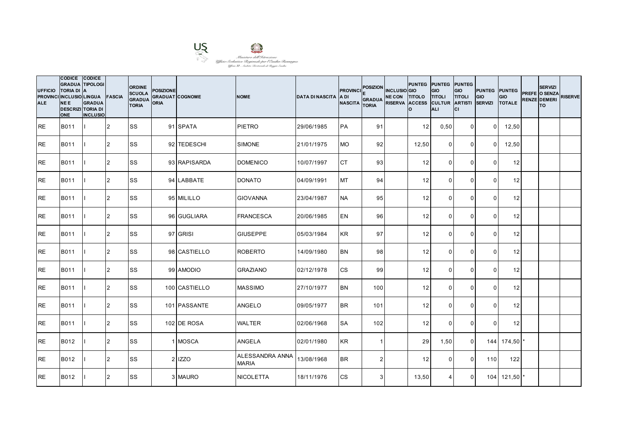

| <b>UFFICIO</b><br><b>ALE</b> | CODICE CODICE<br><b>GRADUA TIPOLOGI</b><br>TORIA DI A<br>PROVINCI INCLUSIO LINGUA FASCIA<br><b>NEE</b><br><b>DESCRIZI TORIA DI</b><br><b>ONE</b> | <b>GRADUA</b><br><b>INCLUSIO</b> |                | <b>ORDINE</b><br><b>SCUOLA</b><br><b>GRADUA</b><br><b>TORIA</b> | <b>POSIZIONE</b><br><b>GRADUAT COGNOME</b><br>ORIA |               | <b>NOME</b>                     | <b>DATA DI NASCITA</b> | <b>PROVINCI</b><br>IA DI<br><b>NASCITA</b> | <b>POSIZION</b><br><b>GRADUA</b><br><b>TORIA</b> | <b>INCLUSIO</b> GIO<br>NE CON TITOLO TITOLI<br>RISERVA ACCESS CULTUR ARTISTI | PUNTEG PUNTEG PUNTEG<br>Ιo | GIO<br><b>ALI</b> | GIO<br><b>TITOLI</b><br>lcı | <b>PUNTEG PUNTEG</b><br>GIO<br><b>SERVIZI</b> | <b>GIO</b><br><b>TOTALE</b> | <b>SERVIZI</b><br>PREFE O SENZA<br><b>RENZE DEMERI</b><br>lTO. | <b>RISERVE</b> |
|------------------------------|--------------------------------------------------------------------------------------------------------------------------------------------------|----------------------------------|----------------|-----------------------------------------------------------------|----------------------------------------------------|---------------|---------------------------------|------------------------|--------------------------------------------|--------------------------------------------------|------------------------------------------------------------------------------|----------------------------|-------------------|-----------------------------|-----------------------------------------------|-----------------------------|----------------------------------------------------------------|----------------|
| IRE.                         | <b>B011</b>                                                                                                                                      |                                  | 12             | <b>SS</b>                                                       |                                                    | 91 SPATA      | PIETRO                          | 29/06/1985             | <b>PA</b>                                  | 91                                               |                                                                              | 12                         | 0,50              | $\Omega$                    | $\overline{0}$                                | 12,50                       |                                                                |                |
| <b>RE</b>                    | B011                                                                                                                                             |                                  | 2              | <b>SS</b>                                                       |                                                    | 92 TEDESCHI   | <b>SIMONE</b>                   | 21/01/1975             | <b>MO</b>                                  | 92                                               |                                                                              | 12,50                      | $\Omega$          | $\Omega$                    | $\overline{0}$                                | 12,50                       |                                                                |                |
| <b>RE</b>                    | B011                                                                                                                                             |                                  | 2              | <b>SS</b>                                                       |                                                    | 93 RAPISARDA  | <b>DOMENICO</b>                 | 10/07/1997             | <b>CT</b>                                  | 93                                               |                                                                              | 12                         | $\Omega$          | $\mathbf{0}$                | $\Omega$                                      | 12                          |                                                                |                |
| <b>RE</b>                    | B011                                                                                                                                             |                                  | $\overline{2}$ | <b>SS</b>                                                       |                                                    | 94 LABBATE    | <b>DONATO</b>                   | 04/09/1991             | <b>MT</b>                                  | 94                                               |                                                                              | 12                         | $\overline{0}$    | $\mathbf 0$                 | $\overline{0}$                                | 12                          |                                                                |                |
| <b>IRE</b>                   | B011                                                                                                                                             |                                  | 2              | <b>SS</b>                                                       |                                                    | 95 MILILLO    | <b>GIOVANNA</b>                 | 23/04/1987             | <b>NA</b>                                  | 95                                               |                                                                              | 12                         | $\Omega$          | $\Omega$                    | $\Omega$                                      | 12                          |                                                                |                |
| RE                           | B011                                                                                                                                             |                                  | 2              | SS                                                              |                                                    | 96 GUGLIARA   | <b>FRANCESCA</b>                | 20/06/1985             | EN                                         | 96                                               |                                                                              | 12                         | $\Omega$          | $\mathbf{0}$                | $\Omega$                                      | 12                          |                                                                |                |
| <b>RE</b>                    | B011                                                                                                                                             |                                  | 2              | SS                                                              |                                                    | 97 GRISI      | <b>GIUSEPPE</b>                 | 05/03/1984             | <b>KR</b>                                  | 97                                               |                                                                              | 12                         | $\overline{0}$    | $\mathbf 0$                 | $\Omega$                                      | 12                          |                                                                |                |
| <b>RE</b>                    | B011                                                                                                                                             |                                  | 2              | <b>SS</b>                                                       |                                                    | 98 CASTIELLO  | <b>ROBERTO</b>                  | 14/09/1980             | <b>BN</b>                                  | 98                                               |                                                                              | 12                         | $\Omega$          | $\mathbf{0}$                | $\Omega$                                      | 12                          |                                                                |                |
| <b>RE</b>                    | B011                                                                                                                                             |                                  | 2              | SS                                                              |                                                    | 99 AMODIO     | <b>GRAZIANO</b>                 | 02/12/1978             | <b>CS</b>                                  | 99                                               |                                                                              | 12                         | $\Omega$          | $\mathbf 0$                 | $\Omega$                                      | 12                          |                                                                |                |
| <b>IRE</b>                   | B011                                                                                                                                             |                                  | 2              | <b>SS</b>                                                       |                                                    | 100 CASTIELLO | <b>MASSIMO</b>                  | 27/10/1977             | <b>BN</b>                                  | 100                                              |                                                                              | 12                         | $\Omega$          | $\mathbf{0}$                | $\Omega$                                      | 12                          |                                                                |                |
| RE                           | B011                                                                                                                                             |                                  | 2              | SS                                                              |                                                    | 101 PASSANTE  | <b>ANGELO</b>                   | 09/05/1977             | <b>BR</b>                                  | 101                                              |                                                                              | 12                         | $\Omega$          | $\Omega$                    | $\Omega$                                      | 12                          |                                                                |                |
| <b>RE</b>                    | <b>B011</b>                                                                                                                                      |                                  | 2              | <b>SS</b>                                                       |                                                    | 102 DE ROSA   | <b>WALTER</b>                   | 02/06/1968             | <b>SA</b>                                  | 102                                              |                                                                              | 12                         | $\Omega$          | $\mathbf 0$                 | $\Omega$                                      | 12                          |                                                                |                |
| <b>IRE</b>                   | B012                                                                                                                                             |                                  | 2              | <b>SS</b>                                                       |                                                    | 1 MOSCA       | <b>ANGELA</b>                   | 02/01/1980             | <b>KR</b>                                  | 1                                                |                                                                              | 29                         | 1,50              | $\overline{0}$              |                                               | 144 174,50 *                |                                                                |                |
| <b>RE</b>                    | B012                                                                                                                                             |                                  | 2              | <b>SS</b>                                                       |                                                    | 2 IZZO        | ALESSANDRA ANNA<br><b>MARIA</b> | 13/08/1968             | <b>BR</b>                                  | 2 <sub>l</sub>                                   |                                                                              | 12                         | $\Omega$          | $\mathbf 0$                 | 110                                           | 122                         |                                                                |                |
| <b>RE</b>                    | B012                                                                                                                                             |                                  | 2              | <b>SS</b>                                                       |                                                    | 3 MAURO       | <b>NICOLETTA</b>                | 18/11/1976             | <b>CS</b>                                  | 3 <sup>1</sup>                                   |                                                                              | 13,50                      | 4                 | $\mathbf{0}$                |                                               | 104 121,50 *                |                                                                |                |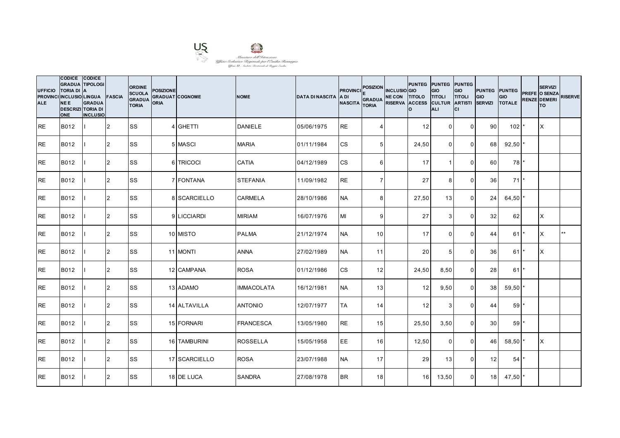

| <b>UFFICIO</b><br><b>ALE</b> | CODICE CODICE<br><b>GRADUA TIPOLOGI</b><br><b>TORIA DI A</b><br>PROVINCI INCLUSIO LINGUA<br><b>NEE</b><br><b>DESCRIZI TORIA DI</b><br><b>ONE</b> | <b>GRADUA</b><br><b>INCLUSIO</b> | FASCIA         | <b>ORDINE</b><br><b>SCUOLA</b><br><b>GRADUA</b><br>TORIA | <b>POSIZIONE</b><br><b>ORIA</b> | <b>GRADUAT COGNOME</b> | <b>NOME</b>       | <b>DATA DI NASCITA</b> | <b>PROVINCI</b><br><b>ADI</b><br><b>NASCITA</b> | POSIZION INCLUSIO GIO<br><b>GRADUA</b><br><b>TORIA</b> | NE CON TITOLO TITOLI<br>RISERVA ACCESS CULTUR ARTISTI | Ιo              | PUNTEG PUNTEG PUNTEG<br>GIO<br><b>ALI</b> | GIO<br><b>TITOLI</b><br>lcı | <b>PUNTEG PUNTEG</b><br>GIO<br><b>SERVIZI</b> | GIO<br><b>TOTALE</b> | <b>SERVIZI</b><br>PREFE O SENZA<br><b>RENZE DEMERI</b><br><b>TO</b> | <b>RISERVE</b> |
|------------------------------|--------------------------------------------------------------------------------------------------------------------------------------------------|----------------------------------|----------------|----------------------------------------------------------|---------------------------------|------------------------|-------------------|------------------------|-------------------------------------------------|--------------------------------------------------------|-------------------------------------------------------|-----------------|-------------------------------------------|-----------------------------|-----------------------------------------------|----------------------|---------------------------------------------------------------------|----------------|
| <b>RE</b>                    | B012                                                                                                                                             |                                  | <b>2</b>       | lss                                                      |                                 | 4 GHETTI               | <b>DANIELE</b>    | 05/06/1975             | <b>RE</b>                                       | 4                                                      |                                                       | 12              | $\overline{0}$                            | $\mathbf 0$                 | 90 <sub>1</sub>                               | 102 <sub>1</sub>     | ΙX                                                                  |                |
| <b>RE</b>                    | B012                                                                                                                                             |                                  | $\overline{2}$ | <b>SS</b>                                                |                                 | 5 MASCI                | <b>MARIA</b>      | 01/11/1984             | <b>CS</b>                                       | 5 <sub>l</sub>                                         |                                                       | 24,50           | $\Omega$                                  | $\mathbf 0$                 | 68                                            | $92,50$ *            |                                                                     |                |
| <b>RE</b>                    | B012                                                                                                                                             |                                  | $\overline{2}$ | <b>SS</b>                                                |                                 | 6 TRICOCI              | <b>CATIA</b>      | 04/12/1989             | <b>CS</b>                                       | $6 \mid$                                               |                                                       | 17              | $\overline{\mathbf{1}}$                   | $\mathbf 0$                 | 60                                            | 78                   |                                                                     |                |
| <b>RE</b>                    | B012                                                                                                                                             |                                  | 2              | <b>SS</b>                                                |                                 | 7 FONTANA              | <b>STEFANIA</b>   | 11/09/1982             | <b>RE</b>                                       | $\overline{7}$                                         |                                                       | 27              | 8                                         | $\mathbf 0$                 | 36                                            | $71$ <sup>*</sup>    |                                                                     |                |
| <b>RE</b>                    | B012                                                                                                                                             |                                  | 2              | <b>SS</b>                                                |                                 | 8 SCARCIELLO           | <b>CARMELA</b>    | 28/10/1986             | <b>NA</b>                                       | 8 <sup>1</sup>                                         |                                                       | 27,50           | 13                                        | $\mathbf{0}$                | 24                                            | 64,50                |                                                                     |                |
| <b>RE</b>                    | B012                                                                                                                                             |                                  | $\overline{2}$ | <b>SS</b>                                                |                                 | 9 LICCIARDI            | <b>MIRIAM</b>     | 16/07/1976             | MI                                              | 9 <sub>l</sub>                                         |                                                       | 27              | 3                                         | $\mathbf 0$                 | 32                                            | 62                   | X                                                                   |                |
| <b>RE</b>                    | B012                                                                                                                                             |                                  | 2              | <b>SS</b>                                                |                                 | 10 MISTO               | <b>PALMA</b>      | 21/12/1974             | <b>NA</b>                                       | 10 <sup>1</sup>                                        |                                                       | 17              | $\mathbf 0$                               | $\mathbf 0$                 | 44                                            | $61$ <sup>*</sup>    | X                                                                   | $**$           |
| <b>RE</b>                    | B012                                                                                                                                             |                                  | $\overline{2}$ | <b>SS</b>                                                |                                 | 11 MONTI               | <b>ANNA</b>       | 27/02/1989             | <b>NA</b>                                       | 11                                                     |                                                       | 20              | 5                                         | $\mathbf{0}$                | 36                                            | 611                  | X                                                                   |                |
| <b>RE</b>                    | B012                                                                                                                                             |                                  | $\overline{2}$ | <b>SS</b>                                                |                                 | 12 CAMPANA             | <b>ROSA</b>       | 01/12/1986             | <b>CS</b>                                       | 12                                                     |                                                       | 24,50           | 8,50                                      | $\mathbf 0$                 | 28                                            | $61*$                |                                                                     |                |
| <b>RE</b>                    | B012                                                                                                                                             |                                  | 2              | <b>SS</b>                                                |                                 | 13 ADAMO               | <b>IMMACOLATA</b> | 16/12/1981             | <b>NA</b>                                       | 13                                                     |                                                       | 12              | 9,50                                      | $\overline{0}$              | 38 <sup>1</sup>                               | $59,50$ *            |                                                                     |                |
| <b>RE</b>                    | B012                                                                                                                                             |                                  | $\overline{2}$ | SS                                                       |                                 | 14 ALTAVILLA           | <b>ANTONIO</b>    | 12/07/1977             | <b>TA</b>                                       | 14                                                     |                                                       | 12              | 3                                         | $\Omega$                    | 44                                            | 59                   |                                                                     |                |
| <b>RE</b>                    | B012                                                                                                                                             |                                  | $\overline{2}$ | <b>SS</b>                                                |                                 | 15 FORNARI             | <b>FRANCESCA</b>  | 13/05/1980             | <b>RE</b>                                       | 15                                                     |                                                       | 25,50           | 3,50                                      | $\mathbf 0$                 | 30                                            | 59'                  |                                                                     |                |
| <b>RE</b>                    | B012                                                                                                                                             |                                  | 2              | <b>SS</b>                                                |                                 | 16 TAMBURINI           | <b>ROSSELLA</b>   | 15/05/1958             | EE                                              | 16                                                     |                                                       | 12,50           | $\mathbf 0$                               | $\mathbf 0$                 | 46                                            | $58,50$ *            | ΙX                                                                  |                |
| <b>RE</b>                    | B012                                                                                                                                             |                                  | 2              | <b>SS</b>                                                |                                 | 17 SCARCIELLO          | <b>ROSA</b>       | 23/07/1988             | <b>NA</b>                                       | 17                                                     |                                                       | 29              | 13                                        | $\mathbf 0$                 | 12                                            | 54                   |                                                                     |                |
| <b>RE</b>                    | B012                                                                                                                                             |                                  | 2              | <b>SS</b>                                                |                                 | 18 DE LUCA             | <b>SANDRA</b>     | 27/08/1978             | <b>BR</b>                                       | 18                                                     |                                                       | 16 <sup>1</sup> | 13,50                                     | $\mathbf{0}$                | 18 <sup>l</sup>                               | 47,50                |                                                                     |                |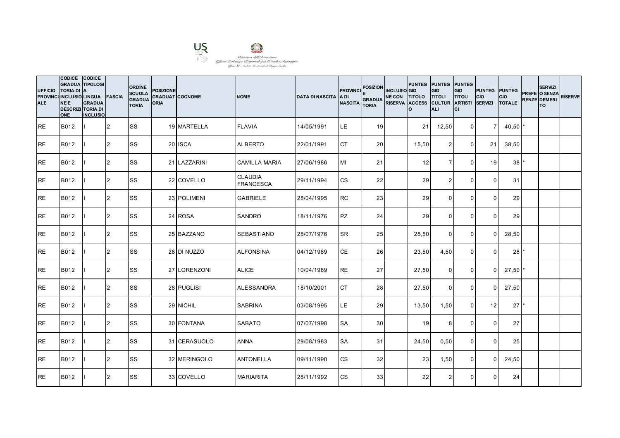

| <b>UFFICIO</b><br><b>ALE</b> | CODICE CODICE<br><b>GRADUA TIPOLOGI</b><br><b>TORIA DI A</b><br>PROVINCI INCLUSIO LINGUA<br><b>NEE</b><br><b>DESCRIZI TORIA DI</b><br><b>ONE</b> | <b>GRADUA</b><br><b>INCLUSIO</b> | <b>FASCIA</b>  | <b>ORDINE</b><br><b>SCUOLA</b><br><b>GRADUA</b><br>TORIA | <b>POSIZIONE</b><br><b>GRADUAT COGNOME</b><br><b>ORIA</b> |              | <b>NOME</b>                        | DATA DI NASCITA LA DI | <b>PROVINCI</b><br><b>NASCITA</b> | <b>POSIZION</b><br>GRADUA NE CON TITOLO<br><b>TORIA</b> | <b>INCLUSIO</b> GIO<br>RISERVA ACCESS CULTUR ARTISTI | lo    | PUNTEG PUNTEG PUNTEG<br><b>GIO</b><br><b>TITOLI</b><br><b>ALI</b> | GIO<br><b>TITOLI</b><br>Iсı | PUNTEG PUNTEG<br>GIO<br><b>SERVIZI</b> | GIO<br><b>TOTALE</b> | <b>SERVIZI</b><br>PREFE O SENZA<br><b>RENZE DEMERI</b><br><b>TO</b> | <b>RISERVE</b> |
|------------------------------|--------------------------------------------------------------------------------------------------------------------------------------------------|----------------------------------|----------------|----------------------------------------------------------|-----------------------------------------------------------|--------------|------------------------------------|-----------------------|-----------------------------------|---------------------------------------------------------|------------------------------------------------------|-------|-------------------------------------------------------------------|-----------------------------|----------------------------------------|----------------------|---------------------------------------------------------------------|----------------|
| <b>RE</b>                    | B012                                                                                                                                             |                                  | 2              | <b>SS</b>                                                |                                                           | 19 MARTELLA  | <b>FLAVIA</b>                      | 14/05/1991            | LE.                               | 19                                                      |                                                      | 21    | 12,50                                                             | $\Omega$                    | 7 <sup>1</sup>                         | 40,50                |                                                                     |                |
| <b>RE</b>                    | B012                                                                                                                                             |                                  | 2              | <b>SS</b>                                                |                                                           | 20 ISCA      | <b>ALBERTO</b>                     | 22/01/1991            | <b>CT</b>                         | 20 <sup>1</sup>                                         |                                                      | 15,50 | 2                                                                 | $\Omega$                    | 21                                     | 38,50                |                                                                     |                |
| <b>RE</b>                    | B012                                                                                                                                             |                                  | $\overline{2}$ | <b>SS</b>                                                |                                                           | 21 LAZZARINI | CAMILLA MARIA                      | 27/06/1986            | MI                                | 21                                                      |                                                      | 12    | $\overline{7}$                                                    | $\Omega$                    | 19                                     | 38 <sup>1</sup>      |                                                                     |                |
| <b>RE</b>                    | B012                                                                                                                                             |                                  | 2              | <b>SS</b>                                                |                                                           | 22 COVELLO   | <b>CLAUDIA</b><br><b>FRANCESCA</b> | 29/11/1994            | <b>CS</b>                         | 22                                                      |                                                      | 29    | $\overline{2}$                                                    | $\mathbf 0$                 | $\Omega$                               | 31                   |                                                                     |                |
| <b>RE</b>                    | B012                                                                                                                                             |                                  | $\overline{2}$ | <b>SS</b>                                                |                                                           | 23 POLIMENI  | <b>GABRIELE</b>                    | 28/04/1995            | <b>RC</b>                         | 23                                                      |                                                      | 29    | $\Omega$                                                          | $\Omega$                    | $\Omega$                               | 29                   |                                                                     |                |
| <b>RE</b>                    | B012                                                                                                                                             |                                  | 2              | <b>SS</b>                                                |                                                           | 24 ROSA      | <b>SANDRO</b>                      | 18/11/1976            | PZ                                | 24                                                      |                                                      | 29    | $\Omega$                                                          | $\Omega$                    | $\Omega$                               | 29                   |                                                                     |                |
| <b>RE</b>                    | B012                                                                                                                                             |                                  | 2              | <b>SS</b>                                                |                                                           | 25 BAZZANO   | <b>SEBASTIANO</b>                  | 28/07/1976            | <b>SR</b>                         | 25                                                      |                                                      | 28,50 | $\overline{0}$                                                    | $\mathbf{0}$                | $\Omega$                               | 28,50                |                                                                     |                |
| <b>RE</b>                    | B012                                                                                                                                             |                                  | 2              | <b>SS</b>                                                |                                                           | 26 DI NUZZO  | <b>ALFONSINA</b>                   | 04/12/1989            | <b>CE</b>                         | 26                                                      |                                                      | 23,50 | 4,50                                                              | $\Omega$                    | $\Omega$                               | 28                   |                                                                     |                |
| <b>RE</b>                    | B012                                                                                                                                             |                                  | $\overline{2}$ | <b>SS</b>                                                |                                                           | 27 LORENZONI | <b>ALICE</b>                       | 10/04/1989            | <b>RE</b>                         | 27                                                      |                                                      | 27,50 | $\mathbf 0$                                                       | 0                           | $\Omega$                               | $27,50$ *            |                                                                     |                |
| <b>RE</b>                    | B012                                                                                                                                             |                                  | 2              | <b>SS</b>                                                |                                                           | 28 PUGLISI   | <b>ALESSANDRA</b>                  | 18/10/2001            | <b>CT</b>                         | 28                                                      |                                                      | 27,50 | $\Omega$                                                          | $\mathbf{0}$                | $\Omega$                               | 27,50                |                                                                     |                |
| <b>RE</b>                    | B012                                                                                                                                             |                                  | $\overline{2}$ | <b>SS</b>                                                |                                                           | 29 NICHIL    | <b>SABRINA</b>                     | 03/08/1995            | LE.                               | 29                                                      |                                                      | 13,50 | 1,50                                                              | $\Omega$                    | 12                                     | 27 <sup>1</sup>      |                                                                     |                |
| <b>RE</b>                    | B012                                                                                                                                             |                                  | 2              | <b>SS</b>                                                |                                                           | 30 FONTANA   | <b>SABATO</b>                      | 07/07/1998            | <b>SA</b>                         | 30 <sup>1</sup>                                         |                                                      | 19    | 8                                                                 | $\Omega$                    | $\Omega$                               | 27                   |                                                                     |                |
| <b>RE</b>                    | B012                                                                                                                                             |                                  | 2              | <b>SS</b>                                                |                                                           | 31 CERASUOLO | <b>ANNA</b>                        | 29/08/1983            | <b>SA</b>                         | 31                                                      |                                                      | 24,50 | 0,50                                                              | $\mathbf 0$                 | $\overline{0}$                         | 25                   |                                                                     |                |
| <b>RE</b>                    | B012                                                                                                                                             |                                  | 2              | <b>SS</b>                                                |                                                           | 32 MERINGOLO | <b>ANTONELLA</b>                   | 09/11/1990            | <b>CS</b>                         | 32                                                      |                                                      | 23    | 1,50                                                              | $\Omega$                    | $\Omega$                               | 24,50                |                                                                     |                |
| <b>RE</b>                    | B012                                                                                                                                             |                                  | 2              | <b>SS</b>                                                |                                                           | 33 COVELLO   | <b>MARIARITA</b>                   | 28/11/1992            | <b>CS</b>                         | 33                                                      |                                                      | 22    | $\overline{2}$                                                    | $\mathbf{0}$                | $\Omega$                               | 24                   |                                                                     |                |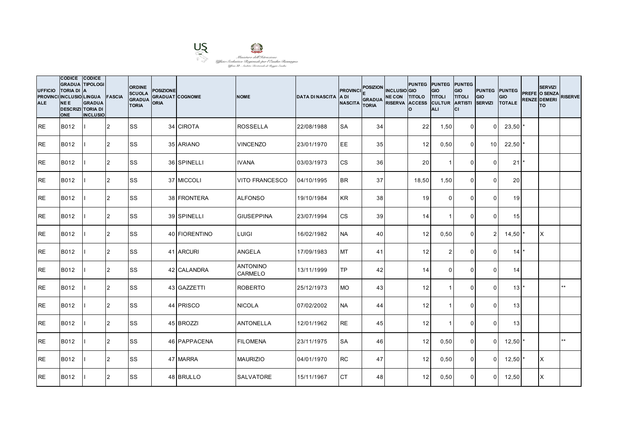

| <b>UFFICIO</b><br><b>ALE</b> | CODICE CODICE<br><b>GRADUA TIPOLOGI</b><br><b>TORIA DI A</b><br>PROVINCI INCLUSIO LINGUA<br><b>NEE</b><br><b>DESCRIZI TORIA DI</b><br><b>ONE</b> | <b>GRADUA</b><br><b>INCLUSIO</b> | <b>FASCIA</b>  | <b>ORDINE</b><br><b>SCUOLA</b><br><b>GRADUA</b><br>TORIA | <b>POSIZIONE</b><br><b>GRADUAT COGNOME</b><br><b>ORIA</b> |                    | <b>NOME</b>                       | <b>DATA DI NASCITA</b> | <b>PROVINCI</b><br><b>ADI</b><br><b>NASCITA</b> | <b>POSIZION</b><br><b>GRADUA</b><br><b>TORIA</b> | <b>INCLUSIO</b> GIO<br>NE CON TITOLO TITOLI<br>RISERVA ACCESS CULTUR ARTISTI | PUNTEG PUNTEG PUNTEG<br>I٥. | <b>GIO</b><br>ALI       | GIO<br><b>TITOLI</b><br>lcı | <b>PUNTEG PUNTEG</b><br><b>GIO</b><br><b>SERVIZI</b> | <b>GIO</b><br><b>TOTALE</b> | <b>SERVIZI</b><br>PREFE O SENZA<br><b>RENZE DEMERI</b><br>lTO. | <b>RISERVE</b> |
|------------------------------|--------------------------------------------------------------------------------------------------------------------------------------------------|----------------------------------|----------------|----------------------------------------------------------|-----------------------------------------------------------|--------------------|-----------------------------------|------------------------|-------------------------------------------------|--------------------------------------------------|------------------------------------------------------------------------------|-----------------------------|-------------------------|-----------------------------|------------------------------------------------------|-----------------------------|----------------------------------------------------------------|----------------|
| <b>RE</b>                    | B012                                                                                                                                             |                                  | 2              | <b>SS</b>                                                |                                                           | 34 CIROTA          | <b>ROSSELLA</b>                   | 22/08/1988             | <b>SA</b>                                       | 34                                               |                                                                              | 22                          | 1,50                    | $\overline{0}$              | $\Omega$                                             | 23,50                       |                                                                |                |
| <b>RE</b>                    | B012                                                                                                                                             |                                  | $\overline{2}$ | <b>SS</b>                                                |                                                           | 35 ARIANO          | <b>VINCENZO</b>                   | 23/01/1970             | EE                                              | 35                                               |                                                                              | 12                          | 0,50                    | $\mathbf 0$                 | 10 <sup>1</sup>                                      | $22,50$ *                   |                                                                |                |
| <b>RE</b>                    | B012                                                                                                                                             |                                  | $\overline{2}$ | <b>SS</b>                                                |                                                           | 36 SPINELLI        | <b>IVANA</b>                      | 03/03/1973             | <b>CS</b>                                       | 36                                               |                                                                              | 20                          | $\overline{1}$          | $\mathbf 0$                 | $\Omega$                                             | 21                          |                                                                |                |
| <b>RE</b>                    | B012                                                                                                                                             |                                  | $\overline{2}$ | lss                                                      |                                                           | 37 MICCOLI         | <b>VITO FRANCESCO</b>             | 04/10/1995             | <b>BR</b>                                       | 37                                               |                                                                              | 18,50                       | 1,50                    | $\mathbf 0$                 | $\Omega$                                             | 20                          |                                                                |                |
| <b>RE</b>                    | B012                                                                                                                                             |                                  | $\overline{2}$ | <b>SS</b>                                                |                                                           | <b>38 FRONTERA</b> | <b>ALFONSO</b>                    | 19/10/1984             | <b>KR</b>                                       | 38 <sup>l</sup>                                  |                                                                              | 19                          | $\Omega$                | $\mathbf{0}$                | $\Omega$                                             | 19                          |                                                                |                |
| <b>RE</b>                    | B012                                                                                                                                             |                                  | 2              | <b>SS</b>                                                |                                                           | 39 SPINELLI        | <b>GIUSEPPINA</b>                 | 23/07/1994             | <b>CS</b>                                       | 39                                               |                                                                              | 14                          | -1                      | $\mathbf 0$                 | $\Omega$                                             | 15                          |                                                                |                |
| <b>RE</b>                    | B012                                                                                                                                             |                                  | 2              | <b>SS</b>                                                |                                                           | 40 FIORENTINO      | <b>LUIGI</b>                      | 16/02/1982             | <b>NA</b>                                       | 40                                               |                                                                              | 12                          | 0,50                    | $\mathbf 0$                 | 2 <sub>l</sub>                                       | 14,50                       | IX.                                                            |                |
| <b>RE</b>                    | B012                                                                                                                                             |                                  | 2              | <b>SS</b>                                                |                                                           | 41 ARCURI          | <b>ANGELA</b>                     | 17/09/1983             | <b>MT</b>                                       | 41                                               |                                                                              | 12                          | $\overline{2}$          | $\Omega$                    | $\Omega$                                             | 14                          |                                                                |                |
| <b>RE</b>                    | B012                                                                                                                                             |                                  | 2              | <b>SS</b>                                                |                                                           | 42 CALANDRA        | <b>ANTONINO</b><br><b>CARMELO</b> | 13/11/1999             | <b>TP</b>                                       | 42                                               |                                                                              | 14                          | $\mathbf{0}$            | $\Omega$                    | $\Omega$                                             | 14                          |                                                                |                |
| <b>RE</b>                    | B012                                                                                                                                             |                                  | 2              | <b>SS</b>                                                |                                                           | 43 GAZZETTI        | <b>ROBERTO</b>                    | 25/12/1973             | <b>MO</b>                                       | 43                                               |                                                                              | 12                          | $\mathbf{1}$            | $\mathbf 0$                 | $\Omega$                                             | $13$ $*$                    |                                                                | $***$          |
| <b>RE</b>                    | B012                                                                                                                                             |                                  | 2              | <b>SS</b>                                                |                                                           | 44 PRISCO          | <b>NICOLA</b>                     | 07/02/2002             | <b>NA</b>                                       | 44                                               |                                                                              | 12                          |                         | $\Omega$                    | $\Omega$                                             | 13                          |                                                                |                |
| <b>RE</b>                    | B012                                                                                                                                             |                                  | 2              | <b>SS</b>                                                |                                                           | 45 BROZZI          | <b>ANTONELLA</b>                  | 12/01/1962             | <b>RE</b>                                       | 45                                               |                                                                              | 12                          | $\overline{\mathbf{1}}$ | $\mathbf{0}$                | $\Omega$                                             | 13                          |                                                                |                |
| <b>RE</b>                    | B012                                                                                                                                             |                                  | 2              | <b>SS</b>                                                |                                                           | 46 PAPPACENA       | <b>FILOMENA</b>                   | 23/11/1975             | <b>SA</b>                                       | 46                                               |                                                                              | 12                          | 0,50                    | $\mathbf 0$                 | $\overline{0}$                                       | $12,50$ $*$                 |                                                                | $***$          |
| <b>RE</b>                    | B012                                                                                                                                             |                                  | 2              | <b>SS</b>                                                |                                                           | 47 MARRA           | <b>MAURIZIO</b>                   | 04/01/1970             | <b>RC</b>                                       | 47                                               |                                                                              | 12                          | 0,50                    | $\mathbf 0$                 | $\Omega$                                             | 12,50                       | ΙX                                                             |                |
| <b>RE</b>                    | B012                                                                                                                                             |                                  | $\overline{2}$ | <b>SS</b>                                                |                                                           | 48 BRULLO          | <b>SALVATORE</b>                  | 15/11/1967             | <b>CT</b>                                       | 48                                               |                                                                              | 12                          | 0,50                    | $\mathbf 0$                 | $\Omega$                                             | 12,50                       | X                                                              |                |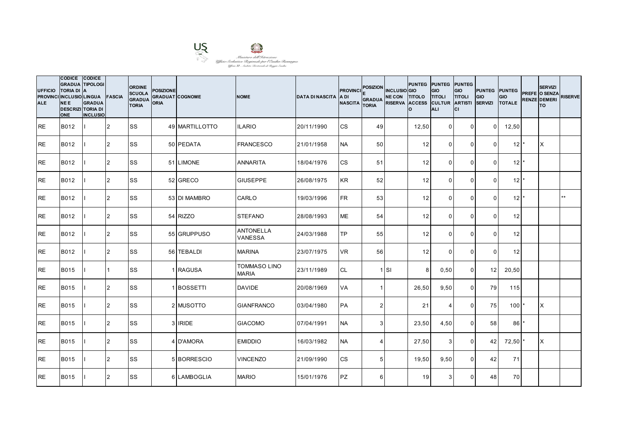

| <b>UFFICIO</b><br><b>ALE</b> | CODICE CODICE<br><b>GRADUA TIPOLOGI</b><br><b>TORIA DI A</b><br>PROVINCI INCLUSIO LINGUA<br><b>NEE</b><br><b>DESCRIZI TORIA DI</b><br><b>ONE</b> | <b>GRADUA</b><br><b>INCLUSIO</b> | <b>FASCIA</b>  | <b>ORDINE</b><br><b>SCUOLA</b><br><b>GRADUA</b><br><b>TORIA</b> | <b>POSIZIONE</b><br><b>ORIA</b> | <b>GRADUAT COGNOME</b> | <b>NOME</b>                         | <b>DATA DI NASCITA</b> | <b>PROVINCI</b><br><b>ADI</b><br><b>NASCITA</b> | <b>POSIZION</b><br><b>GRADUA</b><br><b>TORIA</b> | <b>INCLUSIO</b> GIO | PUNTEG PUNTEG PUNTEG<br>NE CON TITOLO TITOLI<br>RISERVA ACCESS CULTUR ARTISTI<br>I٥. | <b>GIO</b><br>ALI | GIO<br><b>TITOLI</b><br>lcı | <b>PUNTEG PUNTEG</b><br><b>GIO</b><br><b>SERVIZI</b> | <b>GIO</b><br><b>TOTALE</b>   | <b>SERVIZI</b><br>PREFE O SENZA<br><b>RENZE DEMERI</b><br>lTO. | <b>RISERVE</b> |
|------------------------------|--------------------------------------------------------------------------------------------------------------------------------------------------|----------------------------------|----------------|-----------------------------------------------------------------|---------------------------------|------------------------|-------------------------------------|------------------------|-------------------------------------------------|--------------------------------------------------|---------------------|--------------------------------------------------------------------------------------|-------------------|-----------------------------|------------------------------------------------------|-------------------------------|----------------------------------------------------------------|----------------|
| <b>RE</b>                    | B012                                                                                                                                             |                                  | 2              | <b>SS</b>                                                       |                                 | 49 MARTILLOTTO         | <b>ILARIO</b>                       | 20/11/1990             | <b>CS</b>                                       | 49                                               |                     | 12,50                                                                                | $\mathbf 0$       | $\mathbf 0$                 | $\Omega$                                             | 12,50                         |                                                                |                |
| <b>RE</b>                    | B012                                                                                                                                             |                                  | $\overline{2}$ | <b>SS</b>                                                       |                                 | 50 PEDATA              | <b>FRANCESCO</b>                    | 21/01/1958             | <b>NA</b>                                       | 50 <sup>1</sup>                                  |                     | 12                                                                                   | $\Omega$          | $\Omega$                    | $\Omega$                                             | 12 <sup>1</sup>               | ΙX                                                             |                |
| <b>RE</b>                    | B012                                                                                                                                             |                                  | $\overline{2}$ | <b>SS</b>                                                       |                                 | 51 LIMONE              | <b>ANNARITA</b>                     | 18/04/1976             | <b>CS</b>                                       | 51                                               |                     | 12                                                                                   | $\mathbf{0}$      | $\mathbf 0$                 | $\Omega$                                             | $12$ $\overline{\phantom{a}}$ |                                                                |                |
| <b>RE</b>                    | B012                                                                                                                                             |                                  | $\overline{2}$ | lss                                                             |                                 | 52 GRECO               | <b>GIUSEPPE</b>                     | 26/08/1975             | <b>KR</b>                                       | 52                                               |                     | 12                                                                                   | $\Omega$          | $\mathbf{0}$                | $\mathbf{0}$                                         | $12$ <sup>*</sup>             |                                                                |                |
| <b>RE</b>                    | B012                                                                                                                                             |                                  | $\overline{2}$ | <b>SS</b>                                                       |                                 | 53 DI MAMBRO           | <b>CARLO</b>                        | 19/03/1996             | <b>FR</b>                                       | 53                                               |                     | 12                                                                                   | $\Omega$          | $\Omega$                    | $\Omega$                                             | $12^{\star}$                  |                                                                | $**$           |
| <b>RE</b>                    | B012                                                                                                                                             |                                  | $\overline{2}$ | <b>SS</b>                                                       |                                 | 54 RIZZO               | <b>STEFANO</b>                      | 28/08/1993             | <b>ME</b>                                       | 54                                               |                     | 12                                                                                   | $\Omega$          | $\mathbf 0$                 | $\Omega$                                             | 12                            |                                                                |                |
| <b>RE</b>                    | B012                                                                                                                                             |                                  | 2              | <b>SS</b>                                                       |                                 | 55 GRUPPUSO            | <b>ANTONELLA</b><br><b>VANESSA</b>  | 24/03/1988             | <b>TP</b>                                       | 55                                               |                     | 12                                                                                   | $\mathbf 0$       | $\mathbf 0$                 | $\overline{0}$                                       | 12                            |                                                                |                |
| <b>RE</b>                    | B012                                                                                                                                             |                                  | 2              | <b>SS</b>                                                       |                                 | 56 TEBALDI             | <b>MARINA</b>                       | 23/07/1975             | <b>VR</b>                                       | 56                                               |                     | 12                                                                                   | $\Omega$          | $\Omega$                    | $\Omega$                                             | 12                            |                                                                |                |
| <b>RE</b>                    | <b>B015</b>                                                                                                                                      |                                  |                | <b>SS</b>                                                       |                                 | 1 RAGUSA               | <b>TOMMASO LINO</b><br><b>MARIA</b> | 23/11/1989             | <b>CL</b>                                       |                                                  | $1$ SI              | 8                                                                                    | 0,50              | $\mathbf 0$                 | 12                                                   | 20,50                         |                                                                |                |
| <b>RE</b>                    | B015                                                                                                                                             |                                  | 2              | <b>SS</b>                                                       |                                 | 1 BOSSETTI             | <b>DAVIDE</b>                       | 20/08/1969             | VA                                              | $\mathbf{1}$                                     |                     | 26,50                                                                                | 9,50              | $\overline{0}$              | 79                                                   | 115                           |                                                                |                |
| <b>RE</b>                    | B015                                                                                                                                             |                                  | $\overline{2}$ | <b>SS</b>                                                       |                                 | 2 MUSOTTO              | <b>GIANFRANCO</b>                   | 03/04/1980             | <b>PA</b>                                       | 2 <sub>1</sub>                                   |                     | 21                                                                                   | 4                 | $\Omega$                    | 75                                                   | 100                           | X                                                              |                |
| <b>RE</b>                    | <b>B015</b>                                                                                                                                      |                                  | 2              | <b>SS</b>                                                       |                                 | 3 IRIDE                | <b>GIACOMO</b>                      | 07/04/1991             | <b>NA</b>                                       | 3 <sup>1</sup>                                   |                     | 23,50                                                                                | 4,50              | $\mathbf 0$                 | 58                                                   | 86                            |                                                                |                |
| <b>RE</b>                    | <b>B015</b>                                                                                                                                      |                                  | 2              | <b>SS</b>                                                       |                                 | 4 D'AMORA              | <b>EMIDDIO</b>                      | 16/03/1982             | <b>NA</b>                                       | 4                                                |                     | 27,50                                                                                | $\mathbf{3}$      | $\mathbf 0$                 | 42                                                   | 72,50                         | IX.                                                            |                |
| <b>RE</b>                    | B015                                                                                                                                             |                                  | 2              | <b>SS</b>                                                       |                                 | 5 BORRESCIO            | <b>VINCENZO</b>                     | 21/09/1990             | <b>CS</b>                                       | 5 <sub>l</sub>                                   |                     | 19,50                                                                                | 9,50              | $\mathbf 0$                 | 42                                                   | 71                            |                                                                |                |
| <b>RE</b>                    | <b>B015</b>                                                                                                                                      |                                  | $\overline{2}$ | <b>SS</b>                                                       |                                 | 6 LAMBOGLIA            | <b>MARIO</b>                        | 15/01/1976             | <b>PZ</b>                                       | $6 \mid$                                         |                     | 19                                                                                   | 3                 | $\Omega$                    | 48                                                   | 70                            |                                                                |                |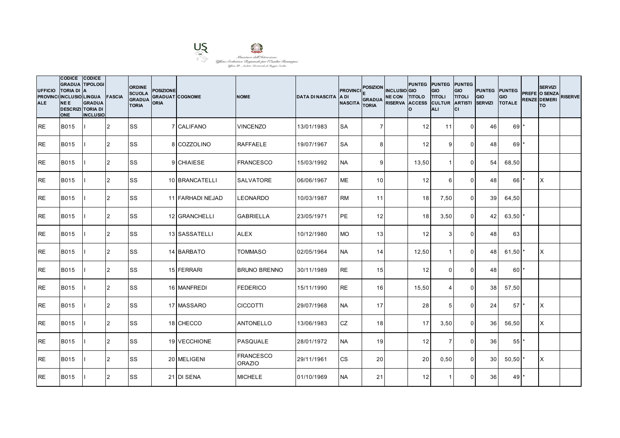

| <b>UFFICIO</b><br><b>ALE</b> | CODICE CODICE<br><b>GRADUA TIPOLOGI</b><br><b>TORIA DI A</b><br>PROVINCI INCLUSIO LINGUA<br><b>NEE</b><br><b>DESCRIZI TORIA DI</b><br><b>ONE</b> | <b>GRADUA</b><br><b>INCLUSIO</b> | <b>FASCIA</b>  | <b>ORDINE</b><br><b>SCUOLA</b><br><b>GRADUA</b><br><b>TORIA</b> | <b>POSIZIONE</b><br>ORIA | <b>GRADUAT COGNOME</b> | <b>NOME</b>                       | <b>DATA DI NASCITA</b> | <b>PROVINCI</b><br>IA DI<br><b>NASCITA</b> | <b>POSIZION</b><br><b>GRADUA</b><br><b>TORIA</b> | <b>INCLUSIO</b> GIO<br>NE CON TITOLO TITOLI<br>RISERVA ACCESS CULTUR ARTISTI | PUNTEG PUNTEG PUNTEG<br>I٥. | <b>GIO</b><br>ALI       | GIO<br><b>TITOLI</b><br>lcı | <b>PUNTEG PUNTEG</b><br><b>GIO</b><br><b>SERVIZI</b> | <b>GIO</b><br><b>TOTALE</b> | <b>SERVIZI</b><br>PREFE O SENZA<br><b>RENZE DEMERI</b><br>lTO. | <b>RISERVE</b> |
|------------------------------|--------------------------------------------------------------------------------------------------------------------------------------------------|----------------------------------|----------------|-----------------------------------------------------------------|--------------------------|------------------------|-----------------------------------|------------------------|--------------------------------------------|--------------------------------------------------|------------------------------------------------------------------------------|-----------------------------|-------------------------|-----------------------------|------------------------------------------------------|-----------------------------|----------------------------------------------------------------|----------------|
| <b>RE</b>                    | <b>B015</b>                                                                                                                                      |                                  | 2              | lss                                                             |                          | 7 CALIFANO             | <b>VINCENZO</b>                   | 13/01/1983             | <b>SA</b>                                  | $\overline{7}$                                   |                                                                              | 12                          | 11                      | $\overline{0}$              | 46                                                   | $69$ <sup>*</sup>           |                                                                |                |
| <b>RE</b>                    | B015                                                                                                                                             |                                  | $\overline{2}$ | <b>SS</b>                                                       |                          | 8 COZZOLINO            | <b>RAFFAELE</b>                   | 19/07/1967             | <b>SA</b>                                  | 8                                                |                                                                              | 12                          | 9                       | $\Omega$                    | 48                                                   | $69$ <sup>*</sup>           |                                                                |                |
| <b>RE</b>                    | <b>B015</b>                                                                                                                                      |                                  | $\overline{2}$ | <b>SS</b>                                                       |                          | 9 CHIAIESE             | <b>FRANCESCO</b>                  | 15/03/1992             | <b>NA</b>                                  | 9 <sub>l</sub>                                   |                                                                              | 13,50                       | $\overline{1}$          | $\mathbf 0$                 | 54                                                   | 68,50                       |                                                                |                |
| <b>RE</b>                    | <b>B015</b>                                                                                                                                      |                                  | $\overline{2}$ | <b>SS</b>                                                       |                          | 10 BRANCATELLI         | <b>SALVATORE</b>                  | 06/06/1967             | <b>ME</b>                                  | 10 <sup>1</sup>                                  |                                                                              | 12                          | 6                       | $\mathbf 0$                 | 48                                                   | 66'                         | Ιx                                                             |                |
| <b>RE</b>                    | <b>B015</b>                                                                                                                                      |                                  | $\overline{2}$ | <b>SS</b>                                                       |                          | 11 FARHADI NEJAD       | <b>LEONARDO</b>                   | 10/03/1987             | <b>RM</b>                                  | 11                                               |                                                                              | 18                          | 7,50                    | $\mathbf 0$                 | 39                                                   | 64,50                       |                                                                |                |
| <b>RE</b>                    | B015                                                                                                                                             |                                  | $\overline{2}$ | <b>SS</b>                                                       |                          | 12 GRANCHELLI          | <b>GABRIELLA</b>                  | 23/05/1971             | PE                                         | 12                                               |                                                                              | 18                          | 3,50                    | $\mathbf 0$                 | 42                                                   | 63,50                       |                                                                |                |
| <b>RE</b>                    | <b>B015</b>                                                                                                                                      |                                  | 2              | <b>SS</b>                                                       |                          | 13 SASSATELLI          | <b>ALEX</b>                       | 10/12/1980             | <b>MO</b>                                  | 13                                               |                                                                              | 12                          | 3                       | $\mathbf 0$                 | 48                                                   | 63                          |                                                                |                |
| <b>RE</b>                    | <b>B015</b>                                                                                                                                      |                                  | 2              | <b>SS</b>                                                       |                          | 14 BARBATO             | TOMMASO                           | 02/05/1964             | <b>NA</b>                                  | 14                                               |                                                                              | 12,50                       | $\overline{\mathbf{1}}$ | $\Omega$                    | 48                                                   | 61,50                       | X                                                              |                |
| <b>RE</b>                    | <b>B015</b>                                                                                                                                      |                                  | 2              | <b>SS</b>                                                       |                          | 15 FERRARI             | <b>BRUNO BRENNO</b>               | 30/11/1989             | <b>RE</b>                                  | 15                                               |                                                                              | 12                          | $\mathbf{0}$            | $\mathbf{0}$                | 48                                                   | 60'                         |                                                                |                |
| <b>RE</b>                    | B015                                                                                                                                             |                                  | 2              | <b>SS</b>                                                       |                          | 16 MANFREDI            | <b>FEDERICO</b>                   | 15/11/1990             | <b>RE</b>                                  | 16                                               |                                                                              | 15,50                       | $\overline{4}$          | $\mathbf 0$                 | 38                                                   | 57,50                       |                                                                |                |
| <b>RE</b>                    | <b>B015</b>                                                                                                                                      |                                  | 2              | <b>SS</b>                                                       |                          | 17 MASSARO             | <b>CICCOTTI</b>                   | 29/07/1968             | <b>NA</b>                                  | 17 <sup>1</sup>                                  |                                                                              | 28                          | 5                       | $\Omega$                    | 24                                                   | 57                          | X                                                              |                |
| <b>RE</b>                    | <b>B015</b>                                                                                                                                      |                                  | 2              | <b>SS</b>                                                       |                          | 18 CHECCO              | <b>ANTONELLO</b>                  | 13/06/1983             | CZ                                         | 18                                               |                                                                              | 17                          | 3,50                    | $\mathbf 0$                 | 36                                                   | 56,50                       | X                                                              |                |
| <b>RE</b>                    | <b>B015</b>                                                                                                                                      |                                  | 2              | <b>SS</b>                                                       |                          | 19 VECCHIONE           | PASQUALE                          | 28/01/1972             | <b>NA</b>                                  | 19                                               |                                                                              | 12                          | $\overline{7}$          | $\mathbf 0$                 | 36                                                   | 55                          |                                                                |                |
| <b>RE</b>                    | <b>B015</b>                                                                                                                                      |                                  | 2              | <b>SS</b>                                                       |                          | 20 MELIGENI            | <b>FRANCESCO</b><br><b>ORAZIO</b> | 29/11/1961             | <b>CS</b>                                  | 20 <sub>1</sub>                                  |                                                                              | 20                          | 0,50                    | $\mathbf 0$                 | 30 <sup>1</sup>                                      | 50,50                       | ΙX                                                             |                |
| <b>RE</b>                    | <b>B015</b>                                                                                                                                      |                                  | 2              | <b>SS</b>                                                       |                          | 21 DI SENA             | <b>MICHELE</b>                    | 01/10/1969             | <b>NA</b>                                  | 21                                               |                                                                              | 12                          | -1                      | $\mathbf{0}$                | 36                                                   | 49                          |                                                                |                |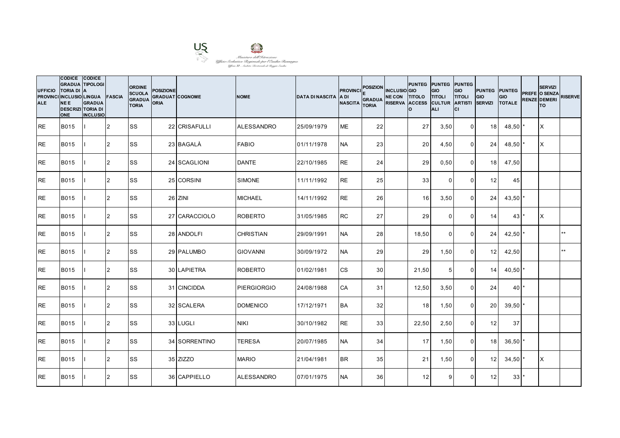

| <b>UFFICIO</b><br><b>ALE</b> | CODICE CODICE<br><b>GRADUA TIPOLOGI</b><br><b>TORIA DI A</b><br>PROVINCI INCLUSIO LINGUA FASCIA<br><b>NEE</b><br><b>DESCRIZI TORIA DI</b><br><b>ONE</b> | <b>GRADUA</b><br><b>INCLUSIO</b> |                | <b>ORDINE</b><br><b>SCUOLA</b><br><b>GRADUA</b><br><b>TORIA</b> | <b>POSIZIONE</b><br>ORIA | <b>GRADUAT COGNOME</b> | <b>NOME</b>        | <b>DATA DI NASCITA</b> | <b>PROVINCI</b><br><b>ADI</b><br><b>NASCITA</b> | POSIZION INCLUSIO GIO<br><b>GRADUA</b><br><b>TORIA</b> | NE CON TITOLO TITOLI<br>RISERVA ACCESS CULTUR ARTISTI | PUNTEG PUNTEG PUNTEG<br>I٥. | <b>GIO</b><br>ALI | GIO<br><b>TITOLI</b><br>lcı | <b>PUNTEG PUNTEG</b><br><b>GIO</b><br><b>SERVIZI</b> | <b>GIO</b><br><b>TOTALE</b> | <b>SERVIZI</b><br>PREFE O SENZA<br><b>RENZE DEMERI</b><br>lTO. | <b>RISERVE</b> |
|------------------------------|---------------------------------------------------------------------------------------------------------------------------------------------------------|----------------------------------|----------------|-----------------------------------------------------------------|--------------------------|------------------------|--------------------|------------------------|-------------------------------------------------|--------------------------------------------------------|-------------------------------------------------------|-----------------------------|-------------------|-----------------------------|------------------------------------------------------|-----------------------------|----------------------------------------------------------------|----------------|
| <b>RE</b>                    | <b>B015</b>                                                                                                                                             |                                  | 2              | <b>SS</b>                                                       |                          | 22 CRISAFULLI          | <b>ALESSANDRO</b>  | 25/09/1979             | <b>ME</b>                                       | 22                                                     |                                                       | 27                          | 3,50              | $\overline{0}$              | 18 <sup>l</sup>                                      | 48,50                       | ΙX                                                             |                |
| <b>RE</b>                    | B015                                                                                                                                                    |                                  | $\overline{2}$ | <b>SS</b>                                                       |                          | 23 BAGALA              | <b>FABIO</b>       | 01/11/1978             | <b>NA</b>                                       | 23                                                     |                                                       | 20                          | 4,50              | $\mathbf 0$                 | 24                                                   | $48,50$ *                   | IX.                                                            |                |
| <b>RE</b>                    | <b>B015</b>                                                                                                                                             |                                  | $\overline{2}$ | <b>SS</b>                                                       |                          | 24 SCAGLIONI           | <b>DANTE</b>       | 22/10/1985             | <b>RE</b>                                       | 24                                                     |                                                       | 29                          | 0,50              | $\mathbf 0$                 | 18                                                   | 47,50                       |                                                                |                |
| <b>RE</b>                    | <b>B015</b>                                                                                                                                             |                                  | $\overline{2}$ | lss                                                             |                          | 25 CORSINI             | <b>SIMONE</b>      | 11/11/1992             | <b>RE</b>                                       | 25                                                     |                                                       | 33                          | $\Omega$          | $\mathbf 0$                 | 12                                                   | 45                          |                                                                |                |
| <b>RE</b>                    | <b>B015</b>                                                                                                                                             |                                  | $\overline{2}$ | <b>SS</b>                                                       |                          | 26 ZINI                | <b>MICHAEL</b>     | 14/11/1992             | <b>RE</b>                                       | 26                                                     |                                                       | 16                          | 3,50              | $\mathbf 0$                 | 24                                                   | $43,50$ *                   |                                                                |                |
| <b>RE</b>                    | B015                                                                                                                                                    |                                  | $\overline{2}$ | <b>SS</b>                                                       |                          | 27 CARACCIOLO          | <b>ROBERTO</b>     | 31/05/1985             | <b>RC</b>                                       | 27                                                     |                                                       | 29                          | $\Omega$          | $\mathbf 0$                 | 14                                                   | 43                          | X                                                              |                |
| <b>RE</b>                    | <b>B015</b>                                                                                                                                             |                                  | 2              | <b>SS</b>                                                       |                          | 28 ANDOLFI             | <b>CHRISTIAN</b>   | 29/09/1991             | <b>NA</b>                                       | 28                                                     |                                                       | 18,50                       | $\mathbf 0$       | $\mathbf 0$                 | 24                                                   | 42,50                       |                                                                | $**$           |
| <b>RE</b>                    | <b>B015</b>                                                                                                                                             |                                  | 2              | <b>SS</b>                                                       |                          | 29 PALUMBO             | <b>GIOVANNI</b>    | 30/09/1972             | <b>NA</b>                                       | 29                                                     |                                                       | 29                          | 1,50              | $\mathbf{0}$                | 12                                                   | 42,50                       |                                                                | $\star\star$   |
| <b>RE</b>                    | <b>B015</b>                                                                                                                                             |                                  | 2              | <b>SS</b>                                                       |                          | 30 LAPIETRA            | <b>ROBERTO</b>     | 01/02/1981             | <b>CS</b>                                       | 30 <sup>1</sup>                                        |                                                       | 21,50                       | 5                 | $\mathbf 0$                 | 14                                                   | 40,50                       |                                                                |                |
| <b>RE</b>                    | B015                                                                                                                                                    |                                  | 2              | <b>SS</b>                                                       |                          | 31 CINCIDDA            | <b>PIERGIORGIO</b> | 24/08/1988             | <b>CA</b>                                       | 31                                                     |                                                       | 12,50                       | 3,50              | $\overline{0}$              | 24                                                   | $40$ <sup>*</sup>           |                                                                |                |
| <b>RE</b>                    | <b>B015</b>                                                                                                                                             |                                  | $\overline{2}$ | <b>SS</b>                                                       |                          | 32 SCALERA             | <b>DOMENICO</b>    | 17/12/1971             | <b>BA</b>                                       | 32 <sub>l</sub>                                        |                                                       | 18                          | 1,50              | $\mathbf{0}$                | 20                                                   | 39,50                       |                                                                |                |
| <b>RE</b>                    | <b>B015</b>                                                                                                                                             |                                  | 2              | <b>SS</b>                                                       |                          | 33 LUGLI               | <b>NIKI</b>        | 30/10/1982             | <b>RE</b>                                       | 33                                                     |                                                       | 22,50                       | 2,50              | $\mathbf 0$                 | 12                                                   | 37                          |                                                                |                |
| <b>RE</b>                    | <b>B015</b>                                                                                                                                             |                                  | 2              | <b>SS</b>                                                       |                          | 34 SORRENTINO          | <b>TERESA</b>      | 20/07/1985             | <b>NA</b>                                       | 34                                                     |                                                       | 17                          | 1,50              | $\mathbf 0$                 | 18                                                   | $36,50$ *                   |                                                                |                |
| <b>RE</b>                    | <b>B015</b>                                                                                                                                             |                                  | 2              | <b>SS</b>                                                       |                          | 35 ZIZZO               | <b>MARIO</b>       | 21/04/1981             | <b>BR</b>                                       | 35                                                     |                                                       | 21                          | 1,50              | $\mathbf 0$                 | 12 <sub>l</sub>                                      | 34,50                       | IX.                                                            |                |
| <b>RE</b>                    | <b>B015</b>                                                                                                                                             |                                  | $\overline{2}$ | <b>SS</b>                                                       |                          | 36 CAPPIELLO           | <b>ALESSANDRO</b>  | 07/01/1975             | <b>NA</b>                                       | 36                                                     |                                                       | 12                          | 9                 | $\mathbf{0}$                | 12                                                   | 33                          |                                                                |                |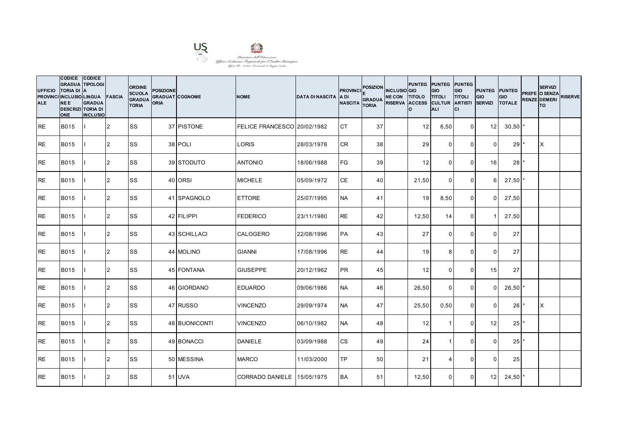

| <b>UFFICIO</b><br><b>ALE</b> | CODICE CODICE<br><b>GRADUA TIPOLOGI</b><br><b>TORIA DI</b><br>PROVINCI INCLUSIO LINGUA FASCIA<br><b>NEE</b><br><b>DESCRIZI TORIA DI</b><br><b>ONE</b> | <b>IA</b><br><b>GRADUA</b><br><b>INCLUSIO</b> |                | <b>ORDINE</b><br><b>SCUOLA</b><br><b>GRADUA</b><br><b>TORIA</b> | <b>POSIZIONE</b><br><b>GRADUAT COGNOME</b><br><b>ORIA</b> |                      | <b>NOME</b>                 | <b>DATA DI NASCITA</b> | <b>PROVINCI</b><br>IA DI<br><b>NASCITA</b> | <b>POSIZION</b><br><b>GRADUA</b><br><b>TORIA</b> | <b>INCLUSIO</b> GIO<br>NE CON TITOLO TITOLI<br>RISERVA ACCESS CULTUR ARTISTI | PUNTEG PUNTEG PUNTEG<br>Ιo | <b>GIO</b><br><b>ALI</b> | GIO<br><b>TITOLI</b><br>lcı | <b>PUNTEG PUNTEG</b><br>GIO<br><b>SERVIZI</b> | <b>GIO</b><br><b>TOTALE</b> | <b>SERVIZI</b><br>PREFE O SENZA<br><b>RENZE DEMERI</b><br>lTO. | <b>RISERVE</b> |
|------------------------------|-------------------------------------------------------------------------------------------------------------------------------------------------------|-----------------------------------------------|----------------|-----------------------------------------------------------------|-----------------------------------------------------------|----------------------|-----------------------------|------------------------|--------------------------------------------|--------------------------------------------------|------------------------------------------------------------------------------|----------------------------|--------------------------|-----------------------------|-----------------------------------------------|-----------------------------|----------------------------------------------------------------|----------------|
| IRE.                         | <b>B015</b>                                                                                                                                           |                                               | 2              | <b>SS</b>                                                       |                                                           | 37 PISTONE           | FELICE FRANCESCO 20/02/1982 |                        | <b>CT</b>                                  | 37                                               |                                                                              | 12                         | 6,50                     | $\overline{0}$              | 12 <sup>1</sup>                               | 30,50                       |                                                                |                |
| <b>RE</b>                    | <b>B015</b>                                                                                                                                           |                                               | 2              | SS                                                              |                                                           | 38 POLI              | <b>LORIS</b>                | 28/03/1978             | <b>CR</b>                                  | 38 <sup>l</sup>                                  |                                                                              | 29                         | $\Omega$                 | $\Omega$                    | $\Omega$                                      | 29                          | IX.                                                            |                |
| <b>RE</b>                    | <b>B015</b>                                                                                                                                           |                                               | 2              | <b>SS</b>                                                       |                                                           | 39 STODUTO           | <b>ANTONIO</b>              | 18/06/1988             | <b>FG</b>                                  | 39                                               |                                                                              | 12                         | $\Omega$                 | $\mathbf 0$                 | 16                                            | 28                          |                                                                |                |
| IRE.                         | <b>B015</b>                                                                                                                                           |                                               | 2              | <b>SS</b>                                                       |                                                           | 40 ORSI              | <b>MICHELE</b>              | 05/09/1972             | <b>CE</b>                                  | 40                                               |                                                                              | 21,50                      | $\Omega$                 | $\overline{0}$              | 6                                             | 27,50                       |                                                                |                |
| <b>RE</b>                    | <b>B015</b>                                                                                                                                           |                                               | 2              | <b>SS</b>                                                       |                                                           | 41 SPAGNOLO          | <b>ETTORE</b>               | 25/07/1995             | <b>NA</b>                                  | 41                                               |                                                                              | 19 <sup>1</sup>            | 8,50                     | $\Omega$                    | $\Omega$                                      | 27,50                       |                                                                |                |
| <b>RE</b>                    | <b>B015</b>                                                                                                                                           |                                               | 2              | SS                                                              |                                                           | 42 FILIPPI           | <b>FEDERICO</b>             | 23/11/1980             | <b>RE</b>                                  | 42                                               |                                                                              | 12,50                      | 14                       | $\mathbf 0$                 |                                               | 27,50                       |                                                                |                |
| <b>RE</b>                    | B015                                                                                                                                                  |                                               | 2              | <b>SS</b>                                                       |                                                           | 43 SCHILLACI         | <b>CALOGERO</b>             | 22/08/1996             | <b>PA</b>                                  | 43                                               |                                                                              | 27                         | $\overline{0}$           | $\mathbf 0$                 | $\overline{0}$                                | 27                          |                                                                |                |
| <b>RE</b>                    | <b>B015</b>                                                                                                                                           |                                               | 2              | <b>SS</b>                                                       |                                                           | 44 MOLINO            | <b>GIANNI</b>               | 17/08/1996             | <b>RE</b>                                  | 44                                               |                                                                              | 19 <sup>1</sup>            | 8                        | $\Omega$                    | $\Omega$                                      | 27                          |                                                                |                |
| <b>RE</b>                    | <b>B015</b>                                                                                                                                           |                                               | 2              | <b>SS</b>                                                       |                                                           | 45 FONTANA           | <b>GIUSEPPE</b>             | 20/12/1962             | <b>PR</b>                                  | 45                                               |                                                                              | 12                         | $\Omega$                 | $\Omega$                    | 15                                            | 27                          |                                                                |                |
| <b>RE</b>                    | <b>B015</b>                                                                                                                                           |                                               | $\overline{2}$ | <b>SS</b>                                                       |                                                           | 46 GIORDANO          | <b>EDUARDO</b>              | 09/06/1986             | <b>NA</b>                                  | 46                                               |                                                                              | 26,50                      | $\overline{0}$           | $\mathbf 0$                 | $\Omega$                                      | 26,50                       |                                                                |                |
| <b>IRE</b>                   | <b>B015</b>                                                                                                                                           |                                               | $\overline{2}$ | <b>SS</b>                                                       |                                                           | 47 RUSSO             | <b>VINCENZO</b>             | 29/09/1974             | <b>NA</b>                                  | 47                                               |                                                                              | 25,50                      | 0,50                     | $\Omega$                    | $\Omega$                                      | 26                          | X                                                              |                |
| <b>I</b> RE                  | <b>B015</b>                                                                                                                                           |                                               | $\overline{2}$ | <b>SS</b>                                                       |                                                           | <b>48 BUONICONTI</b> | <b>VINCENZO</b>             | 06/10/1982             | <b>NA</b>                                  | 48                                               |                                                                              | 12                         | -1                       | $\Omega$                    | 12                                            | 25                          |                                                                |                |
| <b>RE</b>                    | <b>B015</b>                                                                                                                                           |                                               | 2              | <b>SS</b>                                                       |                                                           | 49 BONACCI           | <b>DANIELE</b>              | 03/09/1988             | <b>CS</b>                                  | 49                                               |                                                                              | 24                         | $\overline{1}$           | $\mathbf 0$                 | $\Omega$                                      | 25                          |                                                                |                |
| <b>RE</b>                    | <b>B015</b>                                                                                                                                           |                                               | 2              | <b>SS</b>                                                       |                                                           | 50 MESSINA           | <b>MARCO</b>                | 11/03/2000             | TP                                         | 50 <sub>1</sub>                                  |                                                                              | 21                         | $\boldsymbol{\Delta}$    | $\Omega$                    | $\Omega$                                      | 25                          |                                                                |                |
| <b>IRE</b>                   | <b>B015</b>                                                                                                                                           |                                               | 2              | <b>SS</b>                                                       |                                                           | 51 UVA               | <b>CORRADO DANIELE</b>      | 15/05/1975             | <b>BA</b>                                  | 51                                               |                                                                              | 12,50                      | $\Omega$                 | $\Omega$                    | 12 <sup>1</sup>                               | $24,50$ *                   |                                                                |                |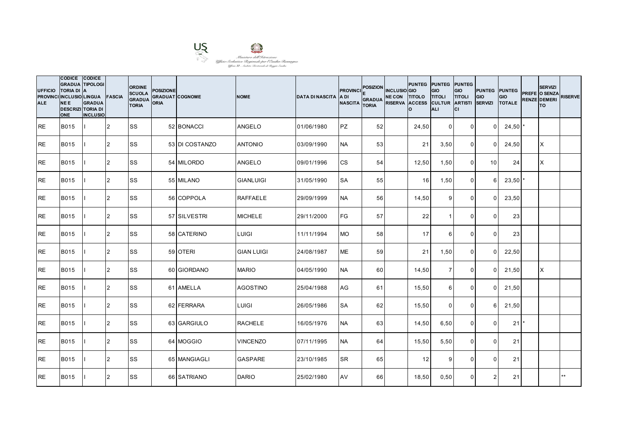

| <b>UFFICIO</b><br><b>ALE</b> | CODICE CODICE<br><b>GRADUA TIPOLOGI</b><br><b>TORIA DI</b><br>PROVINCI INCLUSIO LINGUA FASCIA<br><b>NEE</b><br><b>DESCRIZI TORIA DI</b><br><b>ONE</b> | <b>IA</b><br><b>GRADUA</b><br><b>INCLUSIO</b> |                | <b>ORDINE</b><br><b>SCUOLA</b><br><b>GRADUA</b><br><b>TORIA</b> | <b>POSIZIONE</b><br><b>GRADUAT COGNOME</b><br><b>ORIA</b> |                | <b>NOME</b>       | <b>DATA DI NASCITA</b> | <b>PROVINCI</b><br>IA DI<br><b>NASCITA</b> | <b>POSIZION</b><br><b>GRADUA</b><br><b>TORIA</b> | <b>INCLUSIO</b> GIO<br>NE CON TITOLO TITOLI<br>RISERVA ACCESS CULTUR ARTISTI | Ιo    | PUNTEG PUNTEG PUNTEG<br><b>GIO</b><br><b>ALI</b> | GIO<br><b>TITOLI</b><br>lcı | <b>PUNTEG PUNTEG</b><br>GIO<br><b>SERVIZI</b> | <b>GIO</b><br><b>TOTALE</b> | <b>SERVIZI</b><br>PREFE O SENZA<br><b>RENZE DEMERI</b><br>lTO. | <b>RISERVE</b> |
|------------------------------|-------------------------------------------------------------------------------------------------------------------------------------------------------|-----------------------------------------------|----------------|-----------------------------------------------------------------|-----------------------------------------------------------|----------------|-------------------|------------------------|--------------------------------------------|--------------------------------------------------|------------------------------------------------------------------------------|-------|--------------------------------------------------|-----------------------------|-----------------------------------------------|-----------------------------|----------------------------------------------------------------|----------------|
| IRE.                         | <b>B015</b>                                                                                                                                           |                                               | 12             | <b>SS</b>                                                       |                                                           | 52 BONACCI     | <b>ANGELO</b>     | 01/06/1980             | <b>PZ</b>                                  | 52                                               |                                                                              | 24,50 | $\overline{0}$                                   | $\overline{0}$              | $\Omega$                                      | 24,50                       |                                                                |                |
| <b>RE</b>                    | <b>B015</b>                                                                                                                                           |                                               | 2              | <b>SS</b>                                                       |                                                           | 53 DI COSTANZO | <b>ANTONIO</b>    | 03/09/1990             | <b>NA</b>                                  | 53                                               |                                                                              | 21    | 3,50                                             | $\mathbf 0$                 | $\Omega$                                      | 24,50                       | X                                                              |                |
| <b>RE</b>                    | B015                                                                                                                                                  |                                               | 2              | SS                                                              |                                                           | 54 MILORDO     | <b>ANGELO</b>     | 09/01/1996             | <b>CS</b>                                  | 54                                               |                                                                              | 12,50 | 1,50                                             | $\mathbf 0$                 | 10 I                                          | 24                          | <b>X</b>                                                       |                |
| IRE.                         | <b>B015</b>                                                                                                                                           |                                               | 2              | <b>SS</b>                                                       |                                                           | 55 MILANO      | <b>GIANLUIGI</b>  | 31/05/1990             | <b>SA</b>                                  | 55                                               |                                                                              | 16    | 1,50                                             | $\overline{0}$              | 6                                             | 23,50'                      |                                                                |                |
| <b>RE</b>                    | <b>B015</b>                                                                                                                                           |                                               | $\overline{2}$ | <b>SS</b>                                                       |                                                           | 56 COPPOLA     | <b>RAFFAELE</b>   | 29/09/1999             | <b>NA</b>                                  | 56                                               |                                                                              | 14,50 | 9                                                | $\mathbf{0}$                | $\Omega$                                      | 23,50                       |                                                                |                |
| <b>RE</b>                    | <b>B015</b>                                                                                                                                           |                                               | 2              | SS                                                              |                                                           | 57 SILVESTRI   | <b>MICHELE</b>    | 29/11/2000             | <b>FG</b>                                  | 57                                               |                                                                              | 22    | -1                                               | $\mathbf{0}$                | $\Omega$                                      | 23                          |                                                                |                |
| <b>RE</b>                    | B015                                                                                                                                                  |                                               | 2              | <b>SS</b>                                                       |                                                           | 58 CATERINO    | LUIGI             | 11/11/1994             | <b>MO</b>                                  | 58                                               |                                                                              | 17    | $6 \,$                                           | $\mathbf 0$                 | $\overline{0}$                                | 23                          |                                                                |                |
| <b>RE</b>                    | <b>B015</b>                                                                                                                                           |                                               | 2              | <b>SS</b>                                                       |                                                           | 59 OTERI       | <b>GIAN LUIGI</b> | 24/08/1987             | <b>ME</b>                                  | 59                                               |                                                                              | 21    | 1,50                                             | $\Omega$                    | $\Omega$                                      | 22,50                       |                                                                |                |
| <b>RE</b>                    | <b>B015</b>                                                                                                                                           |                                               | 2              | <b>SS</b>                                                       |                                                           | 60 GIORDANO    | <b>MARIO</b>      | 04/05/1990             | <b>NA</b>                                  | 60 l                                             |                                                                              | 14,50 | $\overline{7}$                                   | $\mathbf 0$                 | $\Omega$                                      | 21,50                       | ΙX                                                             |                |
| <b>RE</b>                    | <b>B015</b>                                                                                                                                           |                                               | $\overline{2}$ | <b>SS</b>                                                       |                                                           | 61 AMELLA      | <b>AGOSTINO</b>   | 25/04/1988             | AG                                         | 61                                               |                                                                              | 15,50 | $6 \,$                                           | $\mathbf 0$                 | $\Omega$                                      | 21,50                       |                                                                |                |
| <b>IRE</b>                   | <b>B015</b>                                                                                                                                           |                                               | 2              | <b>SS</b>                                                       |                                                           | 62 FERRARA     | <b>LUIGI</b>      | 26/05/1986             | <b>SA</b>                                  | 62                                               |                                                                              | 15,50 | $\Omega$                                         | $\Omega$                    | 6                                             | 21,50                       |                                                                |                |
| IRE.                         | <b>B015</b>                                                                                                                                           |                                               | 2              | <b>SS</b>                                                       |                                                           | 63 GARGIULO    | <b>RACHELE</b>    | 16/05/1976             | <b>NA</b>                                  | 63                                               |                                                                              | 14,50 | 6,50                                             | $\mathbf{0}$                | $\Omega$                                      | 21                          |                                                                |                |
| <b>RE</b>                    | <b>B015</b>                                                                                                                                           |                                               | 2              | <b>SS</b>                                                       |                                                           | 64 MOGGIO      | <b>VINCENZO</b>   | 07/11/1995             | <b>NA</b>                                  | 64                                               |                                                                              | 15,50 | 5,50                                             | $\mathbf 0$                 | $\Omega$                                      | 21                          |                                                                |                |
| <b>RE</b>                    | <b>B015</b>                                                                                                                                           |                                               | 2              | <b>SS</b>                                                       |                                                           | 65 MANGIAGLI   | <b>GASPARE</b>    | 23/10/1985             | <b>SR</b>                                  | 65                                               |                                                                              | 12    | 9                                                | $\Omega$                    | $\Omega$                                      | 21                          |                                                                |                |
| <b>IRE</b>                   | <b>B015</b>                                                                                                                                           |                                               | 2              | <b>SS</b>                                                       |                                                           | 66 SATRIANO    | <b>DARIO</b>      | 25/02/1980             | AV                                         | 66                                               |                                                                              | 18,50 | 0,50                                             | $\Omega$                    | 2                                             | 21                          |                                                                | $**$           |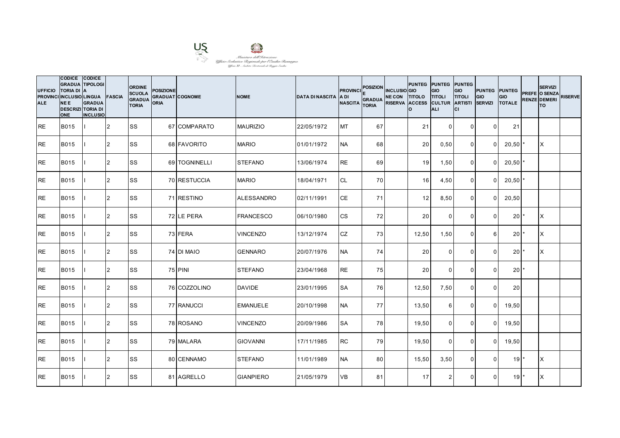

| <b>UFFICIO</b><br><b>ALE</b> | CODICE CODICE<br><b>GRADUA TIPOLOGI</b><br><b>TORIA DI</b><br>PROVINCI INCLUSIO LINGUA FASCIA<br><b>NEE</b><br><b>DESCRIZI TORIA DI</b><br><b>ONE</b> | <b>IA</b><br><b>GRADUA</b><br><b>INCLUSIO</b> |                | <b>ORDINE</b><br><b>SCUOLA</b><br><b>GRADUA</b><br><b>TORIA</b> | <b>POSIZIONE</b><br><b>GRADUAT COGNOME</b><br><b>ORIA</b> |               | <b>NOME</b>       | <b>DATA DI NASCITA</b> | <b>PROVINCI</b><br>IA DI<br><b>NASCITA</b> | <b>POSIZION</b><br><b>GRADUA</b><br><b>TORIA</b> | <b>INCLUSIO</b> GIO<br>NE CON TITOLO TITOLI<br>RISERVA ACCESS CULTUR ARTISTI | Ιo              | PUNTEG PUNTEG PUNTEG<br><b>GIO</b><br><b>ALI</b> | GIO<br><b>TITOLI</b><br>lcı | <b>PUNTEG PUNTEG</b><br>GIO<br><b>SERVIZI</b> | <b>GIO</b><br><b>TOTALE</b> | <b>SERVIZI</b><br>PREFE O SENZA<br><b>RENZE DEMERI</b><br>lTO. | <b>RISERVE</b> |
|------------------------------|-------------------------------------------------------------------------------------------------------------------------------------------------------|-----------------------------------------------|----------------|-----------------------------------------------------------------|-----------------------------------------------------------|---------------|-------------------|------------------------|--------------------------------------------|--------------------------------------------------|------------------------------------------------------------------------------|-----------------|--------------------------------------------------|-----------------------------|-----------------------------------------------|-----------------------------|----------------------------------------------------------------|----------------|
| IRE.                         | <b>B015</b>                                                                                                                                           |                                               | 12             | <b>SS</b>                                                       |                                                           | 67 COMPARATO  | <b>MAURIZIO</b>   | 22/05/1972             | <b>MT</b>                                  | 67                                               |                                                                              | 21              | $\overline{0}$                                   | $\Omega$                    | $\Omega$                                      | 21                          |                                                                |                |
| <b>RE</b>                    | <b>B015</b>                                                                                                                                           |                                               | 2              | <b>SS</b>                                                       |                                                           | 68 FAVORITO   | <b>MARIO</b>      | 01/01/1972             | <b>NA</b>                                  | 68                                               |                                                                              | 20 <sub>l</sub> | 0,50                                             | $\Omega$                    | $\Omega$                                      | 20,50                       | IX.                                                            |                |
| <b>RE</b>                    | <b>B015</b>                                                                                                                                           |                                               | 2              | <b>SS</b>                                                       |                                                           | 69 TOGNINELLI | <b>STEFANO</b>    | 13/06/1974             | <b>RE</b>                                  | 69                                               |                                                                              | 19              | 1,50                                             | $\mathbf 0$                 | $\Omega$                                      | 20,50                       |                                                                |                |
| <b>RE</b>                    | <b>B015</b>                                                                                                                                           |                                               | $\overline{2}$ | <b>SS</b>                                                       |                                                           | 70 RESTUCCIA  | <b>MARIO</b>      | 18/04/1971             | <b>CL</b>                                  | 70                                               |                                                                              | 16              | 4,50                                             | $\overline{0}$              | $\Omega$                                      | $20,50$ $*$                 |                                                                |                |
| <b>IRE</b>                   | <b>B015</b>                                                                                                                                           |                                               | 2              | <b>SS</b>                                                       |                                                           | 71 RESTINO    | <b>ALESSANDRO</b> | 02/11/1991             | <b>CE</b>                                  | 71                                               |                                                                              | 12              | 8,50                                             | $\Omega$                    | $\Omega$                                      | 20,50                       |                                                                |                |
| <b>RE</b>                    | <b>B015</b>                                                                                                                                           |                                               | 2              | SS                                                              |                                                           | 72 LE PERA    | <b>FRANCESCO</b>  | 06/10/1980             | <b>CS</b>                                  | 72                                               |                                                                              | 20              | $\Omega$                                         | $\mathbf{0}$                | $\Omega$                                      | 20 <sub>1</sub>             | ΙX                                                             |                |
| <b>RE</b>                    | B015                                                                                                                                                  |                                               | 2              | <b>SS</b>                                                       |                                                           | 73 FERA       | <b>VINCENZO</b>   | 13/12/1974             | <b>CZ</b>                                  | 73                                               |                                                                              | 12,50           | 1,50                                             | $\overline{0}$              | 6                                             | 20 <sup>1</sup>             | X                                                              |                |
| <b>RE</b>                    | <b>B015</b>                                                                                                                                           |                                               | 2              | <b>SS</b>                                                       |                                                           | 74 DI MAIO    | <b>GENNARO</b>    | 20/07/1976             | <b>NA</b>                                  | 74                                               |                                                                              | 20              | $\Omega$                                         | $\mathbf{0}$                | $\Omega$                                      | 20                          | <b>X</b>                                                       |                |
| <b>RE</b>                    | <b>B015</b>                                                                                                                                           |                                               | 2              | SS                                                              |                                                           | 75 PINI       | <b>STEFANO</b>    | 23/04/1968             | <b>RE</b>                                  | 75                                               |                                                                              | 20 <sub>l</sub> | $\mathbf 0$                                      | $\mathbf 0$                 | $\Omega$                                      | $20$ <sup>*</sup>           |                                                                |                |
| <b>RE</b>                    | B015                                                                                                                                                  |                                               | 2              | <b>SS</b>                                                       |                                                           | 76 COZZOLINO  | <b>DAVIDE</b>     | 23/01/1995             | <b>SA</b>                                  | 76                                               |                                                                              | 12,50           | 7,50                                             | $\Omega$                    | $\Omega$                                      | 20                          |                                                                |                |
| RE                           | <b>B015</b>                                                                                                                                           |                                               | 2              | SS                                                              |                                                           | 77 RANUCCI    | <b>EMANUELE</b>   | 20/10/1998             | <b>NA</b>                                  | 77                                               |                                                                              | 13,50           | 6                                                | $\mathbf{0}$                | $\Omega$                                      | 19,50                       |                                                                |                |
| <b>RE</b>                    | <b>B015</b>                                                                                                                                           |                                               | 2              | <b>SS</b>                                                       |                                                           | 78 ROSANO     | <b>VINCENZO</b>   | 20/09/1986             | <b>SA</b>                                  | 78                                               |                                                                              | 19,50           | $\Omega$                                         | $\mathbf 0$                 | $\Omega$                                      | 19,50                       |                                                                |                |
| <b>IRE</b>                   | <b>B015</b>                                                                                                                                           |                                               | 2              | <b>SS</b>                                                       |                                                           | 79 MALARA     | <b>GIOVANNI</b>   | 17/11/1985             | <b>RC</b>                                  | 79                                               |                                                                              | 19,50           | $\overline{0}$                                   | $\mathbf 0$                 | $\overline{0}$                                | 19,50                       |                                                                |                |
| <b>RE</b>                    | <b>B015</b>                                                                                                                                           |                                               | 2              | <b>SS</b>                                                       |                                                           | 80 CENNAMO    | <b>STEFANO</b>    | 11/01/1989             | <b>NA</b>                                  | 80                                               |                                                                              | 15,50           | 3,50                                             | $\mathbf 0$                 | $\Omega$                                      | 19                          | X                                                              |                |
| <b>RE</b>                    | <b>B015</b>                                                                                                                                           |                                               | 2              | <b>SS</b>                                                       |                                                           | 81 AGRELLO    | <b>GIANPIERO</b>  | 21/05/1979             | <b>VB</b>                                  | 81                                               |                                                                              | 17              | 2                                                | $\mathbf{0}$                | $\Omega$                                      | 19 <sup>1</sup>             | X                                                              |                |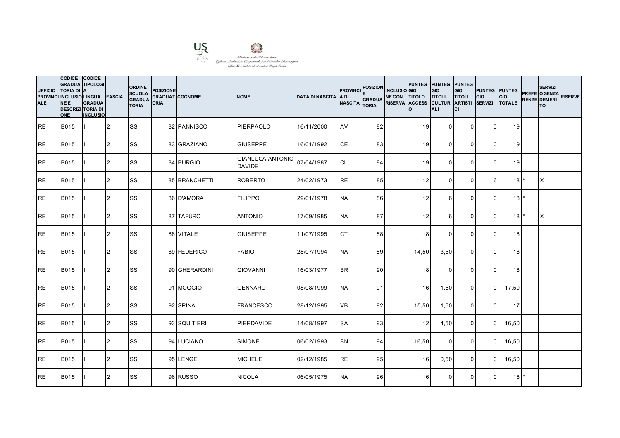

| <b>UFFICIO</b><br><b>ALE</b> | CODICE CODICE<br><b>GRADUA TIPOLOGI</b><br><b>TORIA DI</b><br>PROVINCI INCLUSIO LINGUA FASCIA<br><b>NEE</b><br><b>DESCRIZI TORIA DI</b><br><b>ONE</b> | <b>IA</b><br><b>GRADUA</b><br><b>INCLUSIO</b> |                | <b>ORDINE</b><br><b>SCUOLA</b><br><b>GRADUA</b><br><b>TORIA</b> | <b>POSIZIONE</b><br><b>GRADUAT COGNOME</b><br><b>ORIA</b> |               | <b>NOME</b>                              | <b>DATA DI NASCITA</b> | <b>PROVINCI</b><br>IA DI<br><b>NASCITA</b> | <b>POSIZION</b><br><b>GRADUA</b><br><b>TORIA</b> | <b>INCLUSIO</b> GIO<br>NE CON TITOLO TITOLI<br>RISERVA ACCESS CULTUR ARTISTI | PUNTEG PUNTEG PUNTEG<br>Ιo | <b>GIO</b><br><b>ALI</b> | GIO<br><b>TITOLI</b><br>Iсı | <b>PUNTEG PUNTEG</b><br>GIO<br><b>SERVIZI</b> | <b>GIO</b><br><b>TOTALE</b> | <b>SERVIZI</b><br>PREFE O SENZA<br><b>RENZE DEMERI</b><br><b>TO</b> | <b>RISERVE</b> |
|------------------------------|-------------------------------------------------------------------------------------------------------------------------------------------------------|-----------------------------------------------|----------------|-----------------------------------------------------------------|-----------------------------------------------------------|---------------|------------------------------------------|------------------------|--------------------------------------------|--------------------------------------------------|------------------------------------------------------------------------------|----------------------------|--------------------------|-----------------------------|-----------------------------------------------|-----------------------------|---------------------------------------------------------------------|----------------|
| IRE.                         | <b>B015</b>                                                                                                                                           |                                               | 12             | <b>SS</b>                                                       |                                                           | 82 PANNISCO   | <b>PIERPAOLO</b>                         | 16/11/2000             | AV                                         | 82                                               |                                                                              | 19                         | $\overline{0}$           | $\mathbf 0$                 | $\Omega$                                      | 19                          |                                                                     |                |
| <b>RE</b>                    | <b>B015</b>                                                                                                                                           |                                               | 2              | <b>SS</b>                                                       |                                                           | 83 GRAZIANO   | <b>GIUSEPPE</b>                          | 16/01/1992             | <b>CE</b>                                  | 83                                               |                                                                              | 19                         | $\Omega$                 | $\Omega$                    | $\Omega$                                      | 19                          |                                                                     |                |
| <b>RE</b>                    | B015                                                                                                                                                  |                                               | 2              | <b>SS</b>                                                       |                                                           | 84 BURGIO     | <b>GIANLUCA ANTONIO</b><br><b>DAVIDE</b> | 07/04/1987             | <b>CL</b>                                  | 84                                               |                                                                              | 19                         | $\Omega$                 | $\mathbf 0$                 | $\Omega$                                      | 19                          |                                                                     |                |
| IRE.                         | <b>B015</b>                                                                                                                                           |                                               | 2              | <b>SS</b>                                                       |                                                           | 85 BRANCHETTI | <b>ROBERTO</b>                           | 24/02/1973             | <b>RE</b>                                  | 85                                               |                                                                              | 12                         | $\Omega$                 | $\mathbf{0}$                | $6 \mid$                                      | $18$ <sup>*</sup>           | ΙX                                                                  |                |
| <b>RE</b>                    | <b>B015</b>                                                                                                                                           |                                               | $\overline{2}$ | <b>SS</b>                                                       |                                                           | 86 D'AMORA    | <b>FILIPPO</b>                           | 29/01/1978             | <b>NA</b>                                  | 86                                               |                                                                              | 12                         | 6                        | $\mathbf{0}$                | $\Omega$                                      | 18                          |                                                                     |                |
| <b>RE</b>                    | <b>B015</b>                                                                                                                                           |                                               | 2              | SS                                                              |                                                           | 87 TAFURO     | <b>ANTONIO</b>                           | 17/09/1985             | <b>NA</b>                                  | 87                                               |                                                                              | 12                         | 6                        | $\mathbf{0}$                | $\Omega$                                      | 18                          | <b>X</b>                                                            |                |
| <b>RE</b>                    | B015                                                                                                                                                  |                                               | 2              | <b>SS</b>                                                       |                                                           | 88 VITALE     | <b>GIUSEPPE</b>                          | 11/07/1995             | <b>CT</b>                                  | 88                                               |                                                                              | 18                         | $\overline{0}$           | $\mathbf 0$                 | $\overline{0}$                                | 18 <sup>1</sup>             |                                                                     |                |
| <b>RE</b>                    | <b>B015</b>                                                                                                                                           |                                               | 2              | <b>SS</b>                                                       |                                                           | 89 FEDERICO   | <b>FABIO</b>                             | 28/07/1994             | <b>NA</b>                                  | 89                                               |                                                                              | 14,50                      | 3,50                     | $\Omega$                    | $\Omega$                                      | 18                          |                                                                     |                |
| <b>RE</b>                    | <b>B015</b>                                                                                                                                           |                                               | 2              | <b>SS</b>                                                       |                                                           | 90 GHERARDINI | <b>GIOVANNI</b>                          | 16/03/1977             | <b>BR</b>                                  | 90 <sup>1</sup>                                  |                                                                              | 18                         | $\Omega$                 | $\Omega$                    | $\Omega$                                      | 18                          |                                                                     |                |
| <b>RE</b>                    | <b>B015</b>                                                                                                                                           |                                               | $\overline{2}$ | <b>SS</b>                                                       |                                                           | 91 MOGGIO     | <b>GENNARO</b>                           | 08/08/1999             | <b>NA</b>                                  | 91                                               |                                                                              | 16                         | 1,50                     | $\overline{0}$              | $\overline{0}$                                | 17,50                       |                                                                     |                |
| <b>IRE</b>                   | <b>B015</b>                                                                                                                                           |                                               | 2              | <b>SS</b>                                                       |                                                           | 92 SPINA      | <b>FRANCESCO</b>                         | 28/12/1995             | <b>VB</b>                                  | 92                                               |                                                                              | 15,50                      | 1,50                     | $\mathbf{0}$                | $\Omega$                                      | 17                          |                                                                     |                |
| IRE.                         | <b>B015</b>                                                                                                                                           |                                               | 2              | <b>SS</b>                                                       |                                                           | 93 SQUITIERI  | PIERDAVIDE                               | 14/08/1997             | <b>SA</b>                                  | 93                                               |                                                                              | 12                         | 4,50                     | $\mathbf 0$                 | $\Omega$                                      | 16,50                       |                                                                     |                |
| <b>RE</b>                    | B015                                                                                                                                                  |                                               | 2              | <b>SS</b>                                                       |                                                           | 94 LUCIANO    | <b>SIMONE</b>                            | 06/02/1993             | <b>BN</b>                                  | 94                                               |                                                                              | 16,50                      | $\mathbf 0$              | $\mathbf 0$                 | $\overline{0}$                                | 16,50                       |                                                                     |                |
| <b>RE</b>                    | <b>B015</b>                                                                                                                                           |                                               | 2              | <b>SS</b>                                                       |                                                           | 95 LENGE      | <b>MICHELE</b>                           | 02/12/1985             | <b>RE</b>                                  | 95                                               |                                                                              | 16                         | 0,50                     | $\mathbf 0$                 | $\Omega$                                      | 16,50                       |                                                                     |                |
| <b>IRE</b>                   | <b>B015</b>                                                                                                                                           |                                               | 2              | <b>SS</b>                                                       |                                                           | 96 RUSSO      | <b>NICOLA</b>                            | 06/05/1975             | <b>NA</b>                                  | 96                                               |                                                                              | 16                         | $\Omega$                 | $\Omega$                    | $\Omega$                                      | 16                          |                                                                     |                |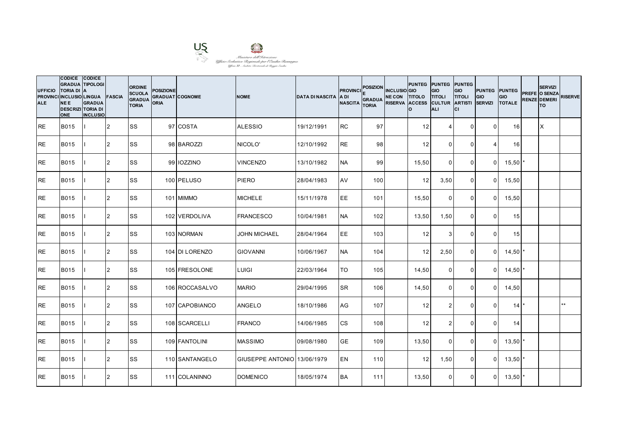

| <b>UFFICIO</b><br><b>ALE</b> | <b>CODICE</b><br><b>GRADUA TIPOLOGI</b><br><b>TORIA DI</b><br>PROVINCI INCLUSIO LINGUA FASCIA<br><b>NEE</b><br><b>DESCRIZI TORIA DI</b><br><b>ONE</b> | <b>CODICE</b><br><b>IA</b><br><b>GRADUA</b><br><b>INCLUSIO</b> |                | <b>ORDINE</b><br><b>SCUOLA</b><br><b>GRADUA</b><br><b>TORIA</b> | <b>POSIZIONE</b><br><b>GRADUAT COGNOME</b><br>ORIA |                | <b>NOME</b>                 | <b>DATA DI NASCITA</b> | <b>PROVINCI</b><br>IA DI<br><b>NASCITA</b> | <b>POSIZION</b><br><b>GRADUA</b><br><b>TORIA</b> | <b>INCLUSIO</b> GIO<br>NE CON TITOLO TITOLI<br>RISERVA ACCESS CULTUR ARTISTI | PUNTEG PUNTEG PUNTEG<br>Ιo | GIO<br><b>ALI</b> | GIO<br><b>TITOLI</b><br>lcı | <b>PUNTEG PUNTEG</b><br>GIO<br><b>SERVIZI</b> | <b>GIO</b><br><b>TOTALE</b> | <b>SERVIZI</b><br>PREFE O SENZA<br><b>RENZE DEMERI</b><br>lTO. | <b>RISERVE</b> |
|------------------------------|-------------------------------------------------------------------------------------------------------------------------------------------------------|----------------------------------------------------------------|----------------|-----------------------------------------------------------------|----------------------------------------------------|----------------|-----------------------------|------------------------|--------------------------------------------|--------------------------------------------------|------------------------------------------------------------------------------|----------------------------|-------------------|-----------------------------|-----------------------------------------------|-----------------------------|----------------------------------------------------------------|----------------|
| IRE.                         | <b>B015</b>                                                                                                                                           |                                                                | 12             | <b>SS</b>                                                       |                                                    | 97 COSTA       | <b>ALESSIO</b>              | 19/12/1991             | <b>RC</b>                                  | 97                                               |                                                                              | 12                         | $\overline{4}$    | $\overline{0}$              | $\Omega$                                      | 16 <sup>1</sup>             | X                                                              |                |
| <b>RE</b>                    | <b>B015</b>                                                                                                                                           |                                                                | 2              | <b>SS</b>                                                       |                                                    | 98 BAROZZI     | NICOLO'                     | 12/10/1992             | <b>RE</b>                                  | 98                                               |                                                                              | 12                         | $\Omega$          | $\Omega$                    |                                               | 16                          |                                                                |                |
| <b>RE</b>                    | <b>B015</b>                                                                                                                                           |                                                                | 2              | <b>SS</b>                                                       |                                                    | 99 IOZZINO     | <b>VINCENZO</b>             | 13/10/1982             | <b>NA</b>                                  | 99                                               |                                                                              | 15,50                      | $\Omega$          | $\mathbf 0$                 | $\Omega$                                      | 15,50                       |                                                                |                |
| <b>RE</b>                    | <b>B015</b>                                                                                                                                           |                                                                | $\overline{2}$ | <b>SS</b>                                                       |                                                    | 100 PELUSO     | <b>PIERO</b>                | 28/04/1983             | AV                                         | 100                                              |                                                                              | 12                         | 3,50              | $\overline{0}$              | $\overline{0}$                                | 15,50                       |                                                                |                |
| <b>IRE</b>                   | <b>B015</b>                                                                                                                                           |                                                                | 2              | <b>SS</b>                                                       |                                                    | 101 MIMMO      | <b>MICHELE</b>              | 15/11/1978             | <b>EE</b>                                  | 101                                              |                                                                              | 15,50                      | $\Omega$          | $\mathbf{0}$                | $\Omega$                                      | 15,50                       |                                                                |                |
| <b>RE</b>                    | <b>B015</b>                                                                                                                                           |                                                                | $\overline{2}$ | SS                                                              |                                                    | 102 VERDOLIVA  | <b>FRANCESCO</b>            | 10/04/1981             | <b>NA</b>                                  | 102                                              |                                                                              | 13,50                      | 1,50              | $\mathbf{0}$                | $\Omega$                                      | 15                          |                                                                |                |
| <b>RE</b>                    | <b>B015</b>                                                                                                                                           |                                                                | 2              | <b>SS</b>                                                       |                                                    | 103 NORMAN     | <b>JOHN MICHAEL</b>         | 28/04/1964             | EE                                         | 103                                              |                                                                              | 12                         | $\mathbf{3}$      | $\mathbf 0$                 | $\overline{0}$                                | 15                          |                                                                |                |
| <b>RE</b>                    | <b>B015</b>                                                                                                                                           |                                                                | 2              | <b>SS</b>                                                       |                                                    | 104 DI LORENZO | <b>GIOVANNI</b>             | 10/06/1967             | <b>NA</b>                                  | 104                                              |                                                                              | 12                         | 2,50              | $\mathbf 0$                 | $\overline{0}$                                | $14,50$ *                   |                                                                |                |
| <b>RE</b>                    | <b>B015</b>                                                                                                                                           |                                                                | 2              | SS                                                              |                                                    | 105 FRESOLONE  | <b>LUIGI</b>                | 22/03/1964             | TO                                         | 105                                              |                                                                              | 14,50                      | $\overline{0}$    | $\mathbf 0$                 | $\Omega$                                      | $14,50$ *                   |                                                                |                |
| <b>IRE</b>                   | B015                                                                                                                                                  |                                                                | 2              | <b>SS</b>                                                       |                                                    | 106 ROCCASALVO | <b>MARIO</b>                | 29/04/1995             | <b>SR</b>                                  | 106                                              |                                                                              | 14,50                      | $\Omega$          | $\mathbf 0$                 | $\overline{0}$                                | 14,50                       |                                                                |                |
| RE                           | <b>B015</b>                                                                                                                                           |                                                                | 2              | SS                                                              |                                                    | 107 CAPOBIANCO | <b>ANGELO</b>               | 18/10/1986             | AG                                         | 107                                              |                                                                              | 12                         | 2                 | $\Omega$                    | $\Omega$                                      | 14                          |                                                                | $**$           |
| <b>RE</b>                    | <b>B015</b>                                                                                                                                           |                                                                | 2              | <b>SS</b>                                                       |                                                    | 108 SCARCELLI  | <b>FRANCO</b>               | 14/06/1985             | <b>CS</b>                                  | 108                                              |                                                                              | 12                         | 2                 | $\mathbf 0$                 | $\Omega$                                      | 14                          |                                                                |                |
| <b>IRE</b>                   | <b>B015</b>                                                                                                                                           |                                                                | 2              | <b>SS</b>                                                       |                                                    | 109 FANTOLINI  | <b>MASSIMO</b>              | 09/08/1980             | <b>GE</b>                                  | 109                                              |                                                                              | 13,50                      | $\overline{0}$    | $\overline{0}$              | $\overline{0}$                                | $13,50$ $*$                 |                                                                |                |
| <b>RE</b>                    | <b>B015</b>                                                                                                                                           |                                                                | 2              | <b>SS</b>                                                       |                                                    | 110 SANTANGELO | GIUSEPPE ANTONIO 13/06/1979 |                        | <b>EN</b>                                  | 110                                              |                                                                              | 12                         | 1,50              | $\mathbf 0$                 | $\overline{0}$                                | 13,50'                      |                                                                |                |
| <b>RE</b>                    | <b>B015</b>                                                                                                                                           |                                                                | 2              | SS                                                              |                                                    | 111 COLANINNO  | <b>DOMENICO</b>             | 18/05/1974             | <b>BA</b>                                  | 111                                              |                                                                              | 13,50                      | $\Omega$          | $\Omega$                    | $\Omega$                                      | $13,50$ $*$                 |                                                                |                |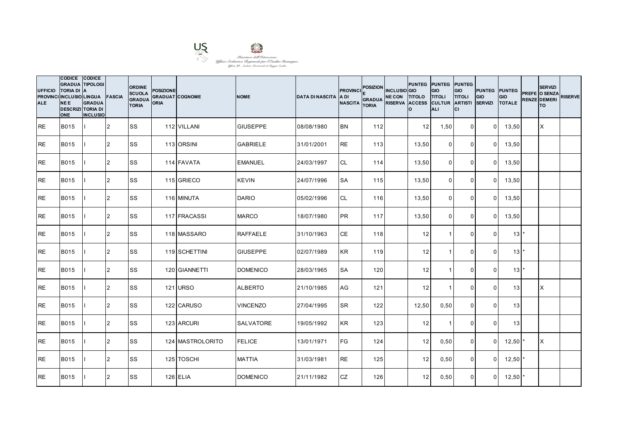

| <b>UFFICIO</b><br><b>ALE</b> | CODICE CODICE<br><b>GRADUA TIPOLOGI</b><br>TORIA DI A<br>PROVINCI INCLUSIO LINGUA FASCIA<br><b>NEE</b><br><b>DESCRIZI TORIA DI</b><br><b>ONE</b> | <b>GRADUA</b><br><b>INCLUSIO</b> |                | <b>ORDINE</b><br><b>SCUOLA</b><br><b>GRADUA</b><br><b>TORIA</b> | <b>POSIZIONE</b><br><b>GRADUAT COGNOME</b><br><b>ORIA</b> |                  | <b>NOME</b>      | <b>DATA DI NASCITA A DI</b> | <b>PROVINCI</b><br><b>NASCITA</b> | <b>POSIZION</b><br><b>GRADUA</b><br><b>TORIA</b> | <b>INCLUSIO</b> GIO<br>NE CON TITOLO TITOLI<br>RISERVA ACCESS CULTUR ARTISTI | PUNTEG PUNTEG PUNTEG<br>I٥. | GIO<br><b>ALI</b> | <b>GIO</b><br><b>TITOLI</b><br>Iсı | <b>PUNTEG PUNTEG</b><br>GIO<br><b>SERVIZI</b> | <b>GIO</b><br><b>TOTALE</b>   | <b>SERVIZI</b><br>PREFE O SENZA<br><b>RENZE DEMERI</b><br>lTO. | <b>RISERVE</b> |
|------------------------------|--------------------------------------------------------------------------------------------------------------------------------------------------|----------------------------------|----------------|-----------------------------------------------------------------|-----------------------------------------------------------|------------------|------------------|-----------------------------|-----------------------------------|--------------------------------------------------|------------------------------------------------------------------------------|-----------------------------|-------------------|------------------------------------|-----------------------------------------------|-------------------------------|----------------------------------------------------------------|----------------|
| IRE.                         | <b>B015</b>                                                                                                                                      |                                  | 12             | <b>SS</b>                                                       |                                                           | 112 VILLANI      | <b>GIUSEPPE</b>  | 08/08/1980                  | <b>BN</b>                         | $112$                                            |                                                                              | 12                          | 1,50              | $\overline{0}$                     | $\overline{0}$                                | 13,50                         | X                                                              |                |
| <b>RE</b>                    | <b>B015</b>                                                                                                                                      |                                  | 2              | <b>SS</b>                                                       |                                                           | 113 ORSINI       | <b>GABRIELE</b>  | 31/01/2001                  | <b>RE</b>                         | 113                                              |                                                                              | 13,50                       | $\Omega$          | $\Omega$                           | $\overline{0}$                                | 13,50                         |                                                                |                |
| <b>RE</b>                    | B015                                                                                                                                             |                                  | 2              | SS                                                              |                                                           | 114 FAVATA       | <b>EMANUEL</b>   | 24/03/1997                  | <b>CL</b>                         | 114                                              |                                                                              | 13,50                       | $\Omega$          | $\mathbf 0$                        | $\Omega$                                      | 13,50                         |                                                                |                |
| IRE.                         | B015                                                                                                                                             |                                  | 2              | <b>SS</b>                                                       |                                                           | 115 GRIECO       | <b>KEVIN</b>     | 24/07/1996                  | <b>SA</b>                         | 115                                              |                                                                              | 13,50                       | $\Omega$          | $\overline{0}$                     | $\overline{0}$                                | 13,50                         |                                                                |                |
| <b>RE</b>                    | <b>B015</b>                                                                                                                                      |                                  | $\overline{2}$ | <b>SS</b>                                                       |                                                           | 116 MINUTA       | <b>DARIO</b>     | 05/02/1996                  | <b>CL</b>                         | 116                                              |                                                                              | 13,50                       | $\Omega$          | $\Omega$                           | $\Omega$                                      | 13,50                         |                                                                |                |
| <b>RE</b>                    | <b>B015</b>                                                                                                                                      |                                  | 2              | SS                                                              |                                                           | 117 FRACASSI     | <b>MARCO</b>     | 18/07/1980                  | PR                                | 117                                              |                                                                              | 13,50                       | $\Omega$          | $\mathbf 0$                        | $\Omega$                                      | 13,50                         |                                                                |                |
| <b>RE</b>                    | B015                                                                                                                                             |                                  | 2              | <b>SS</b>                                                       |                                                           | 118 MASSARO      | <b>RAFFAELE</b>  | 31/10/1963                  | <b>CE</b>                         | 118                                              |                                                                              | 12                          | $\overline{1}$    | $\mathbf 0$                        | $\overline{0}$                                | $13$ $\pm$                    |                                                                |                |
| <b>RE</b>                    | <b>B015</b>                                                                                                                                      |                                  | 2              | SS                                                              |                                                           | 119 SCHETTINI    | <b>GIUSEPPE</b>  | 02/07/1989                  | <b>KR</b>                         | 119                                              |                                                                              | 12                          |                   | $\Omega$                           | $\Omega$                                      | $13$ $\overline{\phantom{a}}$ |                                                                |                |
| <b>RE</b>                    | <b>B015</b>                                                                                                                                      |                                  | 2              | <b>SS</b>                                                       |                                                           | 120 GIANNETTI    | <b>DOMENICO</b>  | 28/03/1965                  | <b>SA</b>                         | 120                                              |                                                                              | 12                          | -1                | $\mathbf{0}$                       | $\Omega$                                      | $13$ $*$                      |                                                                |                |
| <b>RE</b>                    | <b>B015</b>                                                                                                                                      |                                  | $\overline{2}$ | <b>SS</b>                                                       |                                                           | 121 URSO         | <b>ALBERTO</b>   | 21/10/1985                  | AG                                | 121                                              |                                                                              | 12                          | $\overline{1}$    | $\mathbf 0$                        | $\Omega$                                      | 13                            | X                                                              |                |
| <b>IRE</b>                   | B015                                                                                                                                             |                                  | 2              | <b>SS</b>                                                       |                                                           | 122 CARUSO       | <b>VINCENZO</b>  | 27/04/1995                  | <b>SR</b>                         | 122                                              |                                                                              | 12,50                       | 0,50              | $\Omega$                           | $\Omega$                                      | 13                            |                                                                |                |
| IRE.                         | <b>B015</b>                                                                                                                                      |                                  | 2              | <b>SS</b>                                                       |                                                           | 123 ARCURI       | <b>SALVATORE</b> | 19/05/1992                  | <b>KR</b>                         | 123                                              |                                                                              | 12                          | -1                | $\Omega$                           | $\Omega$                                      | 13                            |                                                                |                |
| <b>RE</b>                    | <b>B015</b>                                                                                                                                      |                                  | 2              | <b>SS</b>                                                       |                                                           | 124 MASTROLORITO | <b>FELICE</b>    | 13/01/1971                  | <b>FG</b>                         | 124                                              |                                                                              | 12                          | 0,50              | $\overline{0}$                     | $\overline{0}$                                | $12,50$ $*$                   | ΙX                                                             |                |
| RE                           | <b>B015</b>                                                                                                                                      |                                  | 2              | <b>SS</b>                                                       |                                                           | 125 TOSCHI       | <b>MATTIA</b>    | 31/03/1981                  | <b>RE</b>                         | 125                                              |                                                                              | 12                          | 0,50              | $\mathbf 0$                        | $\overline{0}$                                | $12,50$ $\ast$                |                                                                |                |
| <b>IRE</b>                   | B015                                                                                                                                             |                                  | $\overline{2}$ | <b>SS</b>                                                       |                                                           | <b>126 ELIA</b>  | <b>DOMENICO</b>  | 21/11/1982                  | <b>CZ</b>                         | 126                                              |                                                                              | 12                          | 0,50              | $\overline{0}$                     | $\Omega$                                      | $12,50$ $*$                   |                                                                |                |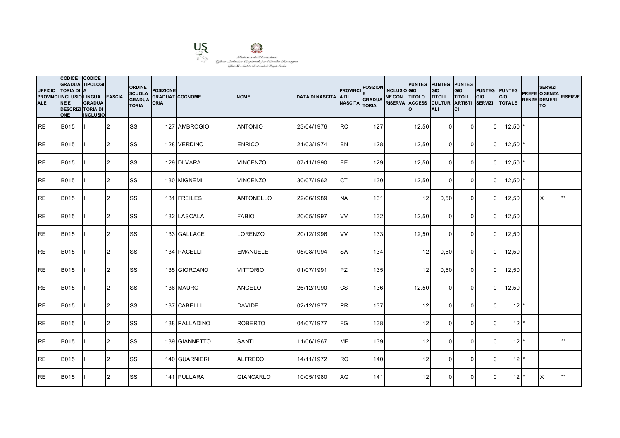

| <b>UFFICIO</b><br><b>ALE</b> | CODICE CODICE<br><b>GRADUA TIPOLOGI</b><br>TORIA DI A<br>PROVINCI INCLUSIO LINGUA FASCIA<br><b>NEE</b><br><b>DESCRIZI TORIA DI</b><br><b>ONE</b> | <b>GRADUA</b><br><b>INCLUSIO</b> |                | <b>ORDINE</b><br><b>SCUOLA</b><br><b>GRADUA</b><br><b>TORIA</b> | <b>POSIZIONE</b><br><b>GRADUAT COGNOME</b><br><b>ORIA</b> |               | <b>NOME</b>      | <b>DATA DI NASCITA A DI</b> | <b>PROVINCI</b><br><b>NASCITA</b> | <b>POSIZION</b><br><b>GRADUA</b><br><b>TORIA</b> | <b>INCLUSIO</b> GIO<br>NE CON TITOLO TITOLI<br>RISERVA ACCESS CULTUR ARTISTI | PUNTEG PUNTEG PUNTEG<br>Ιo | GIO<br><b>ALI</b> | GIO<br><b>TITOLI</b><br>Iсı | <b>PUNTEG PUNTEG</b><br>GIO<br><b>SERVIZI</b> | <b>GIO</b><br><b>TOTALE</b> | <b>SERVIZI</b><br>PREFE O SENZA<br><b>RENZE DEMERI</b><br>lTO. | <b>RISERVE</b> |
|------------------------------|--------------------------------------------------------------------------------------------------------------------------------------------------|----------------------------------|----------------|-----------------------------------------------------------------|-----------------------------------------------------------|---------------|------------------|-----------------------------|-----------------------------------|--------------------------------------------------|------------------------------------------------------------------------------|----------------------------|-------------------|-----------------------------|-----------------------------------------------|-----------------------------|----------------------------------------------------------------|----------------|
| IRE.                         | <b>B015</b>                                                                                                                                      |                                  | 12             | <b>SS</b>                                                       |                                                           | 127 AMBROGIO  | <b>ANTONIO</b>   | 23/04/1976                  | <b>RC</b>                         | 127                                              |                                                                              | 12,50                      | $\overline{0}$    | $\overline{0}$              | $\overline{0}$                                | $12,50$ $^{\circ}$          |                                                                |                |
| <b>RE</b>                    | <b>B015</b>                                                                                                                                      |                                  | 2              | SS                                                              |                                                           | 128 VERDINO   | <b>ENRICO</b>    | 21/03/1974                  | <b>BN</b>                         | 128                                              |                                                                              | 12,50                      | $\Omega$          | $\Omega$                    | $\overline{0}$                                | $12,50$ $\ast$              |                                                                |                |
| <b>RE</b>                    | B015                                                                                                                                             |                                  | 2              | SS                                                              |                                                           | 129 DI VARA   | <b>VINCENZO</b>  | 07/11/1990                  | EE                                | 129                                              |                                                                              | 12,50                      | $\Omega$          | 0                           | $\Omega$                                      | $12,50$ $^{\circ}$          |                                                                |                |
| IRE.                         | B015                                                                                                                                             |                                  | 2              | <b>SS</b>                                                       |                                                           | 130 MIGNEMI   | <b>VINCENZO</b>  | 30/07/1962                  | <b>CT</b>                         | 130                                              |                                                                              | 12,50                      | $\Omega$          | $\overline{0}$              | $\overline{0}$                                | $12,50$ $*$                 |                                                                |                |
| <b>RE</b>                    | <b>B015</b>                                                                                                                                      |                                  | $\overline{2}$ | <b>SS</b>                                                       |                                                           | 131 FREILES   | <b>ANTONELLO</b> | 22/06/1989                  | <b>NA</b>                         | 131                                              |                                                                              | 12                         | 0,50              | $\mathbf 0$                 | $\Omega$                                      | 12,50                       | <b>X</b>                                                       | $***$          |
| <b>RE</b>                    | <b>B015</b>                                                                                                                                      |                                  | 2              | SS                                                              |                                                           | 132 LASCALA   | <b>FABIO</b>     | 20/05/1997                  | VV                                | 132                                              |                                                                              | 12,50                      | $\Omega$          | $\mathbf 0$                 | $\Omega$                                      | 12,50                       |                                                                |                |
| <b>RE</b>                    | B015                                                                                                                                             |                                  | 2              | <b>SS</b>                                                       |                                                           | 133 GALLACE   | <b>LORENZO</b>   | 20/12/1996                  | <b>VV</b>                         | 133                                              |                                                                              | 12,50                      | $\overline{0}$    | $\overline{0}$              | $\overline{0}$                                | 12,50                       |                                                                |                |
| <b>RE</b>                    | <b>B015</b>                                                                                                                                      |                                  | 2              | SS                                                              |                                                           | 134 PACELLI   | <b>EMANUELE</b>  | 05/08/1994                  | <b>SA</b>                         | 134                                              |                                                                              | 12                         | 0,50              | $\Omega$                    | $\Omega$                                      | 12,50                       |                                                                |                |
| <b>RE</b>                    | <b>B015</b>                                                                                                                                      |                                  | 2              | <b>SS</b>                                                       |                                                           | 135 GIORDANO  | <b>VITTORIO</b>  | 01/07/1991                  | PZ                                | 135                                              |                                                                              | 12                         | 0,50              | $\mathbf 0$                 | $\Omega$                                      | 12,50                       |                                                                |                |
| <b>RE</b>                    | <b>B015</b>                                                                                                                                      |                                  | $\overline{2}$ | <b>SS</b>                                                       |                                                           | 136 MAURO     | <b>ANGELO</b>    | 26/12/1990                  | <b>CS</b>                         | 136                                              |                                                                              | 12,50                      | $\mathbf 0$       | $\mathbf 0$                 | $\overline{0}$                                | 12,50                       |                                                                |                |
| <b>IRE</b>                   | <b>B015</b>                                                                                                                                      |                                  | 2              | <b>SS</b>                                                       |                                                           | 137 CABELLI   | <b>DAVIDE</b>    | 02/12/1977                  | <b>IPR</b>                        | 137                                              |                                                                              | 12                         | $\Omega$          | $\Omega$                    | $\Omega$                                      | 12 <sup>1</sup>             |                                                                |                |
| IRE.                         | <b>B015</b>                                                                                                                                      |                                  | 2              | <b>SS</b>                                                       |                                                           | 138 PALLADINO | <b>ROBERTO</b>   | 04/07/1977                  | <b>FG</b>                         | 138                                              |                                                                              | 12                         | $\Omega$          | $\Omega$                    | $\Omega$                                      | 12 <sup>1</sup>             |                                                                |                |
| <b>RE</b>                    | <b>B015</b>                                                                                                                                      |                                  | 2              | <b>SS</b>                                                       |                                                           | 139 GIANNETTO | <b>SANTI</b>     | 11/06/1967                  | <b>ME</b>                         | 139                                              |                                                                              | 12                         | $\overline{0}$    | $\mathbf 0$                 | $\Omega$                                      | $12^{\star}$                |                                                                | $***$          |
| <b>RE</b>                    | <b>B015</b>                                                                                                                                      |                                  | 2              | <b>SS</b>                                                       |                                                           | 140 GUARNIERI | <b>ALFREDO</b>   | 14/11/1972                  | <b>RC</b>                         | 140                                              |                                                                              | 12                         | $\Omega$          | $\Omega$                    | $\Omega$                                      | $12$ $*$                    |                                                                |                |
| <b>IRE</b>                   | B015                                                                                                                                             |                                  | $\overline{2}$ | <b>SS</b>                                                       |                                                           | 141 PULLARA   | <b>GIANCARLO</b> | 10/05/1980                  | AG                                | 141                                              |                                                                              | 12                         | $\Omega$          | $\Omega$                    | $\Omega$                                      | 12 <sup>1</sup>             | ΙX                                                             | $**$           |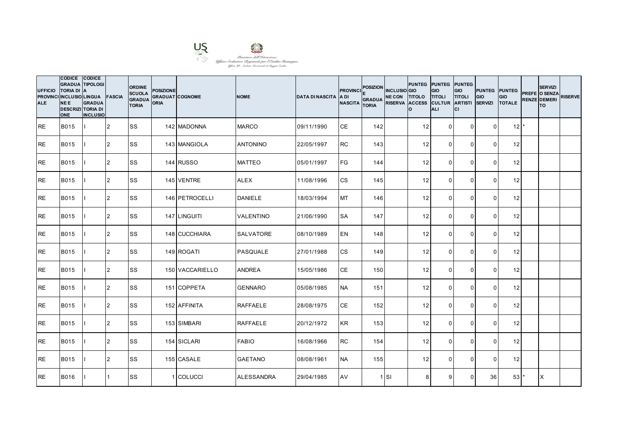

| <b>UFFICIO</b><br><b>ALE</b> | CODICE CODICE<br><b>GRADUA TIPOLOGI</b><br><b>TORIA DI</b><br>PROVINCI INCLUSIO LINGUA FASCIA<br><b>NEE</b><br><b>DESCRIZI TORIA DI</b><br><b>ONE</b> | <b>IA</b><br><b>GRADUA</b><br><b>INCLUSIO</b> |                | <b>ORDINE</b><br><b>SCUOLA</b><br><b>GRADUA</b><br><b>TORIA</b> | <b>POSIZIONE</b><br><b>GRADUAT COGNOME</b><br><b>ORIA</b> |                 | <b>NOME</b>       | <b>DATA DI NASCITA A DI</b> | <b>PROVINCI</b><br><b>NASCITA</b> | <b>POSIZION</b><br><b>GRADUA</b><br><b>TORIA</b> | <b>INCLUSIO</b> GIO<br>NE CON TITOLO TITOLI<br>RISERVA ACCESS CULTUR ARTISTI | PUNTEG PUNTEG PUNTEG<br>I٥. | GIO<br><b>ALI</b> | GIO<br><b>TITOLI</b><br>Iсı | <b>PUNTEG PUNTEG</b><br>GIO<br><b>SERVIZI</b> | <b>GIO</b><br><b>TOTALE</b> | <b>SERVIZI</b><br>PREFE O SENZA<br><b>RENZE DEMERI</b><br>lTO. | <b>RISERVE</b> |
|------------------------------|-------------------------------------------------------------------------------------------------------------------------------------------------------|-----------------------------------------------|----------------|-----------------------------------------------------------------|-----------------------------------------------------------|-----------------|-------------------|-----------------------------|-----------------------------------|--------------------------------------------------|------------------------------------------------------------------------------|-----------------------------|-------------------|-----------------------------|-----------------------------------------------|-----------------------------|----------------------------------------------------------------|----------------|
| IRE.                         | <b>B015</b>                                                                                                                                           |                                               | 12             | <b>SS</b>                                                       |                                                           | 142 MADONNA     | <b>MARCO</b>      | 09/11/1990                  | <b>CE</b>                         | 142                                              |                                                                              | 12                          | $\overline{0}$    | $\overline{0}$              | $\Omega$                                      | $12$ $*$                    |                                                                |                |
| <b>RE</b>                    | <b>B015</b>                                                                                                                                           |                                               | 2              | <b>SS</b>                                                       |                                                           | 143 MANGIOLA    | <b>ANTONINO</b>   | 22/05/1997                  | <b>RC</b>                         | 143                                              |                                                                              | 12                          | $\Omega$          | $\Omega$                    | $\Omega$                                      | 12                          |                                                                |                |
| <b>RE</b>                    | B015                                                                                                                                                  |                                               | 2              | <b>SS</b>                                                       |                                                           | 144 RUSSO       | <b>MATTEO</b>     | 05/01/1997                  | <b>FG</b>                         | 144                                              |                                                                              | 12                          | $\Omega$          | $\mathbf 0$                 | $\Omega$                                      | 12                          |                                                                |                |
| IRE.                         | <b>B015</b>                                                                                                                                           |                                               | 2              | <b>SS</b>                                                       |                                                           | 145 VENTRE      | <b>ALEX</b>       | 11/08/1996                  | <b>CS</b>                         | 145                                              |                                                                              | 12                          | $\Omega$          | $\mathbf{0}$                | $\Omega$                                      | 12                          |                                                                |                |
| <b>RE</b>                    | <b>B015</b>                                                                                                                                           |                                               | $\overline{2}$ | <b>SS</b>                                                       |                                                           | 146 PETROCELLI  | <b>DANIELE</b>    | 18/03/1994                  | <b>MT</b>                         | 146                                              |                                                                              | 12                          | $\Omega$          | $\mathbf{0}$                | $\Omega$                                      | 12                          |                                                                |                |
| <b>RE</b>                    | <b>B015</b>                                                                                                                                           |                                               | 2              | <b>SS</b>                                                       |                                                           | 147 LINGUITI    | <b>VALENTINO</b>  | 21/06/1990                  | <b>SA</b>                         | 147                                              |                                                                              | 12                          | $\Omega$          | $\mathbf{0}$                | $\Omega$                                      | 12                          |                                                                |                |
| <b>RE</b>                    | B015                                                                                                                                                  |                                               | 2              | <b>SS</b>                                                       |                                                           | 148 CUCCHIARA   | <b>SALVATORE</b>  | 08/10/1989                  | <b>EN</b>                         | 148                                              |                                                                              | 12                          | $\overline{0}$    | $\mathbf 0$                 | $\overline{0}$                                | 12                          |                                                                |                |
| <b>RE</b>                    | <b>B015</b>                                                                                                                                           |                                               | 2              | SS                                                              |                                                           | 149 ROGATI      | <b>PASQUALE</b>   | 27/01/1988                  | <b>CS</b>                         | 149                                              |                                                                              | 12                          | $\Omega$          | $\Omega$                    | $\Omega$                                      | 12                          |                                                                |                |
| <b>RE</b>                    | <b>B015</b>                                                                                                                                           |                                               | 2              | <b>SS</b>                                                       |                                                           | 150 VACCARIELLO | <b>ANDREA</b>     | 15/05/1986                  | CE                                | 150                                              |                                                                              | 12                          | $\Omega$          | $\mathbf{0}$                | $\Omega$                                      | 12                          |                                                                |                |
| <b>RE</b>                    | <b>B015</b>                                                                                                                                           |                                               | $\overline{2}$ | <b>SS</b>                                                       |                                                           | 151 COPPETA     | <b>GENNARO</b>    | 05/08/1985                  | <b>NA</b>                         | 151                                              |                                                                              | 12                          | $\overline{0}$    | $\mathbf 0$                 | $\Omega$                                      | 12                          |                                                                |                |
| <b>IRE</b>                   | <b>B015</b>                                                                                                                                           |                                               | 2              | <b>SS</b>                                                       |                                                           | 152 AFFINITA    | <b>RAFFAELE</b>   | 28/08/1975                  | <b>CE</b>                         | 152                                              |                                                                              | 12                          | $\Omega$          | $\Omega$                    | $\Omega$                                      | 12                          |                                                                |                |
| IRE.                         | <b>B015</b>                                                                                                                                           |                                               | 2              | <b>SS</b>                                                       |                                                           | 153 SIMBARI     | <b>RAFFAELE</b>   | 20/12/1972                  | <b>KR</b>                         | 153                                              |                                                                              | 12                          | $\Omega$          | $\mathbf{0}$                | $\Omega$                                      | 12                          |                                                                |                |
| <b>RE</b>                    | <b>B015</b>                                                                                                                                           |                                               | 2              | <b>SS</b>                                                       |                                                           | 154 SICLARI     | <b>FABIO</b>      | 16/08/1966                  | <b>RC</b>                         | 154                                              |                                                                              | 12                          | $\overline{0}$    | $\mathbf 0$                 | $\Omega$                                      | 12                          |                                                                |                |
| RE                           | <b>B015</b>                                                                                                                                           |                                               | 2              | <b>SS</b>                                                       |                                                           | 155 CASALE      | <b>GAETANO</b>    | 08/08/1961                  | <b>NA</b>                         | 155                                              |                                                                              | 12                          | $\Omega$          | $\Omega$                    | $\Omega$                                      | 12                          |                                                                |                |
| <b>IRE</b>                   | <b>B016</b>                                                                                                                                           |                                               |                | <b>SS</b>                                                       |                                                           | 1 COLUCCI       | <b>ALESSANDRA</b> | 29/04/1985                  | AV                                |                                                  | $1$ SI                                                                       | 8                           | 9                 | $\Omega$                    | 36 <sup>1</sup>                               | 53                          | X                                                              |                |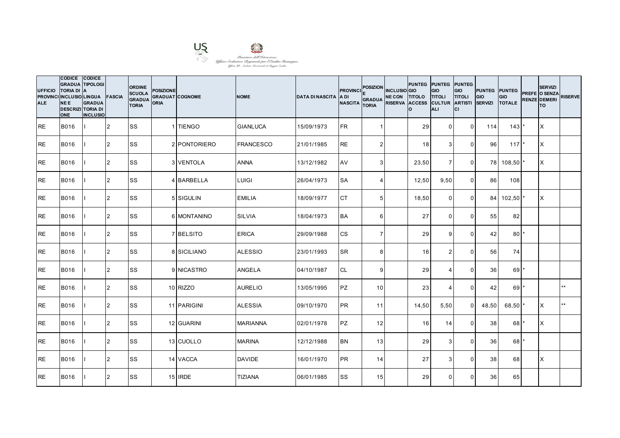

| <b>UFFICIO</b><br><b>PROVINCI</b><br><b>ALE</b> | CODICE CODICE<br><b>GRADUA TIPOLOGI</b><br><b>TORIA DI</b><br>INCLUSIO LINGUA FASCIA<br><b>NEE</b><br><b>DESCRIZI TORIA DI</b><br><b>ONE</b> | <b>IA</b><br><b>GRADUA</b><br><b>INCLUSIO</b> |                | <b>ORDINE</b><br><b>SCUOLA</b><br><b>GRADUA</b><br><b>TORIA</b> | <b>POSIZIONE</b><br><b>GRADUAT COGNOME</b><br><b>ORIA</b> |                   | <b>NOME</b>      | <b>DATA DI NASCITA</b> | <b>PROVINCI</b><br>IA DI<br><b>NASCITA</b> | <b>POSIZION</b><br><b>GRADUA</b><br><b>TORIA</b> | <b>INCLUSIO</b> GIO<br>NE CON TITOLO TITOLI | Ιo              | PUNTEG PUNTEG PUNTEG<br>GIO<br>RISERVA ACCESS CULTUR ARTISTI<br><b>ALI</b> | GIO<br><b>TITOLI</b><br>lcı | PUNTEG PUNTEG<br>GIO<br><b>SERVIZI</b> | <b>GIO</b><br><b>TOTALE</b> | <b>SERVIZI</b><br>PREFE O SENZA<br><b>RENZE DEMERI</b><br>lтo | <b>RISERVE</b> |
|-------------------------------------------------|----------------------------------------------------------------------------------------------------------------------------------------------|-----------------------------------------------|----------------|-----------------------------------------------------------------|-----------------------------------------------------------|-------------------|------------------|------------------------|--------------------------------------------|--------------------------------------------------|---------------------------------------------|-----------------|----------------------------------------------------------------------------|-----------------------------|----------------------------------------|-----------------------------|---------------------------------------------------------------|----------------|
| IRE.                                            | B016                                                                                                                                         |                                               | 12             | <b>SS</b>                                                       |                                                           | 1 TIENGO          | <b>GIANLUCA</b>  | 15/09/1973             | <b>FR</b>                                  | $\mathbf{1}$                                     |                                             | 29              | $\overline{0}$                                                             | $\Omega$                    | 114                                    | 143                         | ΙX                                                            |                |
| <b>RE</b>                                       | <b>B016</b>                                                                                                                                  |                                               | 2              | <b>SS</b>                                                       |                                                           | 2 PONTORIERO      | <b>FRANCESCO</b> | 21/01/1985             | <b>RE</b>                                  | 2 <sub>l</sub>                                   |                                             | 18 <sup>1</sup> | 3                                                                          | $\mathbf{0}$                | 96                                     | $117$ *                     | IX.                                                           |                |
| <b>RE</b>                                       | <b>B016</b>                                                                                                                                  |                                               | 2              | <b>SS</b>                                                       |                                                           | <b>3 VENTOLA</b>  | <b>ANNA</b>      | 13/12/1982             | AV                                         | 3 <sup>1</sup>                                   |                                             | 23,50           | $\overline{7}$                                                             | $\mathbf 0$                 |                                        | 78 108,50                   | X                                                             |                |
| <b>RE</b>                                       | <b>B016</b>                                                                                                                                  |                                               | $\overline{2}$ | <b>SS</b>                                                       |                                                           | 4 BARBELLA        | LUIGI            | 26/04/1973             | <b>SA</b>                                  | $\overline{4}$                                   |                                             | 12,50           | 9,50                                                                       | $\mathbf 0$                 | 86                                     | 108                         |                                                               |                |
| <b>IRE</b>                                      | <b>B016</b>                                                                                                                                  |                                               | 2              | <b>SS</b>                                                       |                                                           | 5 SIGULIN         | <b>EMILIA</b>    | 18/09/1977             | <b>ICT</b>                                 | 5 <sub>l</sub>                                   |                                             | 18,50           | $\Omega$                                                                   | $\Omega$                    |                                        | 84 102,50                   | IX.                                                           |                |
| RE                                              | B016                                                                                                                                         |                                               | 2              | SS                                                              |                                                           | 6 MONTANINO       | <b>SILVIA</b>    | 18/04/1973             | <b>BA</b>                                  | $6 \mid$                                         |                                             | 27              | $\Omega$                                                                   | $\mathbf{0}$                | 55                                     | 82                          |                                                               |                |
| <b>RE</b>                                       | <b>B016</b>                                                                                                                                  |                                               | 2              | SS                                                              |                                                           | 7 BELSITO         | <b>ERICA</b>     | 29/09/1988             | <b>CS</b>                                  | 7 <sup>1</sup>                                   |                                             | 29              | 9                                                                          | $\mathbf 0$                 | 42                                     | $80*$                       |                                                               |                |
| <b>RE</b>                                       | <b>B016</b>                                                                                                                                  |                                               | 2              | <b>SS</b>                                                       |                                                           | 8 SICILIANO       | <b>ALESSIO</b>   | 23/01/1993             | <b>SR</b>                                  | 8 <sup>1</sup>                                   |                                             | 16              | 2                                                                          | $\mathbf{0}$                | 56                                     | 74                          |                                                               |                |
| <b>RE</b>                                       | <b>B016</b>                                                                                                                                  |                                               | 2              | SS                                                              |                                                           | 9 <b>NICASTRO</b> | <b>ANGELA</b>    | 04/10/1987             | <b>CL</b>                                  | 9 <sub>l</sub>                                   |                                             | 29              | $\overline{4}$                                                             | $\mathbf 0$                 | 36                                     | $69$ <sup>*</sup>           |                                                               |                |
| <b>RE</b>                                       | B016                                                                                                                                         |                                               | 2              | <b>SS</b>                                                       |                                                           | 10 RIZZO          | <b>AURELIO</b>   | 13/05/1995             | <b>PZ</b>                                  | 10 <sup>1</sup>                                  |                                             | 23              | $\overline{4}$                                                             | $\mathbf 0$                 | 42                                     | $69$ <sup>*</sup>           |                                                               | $***$          |
| RE                                              | B016                                                                                                                                         |                                               | 2              | SS                                                              |                                                           | 11 PARIGINI       | <b>ALESSIA</b>   | 09/10/1970             | <b>IPR</b>                                 | 11                                               |                                             | 14,50           | 5,50                                                                       | $\Omega$                    | 48,50                                  | 68,50                       | X                                                             | $**$           |
| <b>RE</b>                                       | <b>B016</b>                                                                                                                                  |                                               | $\overline{2}$ | <b>SS</b>                                                       |                                                           | 12 GUARINI        | <b>MARIANNA</b>  | 02/01/1978             | <b>PZ</b>                                  | 12                                               |                                             | 16              | 14                                                                         | $\Omega$                    | 38                                     | 68                          | ΙX                                                            |                |
| <b>RE</b>                                       | B016                                                                                                                                         |                                               | 2              | <b>SS</b>                                                       |                                                           | 13 CUOLLO         | <b>MARINA</b>    | 12/12/1988             | <b>BN</b>                                  | 13                                               |                                             | 29              | $\mathbf{3}$                                                               | $\overline{0}$              | 36                                     | $68$ <sup>*</sup>           |                                                               |                |
| <b>RE</b>                                       | <b>B016</b>                                                                                                                                  |                                               | 2              | <b>SS</b>                                                       |                                                           | 14 VACCA          | <b>DAVIDE</b>    | 16/01/1970             | <b>PR</b>                                  | 14                                               |                                             | 27              | 3                                                                          | $\mathbf 0$                 | 38                                     | 68                          | X                                                             |                |
| <b>RE</b>                                       | <b>B016</b>                                                                                                                                  |                                               | 2              | <b>SS</b>                                                       |                                                           | 15 IRDE           | <b>TIZIANA</b>   | 06/01/1985             | <b>SS</b>                                  | 15                                               |                                             | 29              | $\Omega$                                                                   | $\mathbf{0}$                | 36                                     | 65                          |                                                               |                |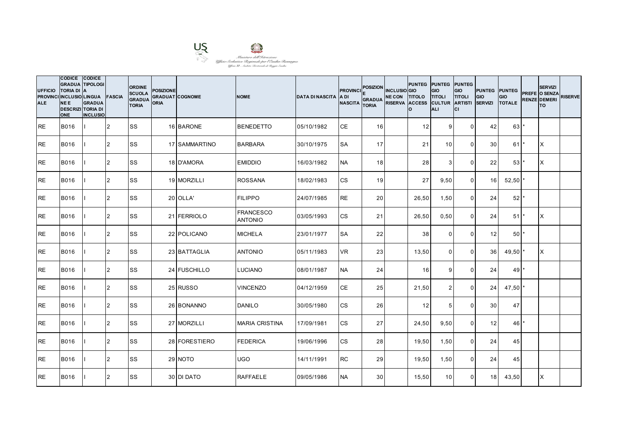

| <b>UFFICIO</b><br><b>ALE</b> | CODICE CODICE<br><b>GRADUA TIPOLOGI</b><br><b>TORIA DI</b><br>PROVINCI INCLUSIO LINGUA FASCIA<br><b>NEE</b><br><b>DESCRIZI TORIA DI</b><br><b>ONE</b> | <b>IA</b><br><b>GRADUA</b><br><b>INCLUSIO</b> |                | <b>ORDINE</b><br><b>SCUOLA</b><br><b>GRADUA</b><br><b>TORIA</b> | <b>POSIZIONE</b><br><b>GRADUAT COGNOME</b><br><b>ORIA</b> |               | <b>NOME</b>                        | <b>DATA DI NASCITA</b> | <b>PROVINCI</b><br>IA DI<br><b>NASCITA</b> | <b>POSIZION</b><br><b>GRADUA</b><br><b>TORIA</b> | <b>INCLUSIO</b> GIO<br>NE CON TITOLO TITOLI<br>RISERVA ACCESS CULTUR ARTISTI | Ιo    | <b>PUNTEG PUNTEG PUNTEG</b><br><b>GIO</b><br><b>ALI</b> | GIO<br><b>TITOLI</b><br>lcı | <b>PUNTEG PUNTEG</b><br>GIO<br><b>SERVIZI</b> | <b>GIO</b><br><b>TOTALE</b>   | <b>SERVIZI</b><br>PREFE O SENZA<br><b>RENZE DEMERI</b><br>lTO. | <b>RISERVE</b> |
|------------------------------|-------------------------------------------------------------------------------------------------------------------------------------------------------|-----------------------------------------------|----------------|-----------------------------------------------------------------|-----------------------------------------------------------|---------------|------------------------------------|------------------------|--------------------------------------------|--------------------------------------------------|------------------------------------------------------------------------------|-------|---------------------------------------------------------|-----------------------------|-----------------------------------------------|-------------------------------|----------------------------------------------------------------|----------------|
| IRE.                         | <b>B016</b>                                                                                                                                           |                                               | 12             | <b>SS</b>                                                       |                                                           | 16 BARONE     | <b>BENEDETTO</b>                   | 05/10/1982             | <b>CE</b>                                  | 16                                               |                                                                              | 12    | 9                                                       | $\overline{0}$              | 42                                            | $63$ $\overline{\phantom{a}}$ |                                                                |                |
| <b>RE</b>                    | B016                                                                                                                                                  |                                               | 2              | <b>SS</b>                                                       |                                                           | 17 SAMMARTINO | <b>BARBARA</b>                     | 30/10/1975             | <b>SA</b>                                  | 17                                               |                                                                              | 21    | 10 <sup>1</sup>                                         | $\Omega$                    | 30 <sub>l</sub>                               | $61$ <sup>'</sup>             | ΙX                                                             |                |
| <b>RE</b>                    | <b>B016</b>                                                                                                                                           |                                               | 2              | <b>SS</b>                                                       |                                                           | 18 D'AMORA    | <b>EMIDDIO</b>                     | 16/03/1982             | <b>NA</b>                                  | 18                                               |                                                                              | 28    | 3                                                       | $\mathbf 0$                 | 22                                            | 53                            | <b>X</b>                                                       |                |
| <b>RE</b>                    | <b>B016</b>                                                                                                                                           |                                               | $\overline{2}$ | <b>SS</b>                                                       |                                                           | 19 MORZILLI   | <b>ROSSANA</b>                     | 18/02/1983             | <b>CS</b>                                  | 19                                               |                                                                              | 27    | 9,50                                                    | $\overline{0}$              | 16                                            | $52,50$ *                     |                                                                |                |
| <b>RE</b>                    | <b>B016</b>                                                                                                                                           |                                               | 2              | <b>SS</b>                                                       |                                                           | 20 OLLA'      | <b>FILIPPO</b>                     | 24/07/1985             | <b>RE</b>                                  | 20 <sup>1</sup>                                  |                                                                              | 26,50 | 1,50                                                    | $\Omega$                    | 24                                            | $52$ *                        |                                                                |                |
| <b>RE</b>                    | B016                                                                                                                                                  |                                               | 2              | SS                                                              |                                                           | 21 FERRIOLO   | <b>FRANCESCO</b><br><b>ANTONIO</b> | 03/05/1993             | <b>CS</b>                                  | 21                                               |                                                                              | 26,50 | 0,50                                                    | $\mathbf{0}$                | 24                                            | 51                            | Ιx                                                             |                |
| <b>RE</b>                    | B016                                                                                                                                                  |                                               | 2              | <b>SS</b>                                                       |                                                           | 22 POLICANO   | <b>MICHELA</b>                     | 23/01/1977             | <b>SA</b>                                  | 22                                               |                                                                              | 38    | $\mathbf 0$                                             | $\mathbf 0$                 | 12                                            | $50$ <sup>*</sup>             |                                                                |                |
| <b>RE</b>                    | <b>B016</b>                                                                                                                                           |                                               | 2              | <b>SS</b>                                                       |                                                           | 23 BATTAGLIA  | <b>ANTONIO</b>                     | 05/11/1983             | <b>VR</b>                                  | 23                                               |                                                                              | 13,50 | $\Omega$                                                | $\mathbf{0}$                | 36                                            | 49,50                         | <b>X</b>                                                       |                |
| <b>RE</b>                    | <b>B016</b>                                                                                                                                           |                                               | 2              | SS                                                              |                                                           | 24 FUSCHILLO  | <b>LUCIANO</b>                     | 08/01/1987             | <b>NA</b>                                  | 24                                               |                                                                              | 16    | 9                                                       | 0                           | 24                                            | $49$ <sup>*</sup>             |                                                                |                |
| <b>RE</b>                    | B016                                                                                                                                                  |                                               | 2              | <b>SS</b>                                                       |                                                           | 25 RUSSO      | <b>VINCENZO</b>                    | 04/12/1959             | <b>CE</b>                                  | 25                                               |                                                                              | 21,50 | $\overline{2}$                                          | $\overline{0}$              | 24                                            | $47,50$ *                     |                                                                |                |
| <b>RE</b>                    | B016                                                                                                                                                  |                                               | 2              | SS                                                              |                                                           | 26 BONANNO    | <b>DANILO</b>                      | 30/05/1980             | <b>CS</b>                                  | 26                                               |                                                                              | 12    | 5                                                       | $\Omega$                    | 30                                            | 47                            |                                                                |                |
| <b>RE</b>                    | <b>B016</b>                                                                                                                                           |                                               | 2              | <b>SS</b>                                                       |                                                           | 27 MORZILLI   | <b>MARIA CRISTINA</b>              | 17/09/1981             | <b>CS</b>                                  | 27                                               |                                                                              | 24,50 | 9,50                                                    | $\mathbf 0$                 | 12                                            | 46                            |                                                                |                |
| <b>RE</b>                    | B016                                                                                                                                                  |                                               | 2              | <b>SS</b>                                                       |                                                           | 28 FORESTIERO | <b>FEDERICA</b>                    | 19/06/1996             | <b>CS</b>                                  | 28                                               |                                                                              | 19,50 | 1,50                                                    | $\overline{0}$              | 24                                            | 45                            |                                                                |                |
| <b>RE</b>                    | <b>B016</b>                                                                                                                                           |                                               | 2              | <b>SS</b>                                                       |                                                           | 29 NOTO       | <b>UGO</b>                         | 14/11/1991             | <b>RC</b>                                  | 29                                               |                                                                              | 19,50 | 1,50                                                    | $\mathbf 0$                 | 24                                            | 45                            |                                                                |                |
| <b>RE</b>                    | <b>B016</b>                                                                                                                                           |                                               | 2              | <b>SS</b>                                                       |                                                           | 30 DI DATO    | <b>RAFFAELE</b>                    | 09/05/1986             | <b>NA</b>                                  | 30 <sup>1</sup>                                  |                                                                              | 15,50 | 10                                                      | $\Omega$                    | 18                                            | 43,50                         | X                                                              |                |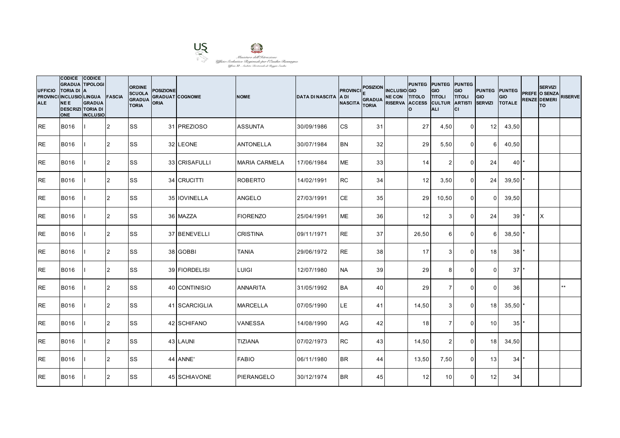

| <b>UFFICIO</b><br><b>ALE</b> | CODICE CODICE<br><b>GRADUA TIPOLOGI</b><br><b>TORIA DI</b><br>PROVINCI INCLUSIO LINGUA FASCIA<br><b>NEE</b><br><b>DESCRIZI TORIA DI</b><br><b>ONE</b> | <b>IA</b><br><b>GRADUA</b><br><b>INCLUSIO</b> |                | <b>ORDINE</b><br><b>SCUOLA</b><br><b>GRADUA</b><br><b>TORIA</b> | <b>POSIZIONE</b><br><b>GRADUAT COGNOME</b><br><b>ORIA</b> |               | <b>NOME</b>          | <b>DATA DI NASCITA</b> | <b>PROVINCI</b><br>IA DI<br><b>NASCITA</b> | <b>POSIZION</b><br><b>GRADUA</b><br><b>TORIA</b> | <b>INCLUSIO</b> GIO<br>NE CON TITOLO TITOLI<br>RISERVA ACCESS CULTUR ARTISTI | PUNTEG PUNTEG PUNTEG<br>Ιo | <b>GIO</b><br><b>ALI</b> | GIO<br><b>TITOLI</b><br>Iсı | PUNTEG PUNTEG<br>GIO<br><b>SERVIZI</b> | <b>GIO</b><br><b>TOTALE</b> | <b>SERVIZI</b><br>PREFE O SENZA<br><b>RENZE DEMERI</b><br>lTO. | <b>RISERVE</b> |
|------------------------------|-------------------------------------------------------------------------------------------------------------------------------------------------------|-----------------------------------------------|----------------|-----------------------------------------------------------------|-----------------------------------------------------------|---------------|----------------------|------------------------|--------------------------------------------|--------------------------------------------------|------------------------------------------------------------------------------|----------------------------|--------------------------|-----------------------------|----------------------------------------|-----------------------------|----------------------------------------------------------------|----------------|
| IRE.                         | <b>B016</b>                                                                                                                                           |                                               | 2              | <b>SS</b>                                                       |                                                           | 31 PREZIOSO   | <b>ASSUNTA</b>       | 30/09/1986             | <b>CS</b>                                  | 31                                               |                                                                              | 27                         | 4,50                     | $\overline{0}$              | 12 <sup>1</sup>                        | 43,50                       |                                                                |                |
| <b>RE</b>                    | <b>B016</b>                                                                                                                                           |                                               | 2              | <b>SS</b>                                                       |                                                           | 32 LEONE      | <b>ANTONELLA</b>     | 30/07/1984             | <b>BN</b>                                  | 32                                               |                                                                              | 29                         | 5,50                     | $\mathbf 0$                 | 6                                      | 40,50                       |                                                                |                |
| <b>RE</b>                    | <b>B016</b>                                                                                                                                           |                                               | 2              | SS                                                              |                                                           | 33 CRISAFULLI | <b>MARIA CARMELA</b> | 17/06/1984             | <b>ME</b>                                  | 33                                               |                                                                              | 14                         | 2                        | $\mathbf 0$                 | 24                                     | $40^{\star}$                |                                                                |                |
| IRE.                         | <b>B016</b>                                                                                                                                           |                                               | 2              | <b>SS</b>                                                       |                                                           | 34 CRUCITTI   | <b>ROBERTO</b>       | 14/02/1991             | <b>RC</b>                                  | 34                                               |                                                                              | 12                         | 3,50                     | $\overline{0}$              | 24                                     | $39,50$ *                   |                                                                |                |
| <b>RE</b>                    | <b>B016</b>                                                                                                                                           |                                               | $\overline{2}$ | <b>SS</b>                                                       |                                                           | 35 IOVINELLA  | <b>ANGELO</b>        | 27/03/1991             | <b>CE</b>                                  | 35                                               |                                                                              | 29                         | 10,50                    | $\Omega$                    | $\Omega$                               | 39,50                       |                                                                |                |
| <b>RE</b>                    | <b>B016</b>                                                                                                                                           |                                               | 2              | SS                                                              |                                                           | 36 MAZZA      | <b>FIORENZO</b>      | 25/04/1991             | <b>ME</b>                                  | 36                                               |                                                                              | 12                         | 3                        | $\mathbf 0$                 | 24                                     | 39                          | X                                                              |                |
| <b>RE</b>                    | <b>B016</b>                                                                                                                                           |                                               | 2              | <b>SS</b>                                                       |                                                           | 37 BENEVELLI  | <b>CRISTINA</b>      | 09/11/1971             | <b>RE</b>                                  | 37                                               |                                                                              | 26,50                      | $6 \mid$                 | $\mathbf 0$                 | $6 \mid$                               | 38,50                       |                                                                |                |
| <b>RE</b>                    | B016                                                                                                                                                  |                                               | 2              | <b>SS</b>                                                       |                                                           | 38 GOBBI      | <b>TANIA</b>         | 29/06/1972             | <b>RE</b>                                  | 38 <sup>l</sup>                                  |                                                                              | 17                         | 3                        | $\mathbf{0}$                | 18 <sup>1</sup>                        | 38 <sup>1</sup>             |                                                                |                |
| <b>RE</b>                    | <b>B016</b>                                                                                                                                           |                                               | 2              | <b>SS</b>                                                       |                                                           | 39 FIORDELISI | <b>LUIGI</b>         | 12/07/1980             | <b>NA</b>                                  | 39                                               |                                                                              | 29                         | 8                        | $\mathbf{0}$                | $\Omega$                               | $37$ <sup>*</sup>           |                                                                |                |
| <b>RE</b>                    | <b>B016</b>                                                                                                                                           |                                               | $\overline{2}$ | <b>SS</b>                                                       |                                                           | 40 CONTINISIO | <b>ANNARITA</b>      | 31/05/1992             | <b>BA</b>                                  | 40                                               |                                                                              | 29                         | $\overline{7}$           | $\mathbf 0$                 | $\Omega$                               | 36                          |                                                                | $**$           |
| <b>IRE</b>                   | <b>B016</b>                                                                                                                                           |                                               | 2              | <b>SS</b>                                                       |                                                           | 41 SCARCIGLIA | <b>MARCELLA</b>      | 07/05/1990             | <b>LE</b>                                  | 41                                               |                                                                              | 14,50                      | 3                        | $\mathbf{0}$                | 18 <sup>1</sup>                        | 35,50                       |                                                                |                |
| IRE.                         | <b>B016</b>                                                                                                                                           |                                               | 2              | <b>SS</b>                                                       |                                                           | 42 SCHIFANO   | <b>VANESSA</b>       | 14/08/1990             | AG                                         | 42                                               |                                                                              | 18                         | $\overline{7}$           | $\Omega$                    | 10 <sup>1</sup>                        | 35                          |                                                                |                |
| <b>RE</b>                    | B016                                                                                                                                                  |                                               | 2              | <b>SS</b>                                                       |                                                           | 43 LAUNI      | <b>TIZIANA</b>       | 07/02/1973             | <b>RC</b>                                  | 43                                               |                                                                              | 14,50                      | $\overline{2}$           | $\mathbf 0$                 | 18                                     | 34,50                       |                                                                |                |
| <b>RE</b>                    | <b>B016</b>                                                                                                                                           |                                               | 2              | <b>SS</b>                                                       |                                                           | 44 ANNE'      | <b>FABIO</b>         | 06/11/1980             | <b>BR</b>                                  | 44                                               |                                                                              | 13,50                      | 7,50                     | $\mathbf 0$                 | 13                                     | 34'                         |                                                                |                |
| <b>IRE</b>                   | <b>B016</b>                                                                                                                                           |                                               | $\overline{2}$ | <b>SS</b>                                                       |                                                           | 45 SCHIAVONE  | PIERANGELO           | 30/12/1974             | <b>BR</b>                                  | 45                                               |                                                                              | 12                         | 10 <sup>1</sup>          | $\Omega$                    | 12                                     | 34                          |                                                                |                |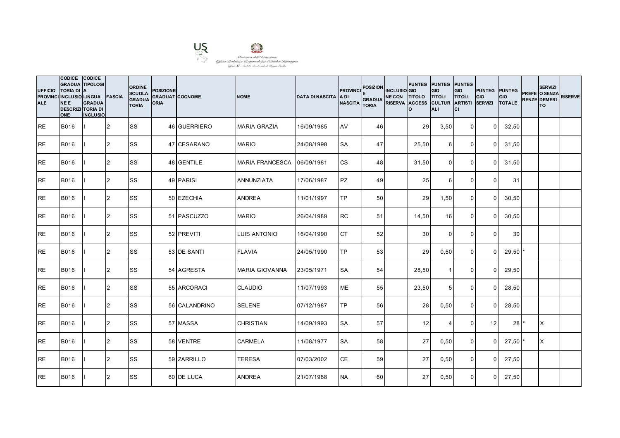

| <b>UFFICIO</b><br><b>ALE</b> | CODICE CODICE<br><b>GRADUA TIPOLOGI</b><br><b>TORIA DI</b><br>PROVINCI INCLUSIO LINGUA FASCIA<br><b>NEE</b><br><b>DESCRIZI TORIA DI</b><br><b>ONE</b> | <b>IA</b><br><b>GRADUA</b><br><b>INCLUSIO</b> |                | <b>ORDINE</b><br><b>SCUOLA</b><br><b>GRADUA</b><br><b>TORIA</b> | <b>POSIZIONE</b><br><b>GRADUAT COGNOME</b><br><b>ORIA</b> |               | <b>NOME</b>            | <b>DATA DI NASCITA</b> | <b>PROVINCI</b><br>IA DI<br><b>NASCITA</b> | <b>POSIZION</b><br><b>GRADUA</b><br><b>TORIA</b> | <b>INCLUSIO</b> GIO<br>NE CON TITOLO TITOLI<br>RISERVA ACCESS CULTUR ARTISTI | <b>PUNTEG PUNTEG PUNTEG</b><br>Ιo | <b>GIO</b><br><b>ALI</b> | GIO<br><b>TITOLI</b><br>lcı | <b>PUNTEG PUNTEG</b><br>GIO<br><b>SERVIZI</b> | <b>GIO</b><br><b>TOTALE</b> | <b>SERVIZI</b><br>PREFE O SENZA<br><b>RENZE DEMERI</b><br>lTO. | <b>RISERVE</b> |
|------------------------------|-------------------------------------------------------------------------------------------------------------------------------------------------------|-----------------------------------------------|----------------|-----------------------------------------------------------------|-----------------------------------------------------------|---------------|------------------------|------------------------|--------------------------------------------|--------------------------------------------------|------------------------------------------------------------------------------|-----------------------------------|--------------------------|-----------------------------|-----------------------------------------------|-----------------------------|----------------------------------------------------------------|----------------|
| IRE.                         | <b>B016</b>                                                                                                                                           |                                               | 12             | <b>SS</b>                                                       |                                                           | 46 GUERRIERO  | <b>MARIA GRAZIA</b>    | 16/09/1985             | AV                                         | 46                                               |                                                                              | 29                                | 3,50                     | $\overline{0}$              | $\Omega$                                      | 32,50                       |                                                                |                |
| <b>RE</b>                    | <b>B016</b>                                                                                                                                           |                                               | <b>2</b>       | SS                                                              |                                                           | 47 CESARANO   | <b>MARIO</b>           | 24/08/1998             | <b>SA</b>                                  | 47                                               |                                                                              | 25,50                             | 6                        | $\Omega$                    | $\Omega$                                      | 31,50                       |                                                                |                |
| <b>RE</b>                    | <b>B016</b>                                                                                                                                           |                                               | 2              | <b>SS</b>                                                       |                                                           | 48 GENTILE    | <b>MARIA FRANCESCA</b> | 06/09/1981             | <b>CS</b>                                  | 48                                               |                                                                              | 31,50                             | $\Omega$                 | 0                           | $\Omega$                                      | 31,50                       |                                                                |                |
| IRE.                         | <b>B016</b>                                                                                                                                           |                                               | 2              | <b>SS</b>                                                       |                                                           | 49 PARISI     | <b>ANNUNZIATA</b>      | 17/06/1987             | <b>PZ</b>                                  | 49                                               |                                                                              | 25                                | $6 \overline{6}$         | $\Omega$                    | $\Omega$                                      | 31                          |                                                                |                |
| <b>RE</b>                    | B016                                                                                                                                                  |                                               | 2              | <b>SS</b>                                                       |                                                           | 50 EZECHIA    | <b>ANDREA</b>          | 11/01/1997             | <b>TP</b>                                  | 50 <sub>1</sub>                                  |                                                                              | 29                                | 1,50                     | $\Omega$                    | $\Omega$                                      | 30,50                       |                                                                |                |
| <b>RE</b>                    | <b>B016</b>                                                                                                                                           |                                               | 2              | SS                                                              |                                                           | 51 PASCUZZO   | <b>MARIO</b>           | 26/04/1989             | <b>RC</b>                                  | 51                                               |                                                                              | 14,50                             | 16                       | $\Omega$                    | $\Omega$                                      | 30,50                       |                                                                |                |
| <b>RE</b>                    | B016                                                                                                                                                  |                                               | 2              | <b>SS</b>                                                       |                                                           | 52 PREVITI    | <b>LUIS ANTONIO</b>    | 16/04/1990             | <b>CT</b>                                  | 52                                               |                                                                              | 30 <sup>1</sup>                   | $\overline{0}$           | $\mathbf 0$                 | $\overline{0}$                                | 30                          |                                                                |                |
| <b>RE</b>                    | B016                                                                                                                                                  |                                               | 2              | <b>SS</b>                                                       |                                                           | 53 DE SANTI   | <b>FLAVIA</b>          | 24/05/1990             | <b>TP</b>                                  | 53                                               |                                                                              | 29                                | 0,50                     | $\Omega$                    | $\Omega$                                      | 29,50                       |                                                                |                |
| <b>RE</b>                    | <b>B016</b>                                                                                                                                           |                                               | $\overline{2}$ | <b>SS</b>                                                       |                                                           | 54 AGRESTA    | <b>MARIA GIOVANNA</b>  | 23/05/1971             | <b>SA</b>                                  | 54                                               |                                                                              | 28,50                             | -1                       | $\mathbf 0$                 | $\Omega$                                      | 29,50                       |                                                                |                |
| <b>RE</b>                    | <b>B016</b>                                                                                                                                           |                                               | $\overline{2}$ | <b>SS</b>                                                       |                                                           | 55 ARCORACI   | <b>CLAUDIO</b>         | 11/07/1993             | <b>ME</b>                                  | 55                                               |                                                                              | 23,50                             | 5 <sub>l</sub>           | $\mathbf 0$                 | $\Omega$                                      | 28,50                       |                                                                |                |
| <b>IRE</b>                   | <b>B016</b>                                                                                                                                           |                                               | 2              | <b>SS</b>                                                       |                                                           | 56 CALANDRINO | <b>SELENE</b>          | 07/12/1987             | <b>TP</b>                                  | 56                                               |                                                                              | 28                                | 0,50                     | $\mathbf{0}$                | $\Omega$                                      | 28,50                       |                                                                |                |
| IRE.                         | <b>B016</b>                                                                                                                                           |                                               | $\overline{2}$ | SS                                                              |                                                           | 57 MASSA      | <b>CHRISTIAN</b>       | 14/09/1993             | <b>SA</b>                                  | 57                                               |                                                                              | 12                                | $\boldsymbol{\Delta}$    | $\Omega$                    | 12                                            | 28                          | IX.                                                            |                |
| <b>RE</b>                    | B016                                                                                                                                                  |                                               | 2              | <b>SS</b>                                                       |                                                           | 58 VENTRE     | <b>CARMELA</b>         | 11/08/1977             | <b>SA</b>                                  | 58                                               |                                                                              | 27                                | 0,50                     | $\overline{0}$              | $\Omega$                                      | $27,50$ *                   | IX.                                                            |                |
| <b>RE</b>                    | <b>B016</b>                                                                                                                                           |                                               | 2              | <b>SS</b>                                                       |                                                           | 59 ZARRILLO   | <b>TERESA</b>          | 07/03/2002             | <b>CE</b>                                  | 59                                               |                                                                              | 27                                | 0,50                     | $\mathbf 0$                 | $\Omega$                                      | 27,50                       |                                                                |                |
| <b>IRE</b>                   | <b>B016</b>                                                                                                                                           |                                               | 2              | <b>SS</b>                                                       |                                                           | 60 DE LUCA    | <b>ANDREA</b>          | 21/07/1988             | <b>NA</b>                                  | 60                                               |                                                                              | 27                                | 0,50                     | $\overline{0}$              | $\Omega$                                      | 27,50                       |                                                                |                |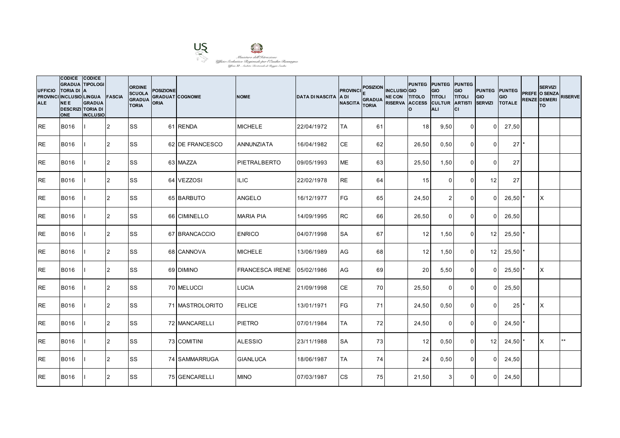

| <b>UFFICIO</b><br><b>ALE</b> | CODICE CODICE<br><b>GRADUA TIPOLOGI</b><br><b>TORIA DI A</b><br>PROVINCI INCLUSIO LINGUA<br><b>NEE</b><br><b>DESCRIZI TORIA DI</b><br><b>ONE</b> | <b>GRADUA</b><br><b>INCLUSIO</b> | <b>FASCIA</b>  | <b>ORDINE</b><br><b>SCUOLA</b><br><b>GRADUA</b><br><b>TORIA</b> | <b>POSIZIONE</b><br>ORIA | <b>GRADUAT COGNOME</b> | <b>NOME</b>            | <b>DATA DI NASCITA</b> | <b>PROVINCI</b><br>IA DI<br><b>NASCITA</b> | <b>POSIZION</b><br><b>GRADUA</b><br><b>TORIA</b> | <b>INCLUSIO</b> GIO<br>NE CON TITOLO TITOLI<br>RISERVA ACCESS CULTUR ARTISTI | I٥.   | PUNTEG PUNTEG PUNTEG<br><b>GIO</b><br>ALI | GIO<br><b>TITOLI</b><br>lcı | <b>PUNTEG PUNTEG</b><br><b>GIO</b><br><b>SERVIZI</b> | <b>GIO</b><br><b>TOTALE</b> | <b>SERVIZI</b><br>PREFE O SENZA<br><b>RENZE DEMERI</b><br>lTO. | <b>RISERVE</b> |
|------------------------------|--------------------------------------------------------------------------------------------------------------------------------------------------|----------------------------------|----------------|-----------------------------------------------------------------|--------------------------|------------------------|------------------------|------------------------|--------------------------------------------|--------------------------------------------------|------------------------------------------------------------------------------|-------|-------------------------------------------|-----------------------------|------------------------------------------------------|-----------------------------|----------------------------------------------------------------|----------------|
| <b>RE</b>                    | <b>B016</b>                                                                                                                                      |                                  | 2              | <b>SS</b>                                                       |                          | 61 RENDA               | <b>MICHELE</b>         | 22/04/1972             | TA                                         | 61                                               |                                                                              | 18    | 9,50                                      | $\overline{0}$              | $\Omega$                                             | 27,50                       |                                                                |                |
| <b>RE</b>                    | B016                                                                                                                                             |                                  | $\overline{2}$ | <b>SS</b>                                                       |                          | 62 DE FRANCESCO        | <b>ANNUNZIATA</b>      | 16/04/1982             | <b>CE</b>                                  | 62                                               |                                                                              | 26,50 | 0,50                                      | $\Omega$                    | $\Omega$                                             | $27$ $\pm$                  |                                                                |                |
| <b>RE</b>                    | <b>B016</b>                                                                                                                                      |                                  | $\overline{2}$ | <b>SS</b>                                                       |                          | 63 MAZZA               | PIETRALBERTO           | 09/05/1993             | <b>ME</b>                                  | 63                                               |                                                                              | 25,50 | 1,50                                      | $\mathbf 0$                 | $\Omega$                                             | 27                          |                                                                |                |
| <b>RE</b>                    | B016                                                                                                                                             |                                  | $\overline{2}$ | lss                                                             |                          | 64 VEZZOSI             | <b>ILIC</b>            | 22/02/1978             | <b>RE</b>                                  | 64                                               |                                                                              | 15    | $\Omega$                                  | $\mathbf{0}$                | 12                                                   | 27                          |                                                                |                |
| <b>RE</b>                    | B016                                                                                                                                             |                                  | $\overline{2}$ | <b>SS</b>                                                       |                          | 65 BARBUTO             | <b>ANGELO</b>          | 16/12/1977             | <b>FG</b>                                  | 65                                               |                                                                              | 24,50 | 2                                         | $\mathbf{0}$                | $\Omega$                                             | 26,50                       | X                                                              |                |
| <b>RE</b>                    | B016                                                                                                                                             |                                  | 2              | <b>SS</b>                                                       |                          | 66 CIMINELLO           | <b>MARIA PIA</b>       | 14/09/1995             | <b>RC</b>                                  | 66                                               |                                                                              | 26,50 | $\Omega$                                  | $\mathbf 0$                 | $\Omega$                                             | 26,50                       |                                                                |                |
| <b>RE</b>                    | <b>B016</b>                                                                                                                                      |                                  | 2              | <b>SS</b>                                                       |                          | 67 BRANCACCIO          | <b>ENRICO</b>          | 04/07/1998             | <b>SA</b>                                  | 67                                               |                                                                              | 12    | 1,50                                      | $\mathbf 0$                 | 12 <sup>1</sup>                                      | 25,50                       |                                                                |                |
| <b>RE</b>                    | B016                                                                                                                                             |                                  | 2              | <b>SS</b>                                                       |                          | 68 CANNOVA             | <b>MICHELE</b>         | 13/06/1989             | AG                                         | 68                                               |                                                                              | 12    | 1,50                                      | $\Omega$                    | 12 <sup>1</sup>                                      | 25,50                       |                                                                |                |
| <b>RE</b>                    | B016                                                                                                                                             |                                  | 2              | <b>SS</b>                                                       |                          | 69 DIMINO              | <b>FRANCESCA IRENE</b> | 05/02/1986             | AG                                         | 69                                               |                                                                              | 20    | 5,50                                      | $\mathbf 0$                 | $\Omega$                                             | 25,50                       | ΙX                                                             |                |
| <b>RE</b>                    | B016                                                                                                                                             |                                  | $\overline{2}$ | <b>SS</b>                                                       |                          | 70 MELUCCI             | <b>LUCIA</b>           | 21/09/1998             | <b>CE</b>                                  | 70                                               |                                                                              | 25,50 | $\mathbf 0$                               | $\mathbf 0$                 | $\Omega$                                             | 25,50                       |                                                                |                |
| <b>RE</b>                    | B016                                                                                                                                             |                                  | 2              | <b>SS</b>                                                       |                          | 71 MASTROLORITO        | <b>FELICE</b>          | 13/01/1971             | <b>FG</b>                                  | 71                                               |                                                                              | 24,50 | 0,50                                      | $\Omega$                    | $\Omega$                                             | 25                          | X                                                              |                |
| <b>RE</b>                    | B016                                                                                                                                             |                                  | $\overline{2}$ | <b>SS</b>                                                       |                          | 72 MANCARELLI          | <b>PIETRO</b>          | 07/01/1984             | TA                                         | 72                                               |                                                                              | 24,50 | $\Omega$                                  | $\mathbf 0$                 | $\Omega$                                             | 24,50                       |                                                                |                |
| <b>RE</b>                    | B016                                                                                                                                             |                                  | 2              | <b>SS</b>                                                       |                          | 73 COMITINI            | <b>ALESSIO</b>         | 23/11/1988             | <b>SA</b>                                  | 73                                               |                                                                              | 12    | 0,50                                      | $\mathbf 0$                 | 12                                                   | $24,50$ *                   | IX.                                                            | $***$          |
| <b>RE</b>                    | <b>B016</b>                                                                                                                                      |                                  | 2              | <b>SS</b>                                                       |                          | 74 SAMMARRUGA          | <b>GIANLUCA</b>        | 18/06/1987             | <b>TA</b>                                  | 74                                               |                                                                              | 24    | 0,50                                      | $\mathbf 0$                 | $\Omega$                                             | 24,50                       |                                                                |                |
| <b>RE</b>                    | B016                                                                                                                                             |                                  | $\overline{2}$ | <b>SS</b>                                                       |                          | 75 GENCARELLI          | <b>MINO</b>            | 07/03/1987             | <b>CS</b>                                  | 75                                               |                                                                              | 21,50 | 3                                         | $\Omega$                    | $\Omega$                                             | 24,50                       |                                                                |                |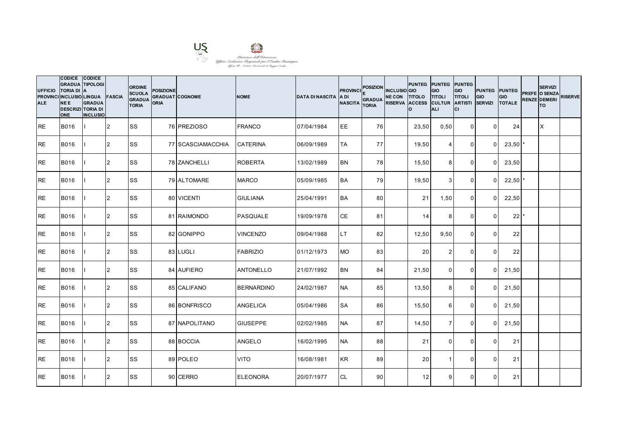

| <b>UFFICIO</b><br><b>ALE</b> | CODICE CODICE<br><b>GRADUA TIPOLOGI</b><br><b>TORIA DI A</b><br>PROVINCI INCLUSIO LINGUA FASCIA<br><b>NEE</b><br><b>DESCRIZI TORIA DI</b><br><b>ONE</b> | <b>GRADUA</b><br><b>INCLUSIO</b> |                | <b>ORDINE</b><br><b>SCUOLA</b><br><b>GRADUA</b><br><b>TORIA</b> | <b>POSIZIONE</b><br><b>ORIA</b> | <b>GRADUAT COGNOME</b> | <b>NOME</b>       | <b>DATA DI NASCITA</b> | <b>PROVINCI</b><br>IA DI<br><b>NASCITA</b> | <b>POSIZION</b><br><b>GRADUA</b><br><b>TORIA</b> | <b>INCLUSIO</b> GIO<br>NE CON TITOLO TITOLI<br>RISERVA ACCESS CULTUR ARTISTI | Ιo    | PUNTEG PUNTEG PUNTEG<br><b>GIO</b><br><b>ALI</b> | GIO<br><b>TITOLI</b><br>lcı | <b>PUNTEG PUNTEG</b><br><b>GIO</b><br><b>SERVIZI</b> | <b>GIO</b><br><b>TOTALE</b> | <b>SERVIZI</b><br>PREFE O SENZA<br><b>RENZE DEMERI</b><br>lTO. | <b>RISERVE</b> |
|------------------------------|---------------------------------------------------------------------------------------------------------------------------------------------------------|----------------------------------|----------------|-----------------------------------------------------------------|---------------------------------|------------------------|-------------------|------------------------|--------------------------------------------|--------------------------------------------------|------------------------------------------------------------------------------|-------|--------------------------------------------------|-----------------------------|------------------------------------------------------|-----------------------------|----------------------------------------------------------------|----------------|
| <b>RE</b>                    | <b>B016</b>                                                                                                                                             |                                  | <b>2</b>       | <b>SS</b>                                                       |                                 | 76 PREZIOSO            | <b>FRANCO</b>     | 07/04/1984             | EE                                         | 76                                               |                                                                              | 23,50 | 0,50                                             | $\overline{0}$              | $\Omega$                                             | 24                          | X                                                              |                |
| <b>RE</b>                    | B016                                                                                                                                                    |                                  | $\overline{2}$ | <b>SS</b>                                                       |                                 | 77 SCASCIAMACCHIA      | <b>CATERINA</b>   | 06/09/1989             | TA                                         | 77 I                                             |                                                                              | 19,50 | 4                                                | $\mathbf 0$                 | $\Omega$                                             | $23,50$ $*$                 |                                                                |                |
| <b>RE</b>                    | B016                                                                                                                                                    |                                  | $\overline{2}$ | <b>SS</b>                                                       |                                 | 78 ZANCHELLI           | <b>ROBERTA</b>    | 13/02/1989             | <b>BN</b>                                  | 78                                               |                                                                              | 15,50 | 8                                                | $\mathbf 0$                 | $\Omega$                                             | 23,50                       |                                                                |                |
| <b>RE</b>                    | B016                                                                                                                                                    |                                  | 2              | <b>SS</b>                                                       |                                 | 79 ALTOMARE            | <b>MARCO</b>      | 05/09/1985             | <b>BA</b>                                  | 79                                               |                                                                              | 19,50 | $\mathbf{3}$                                     | $\mathbf 0$                 | $\Omega$                                             | 22,50                       |                                                                |                |
| <b>RE</b>                    | B016                                                                                                                                                    |                                  | 2              | <b>SS</b>                                                       |                                 | 80 VICENTI             | <b>GIULIANA</b>   | 25/04/1991             | <b>BA</b>                                  | 80                                               |                                                                              | 21    | 1,50                                             | $\mathbf{0}$                | $\Omega$                                             | 22,50                       |                                                                |                |
| <b>RE</b>                    | B016                                                                                                                                                    |                                  | $\overline{2}$ | <b>SS</b>                                                       |                                 | 81 RAIMONDO            | PASQUALE          | 19/09/1978             | <b>CE</b>                                  | 81                                               |                                                                              | 14    | 8                                                | $\Omega$                    | $\Omega$                                             | 22                          |                                                                |                |
| <b>RE</b>                    | B016                                                                                                                                                    |                                  | 2              | <b>SS</b>                                                       |                                 | 82 GONIPPO             | <b>VINCENZO</b>   | 09/04/1988             | LT.                                        | 82                                               |                                                                              | 12,50 | 9,50                                             | $\mathbf 0$                 | $\Omega$                                             | 22                          |                                                                |                |
| <b>RE</b>                    | <b>B016</b>                                                                                                                                             |                                  | $\overline{2}$ | <b>SS</b>                                                       |                                 | 83 LUGLI               | <b>FABRIZIO</b>   | 01/12/1973             | <b>MO</b>                                  | 83                                               |                                                                              | 20    | $\overline{2}$                                   | $\Omega$                    | $\Omega$                                             | 22                          |                                                                |                |
| <b>RE</b>                    | B016                                                                                                                                                    |                                  | $\overline{2}$ | <b>SS</b>                                                       |                                 | 84 AUFIERO             | <b>ANTONELLO</b>  | 21/07/1992             | <b>BN</b>                                  | 84                                               |                                                                              | 21,50 | $\mathbf 0$                                      | $\mathbf 0$                 | $\Omega$                                             | 21,50                       |                                                                |                |
| <b>RE</b>                    | <b>B016</b>                                                                                                                                             |                                  | 2              | <b>SS</b>                                                       |                                 | 85 CALIFANO            | <b>BERNARDINO</b> | 24/02/1987             | <b>NA</b>                                  | 85                                               |                                                                              | 13,50 | 8                                                | $\mathbf 0$                 | $\Omega$                                             | 21,50                       |                                                                |                |
| <b>RE</b>                    | B016                                                                                                                                                    |                                  | $\overline{2}$ | SS                                                              |                                 | 86 BONFRISCO           | <b>ANGELICA</b>   | 05/04/1986             | <b>SA</b>                                  | 86                                               |                                                                              | 15,50 | 6                                                | $\Omega$                    | $\Omega$                                             | 21,50                       |                                                                |                |
| <b>RE</b>                    | B016                                                                                                                                                    |                                  | $\overline{2}$ | <b>SS</b>                                                       |                                 | 87 NAPOLITANO          | <b>GIUSEPPE</b>   | 02/02/1985             | <b>NA</b>                                  | 87                                               |                                                                              | 14,50 | $\overline{7}$                                   | $\mathbf 0$                 | <sup>0</sup>                                         | 21,50                       |                                                                |                |
| <b>RE</b>                    | B016                                                                                                                                                    |                                  | 2              | <b>SS</b>                                                       |                                 | 88 BOCCIA              | <b>ANGELO</b>     | 16/02/1995             | <b>NA</b>                                  | 88                                               |                                                                              | 21    | $\mathbf 0$                                      | $\mathbf 0$                 | $\Omega$                                             | 21                          |                                                                |                |
| <b>RE</b>                    | B016                                                                                                                                                    |                                  | 2              | <b>SS</b>                                                       |                                 | 89 POLEO               | <b>VITO</b>       | 16/08/1981             | <b>KR</b>                                  | 89                                               |                                                                              | 20    | $\overline{\mathbf{1}}$                          | 0                           | $\Omega$                                             | 21                          |                                                                |                |
| <b>RE</b>                    | <b>B016</b>                                                                                                                                             |                                  | 2              | <b>SS</b>                                                       |                                 | 90 CERRO               | <b>ELEONORA</b>   | 20/07/1977             | <b>CL</b>                                  | 90 <sup>°</sup>                                  |                                                                              | 12    | 9                                                | $\Omega$                    | $\Omega$                                             | 21                          |                                                                |                |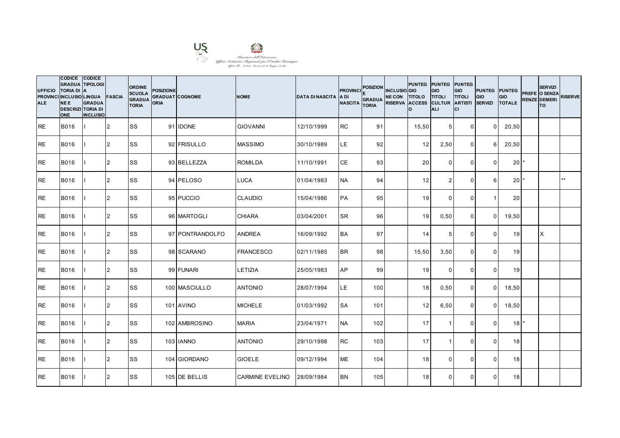

**CODICE** 

| <b>UFFICIO</b><br><b>PROVINCI</b><br><b>ALE</b> | CODICE CODICE<br><b>GRADUA TIPOLOGI</b><br><b>TORIA DI</b><br><b>INCLUSIO LINGUA</b><br><b>NEE</b><br><b>DESCRIZI TORIA DI</b><br><b>ONE</b> | <b>GRADUA</b><br><b>INCLUSIO</b> | <b>FASCIA</b>  | <b>ORDINE</b><br><b>SCUOLA</b><br><b>GRADUA</b><br><b>TORIA</b> | <b>POSIZIONE</b><br>ORIA | <b>GRADUAT COGNOME</b> | <b>NOME</b>            | <b>DATA DI NASCITA</b> | <b>PROVINCI</b><br>IA DI<br><b>NASCITA</b> | <b>POSIZION</b><br><b>GRADUA</b><br><b>TORIA</b> | <b>INCLUSIO</b> GIO<br>NE CON TITOLO TITOLI<br>RISERVA ACCESS CULTUR ARTISTI | PUNTEG PUNTEG PUNTEG<br>Ιo | GIO<br>ALI      | GIO<br><b>TITOLI</b><br>lcı | <b>PUNTEG PUNTEG</b><br>GIO<br><b>SERVIZI</b> | GIO<br><b>TOTALE</b> | <b>SERVIZI</b><br>PREFE O SENZA<br><b>RENZE DEMERI</b><br><b>TO</b> | <b>RISERVE</b> |
|-------------------------------------------------|----------------------------------------------------------------------------------------------------------------------------------------------|----------------------------------|----------------|-----------------------------------------------------------------|--------------------------|------------------------|------------------------|------------------------|--------------------------------------------|--------------------------------------------------|------------------------------------------------------------------------------|----------------------------|-----------------|-----------------------------|-----------------------------------------------|----------------------|---------------------------------------------------------------------|----------------|
| <b>RE</b>                                       | <b>B016</b>                                                                                                                                  |                                  | 2              | <b>SS</b>                                                       |                          | 91 IDONE               | <b>GIOVANNI</b>        | 12/10/1999             | <b>RC</b>                                  | 91                                               |                                                                              | 15,50                      | $5\overline{)}$ | $\mathbf 0$                 | $\Omega$                                      | 20,50                |                                                                     |                |
| <b>RE</b>                                       | <b>B016</b>                                                                                                                                  |                                  | 2              | <b>SS</b>                                                       |                          | 92 FRISULLO            | <b>MASSIMO</b>         | 30/10/1989             | LE                                         | 92                                               |                                                                              | 12                         | 2,50            | $\mathbf 0$                 | հ                                             | 20,50                |                                                                     |                |
| <b>RE</b>                                       | <b>B016</b>                                                                                                                                  |                                  | 2              | <b>SS</b>                                                       |                          | 93 BELLEZZA            | <b>ROMILDA</b>         | 11/10/1991             | <b>CE</b>                                  | 93                                               |                                                                              | 20                         | $\mathbf 0$     | $\mathbf 0$                 | $\Omega$                                      | 20 <sup>1</sup>      |                                                                     |                |
| <b>RE</b>                                       | <b>B016</b>                                                                                                                                  |                                  | 2              | <b>SS</b>                                                       |                          | 94 PELOSO              | <b>LUCA</b>            | 01/04/1983             | <b>NA</b>                                  | 94                                               |                                                                              | 12                         | 2               | $\mathbf 0$                 | 6                                             | 20 <sup>1</sup>      |                                                                     | $***$          |
| <b>RE</b>                                       | <b>B016</b>                                                                                                                                  |                                  | 2              | <b>SS</b>                                                       |                          | 95 PUCCIO              | <b>CLAUDIO</b>         | 15/04/1986             | <b>PA</b>                                  | 95                                               |                                                                              | 19                         | $\Omega$        | $\Omega$                    |                                               | 20                   |                                                                     |                |
| <b>RE</b>                                       | <b>B016</b>                                                                                                                                  |                                  | I <sub>2</sub> | <b>SS</b>                                                       |                          | 96 MARTOGLI            | <b>CHIARA</b>          | 03/04/2001             | <b>SR</b>                                  | 96                                               |                                                                              | 19                         | 0,50            | $\mathbf 0$                 | $\Omega$                                      | 19,50                |                                                                     |                |
| <b>RE</b>                                       | B016                                                                                                                                         |                                  | 2              | <b>SS</b>                                                       |                          | 97 PONTRANDOLFO        | <b>ANDREA</b>          | 16/09/1992             | <b>BA</b>                                  | 97                                               |                                                                              | 14                         | $5\phantom{.0}$ | $\mathbf 0$                 | $\Omega$                                      | 19                   | X                                                                   |                |
| <b>RE</b>                                       | <b>B016</b>                                                                                                                                  |                                  | I <sub>2</sub> | <b>SS</b>                                                       |                          | 98 SCARANO             | <b>FRANCESCO</b>       | 02/11/1985             | <b>BR</b>                                  | 98                                               |                                                                              | 15,50                      | 3,50            | $\mathbf 0$                 | $\Omega$                                      | 19                   |                                                                     |                |
| RE                                              | <b>B016</b>                                                                                                                                  |                                  | $\overline{2}$ | <b>SS</b>                                                       |                          | 99 FUNARI              | LETIZIA                | 25/05/1983             | AP                                         | 99                                               |                                                                              | 19                         | $\mathbf 0$     | $\mathbf 0$                 | $\Omega$                                      | 19                   |                                                                     |                |
| <b>RE</b>                                       | <b>B016</b>                                                                                                                                  |                                  | 2              | <b>SS</b>                                                       |                          | 100 MASCIULLO          | <b>ANTONIO</b>         | 28/07/1994             | LE.                                        | 100                                              |                                                                              | 18                         | 0,50            | $\mathbf 0$                 | $\Omega$                                      | 18,50                |                                                                     |                |
| <b>RE</b>                                       | <b>B016</b>                                                                                                                                  |                                  | 2              | SS                                                              |                          | 101 AVINO              | <b>MICHELE</b>         | 01/03/1992             | <b>SA</b>                                  | 101                                              |                                                                              | 12                         | 6,50            | $\mathbf 0$                 | $\Omega$                                      | 18,50                |                                                                     |                |
| <b>RE</b>                                       | <b>B016</b>                                                                                                                                  |                                  | 2              | SS                                                              |                          | 102 AMBROSINO          | <b>MARIA</b>           | 23/04/1971             | <b>NA</b>                                  | 102                                              |                                                                              | 17                         | -1              | $\mathbf 0$                 | $\Omega$                                      | 18                   |                                                                     |                |
| <b>RE</b>                                       | <b>B016</b>                                                                                                                                  |                                  | 2              | <b>SS</b>                                                       |                          | 103 IANNO              | <b>ANTONIO</b>         | 29/10/1998             | <b>RC</b>                                  | 103                                              |                                                                              | 17                         | $\overline{1}$  | $\mathbf 0$                 | $\Omega$                                      | 18                   |                                                                     |                |
| <b>RE</b>                                       | <b>B016</b>                                                                                                                                  |                                  | 12             | <b>SS</b>                                                       |                          | 104 GIORDANO           | <b>GIOELE</b>          | 09/12/1994             | <b>ME</b>                                  | 104                                              |                                                                              | 18                         | $\Omega$        | $\mathbf 0$                 | $\mathbf{0}$                                  | 18                   |                                                                     |                |
| <b>RE</b>                                       | <b>B016</b>                                                                                                                                  |                                  | 2              | <b>SS</b>                                                       |                          | 105 DE BELLIS          | <b>CARMINE EVELINO</b> | 28/09/1984             | <b>BN</b>                                  | 105                                              |                                                                              | 18                         | $\Omega$        | $\Omega$                    | $\Omega$                                      | 18                   |                                                                     |                |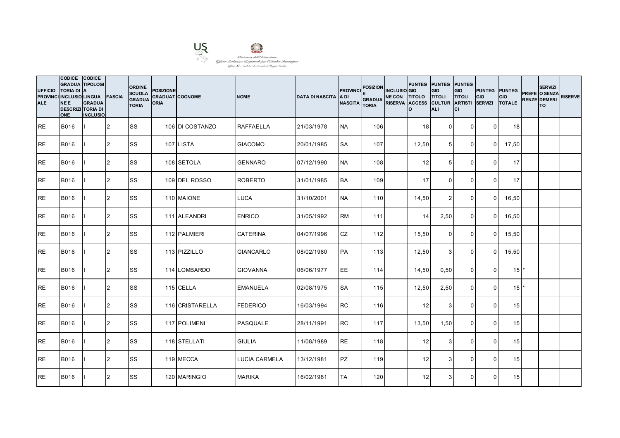

| <b>UFFICIO</b><br><b>ALE</b> | CODICE CODICE<br><b>GRADUA TIPOLOGI</b><br><b>TORIA DI</b><br>PROVINCI INCLUSIO LINGUA FASCIA<br><b>NEE</b><br><b>DESCRIZI TORIA DI</b><br><b>ONE</b> | <b>IA</b><br><b>GRADUA</b><br><b>INCLUSIO</b> |                | <b>ORDINE</b><br><b>SCUOLA</b><br><b>GRADUA</b><br><b>TORIA</b> | <b>POSIZIONE</b><br><b>GRADUAT COGNOME</b><br><b>ORIA</b> |                 | <b>NOME</b>          | <b>DATA DI NASCITA</b> | <b>PROVINCI</b><br>IA DI<br><b>NASCITA</b> | <b>POSIZION</b><br><b>GRADUA</b><br><b>TORIA</b> | <b>INCLUSIO</b> GIO<br>NE CON TITOLO TITOLI<br>RISERVA ACCESS CULTUR ARTISTI | PUNTEG PUNTEG PUNTEG<br>Ιo | GIO<br><b>ALI</b> | GIO<br><b>TITOLI</b><br>lcı | PUNTEG PUNTEG<br>GIO<br><b>SERVIZI</b> | <b>GIO</b><br><b>TOTALE</b> | <b>SERVIZI</b><br>PREFE O SENZA<br><b>RENZE DEMERI</b><br>lTO. | <b>RISERVE</b> |
|------------------------------|-------------------------------------------------------------------------------------------------------------------------------------------------------|-----------------------------------------------|----------------|-----------------------------------------------------------------|-----------------------------------------------------------|-----------------|----------------------|------------------------|--------------------------------------------|--------------------------------------------------|------------------------------------------------------------------------------|----------------------------|-------------------|-----------------------------|----------------------------------------|-----------------------------|----------------------------------------------------------------|----------------|
| IRE.                         | <b>B016</b>                                                                                                                                           |                                               | 12             | <b>SS</b>                                                       |                                                           | 106 DI COSTANZO | <b>RAFFAELLA</b>     | 21/03/1978             | <b>NA</b>                                  | 106                                              |                                                                              | 18 <sup>l</sup>            | $\overline{0}$    | $\Omega$                    | $\Omega$                               | 18                          |                                                                |                |
| <b>RE</b>                    | <b>B016</b>                                                                                                                                           |                                               | 2              | <b>SS</b>                                                       |                                                           | 107 LISTA       | <b>GIACOMO</b>       | 20/01/1985             | <b>SA</b>                                  | 107                                              |                                                                              | 12,50                      | $5\overline{)}$   | $\Omega$                    | $\overline{0}$                         | 17,50                       |                                                                |                |
| <b>RE</b>                    | <b>B016</b>                                                                                                                                           |                                               | 2              | <b>SS</b>                                                       |                                                           | 108 SETOLA      | <b>GENNARO</b>       | 07/12/1990             | <b>NA</b>                                  | 108                                              |                                                                              | 12                         | 5                 | $\mathbf 0$                 | $\Omega$                               | 17                          |                                                                |                |
| <b>RE</b>                    | <b>B016</b>                                                                                                                                           |                                               | $\overline{2}$ | <b>SS</b>                                                       |                                                           | 109 DEL ROSSO   | <b>ROBERTO</b>       | 31/01/1985             | <b>BA</b>                                  | 109                                              |                                                                              | 17                         | $\overline{0}$    | $\mathbf 0$                 | $\overline{0}$                         | 17                          |                                                                |                |
| <b>IRE</b>                   | <b>B016</b>                                                                                                                                           |                                               | 2              | <b>SS</b>                                                       |                                                           | 110 MAIONE      | <b>LUCA</b>          | 31/10/2001             | <b>NA</b>                                  | 110                                              |                                                                              | 14,50                      | 2                 | $\mathbf{0}$                | $\Omega$                               | 16,50                       |                                                                |                |
| RE                           | B016                                                                                                                                                  |                                               | 2              | <b>SS</b>                                                       |                                                           | 111 ALEANDRI    | <b>ENRICO</b>        | 31/05/1992             | <b>RM</b>                                  | 111                                              |                                                                              | 14                         | 2,50              | $\mathbf 0$                 | $\Omega$                               | 16,50                       |                                                                |                |
| <b>RE</b>                    | B016                                                                                                                                                  |                                               | 2              | <b>SS</b>                                                       |                                                           | 112 PALMIERI    | <b>CATERINA</b>      | 04/07/1996             | <b>CZ</b>                                  | 112                                              |                                                                              | 15,50                      | $\mathbf 0$       | $\mathbf 0$                 | $\overline{0}$                         | 15,50                       |                                                                |                |
| <b>RE</b>                    | <b>B016</b>                                                                                                                                           |                                               | 2              | <b>SS</b>                                                       |                                                           | 113 PIZZILLO    | <b>GIANCARLO</b>     | 08/02/1980             | PA                                         | 113                                              |                                                                              | 12,50                      | $\mathbf{3}$      | $\mathbf{0}$                | $\Omega$                               | 15,50                       |                                                                |                |
| <b>RE</b>                    | <b>B016</b>                                                                                                                                           |                                               | 2              | SS                                                              |                                                           | 114 LOMBARDO    | <b>GIOVANNA</b>      | 06/06/1977             | EE                                         | 114                                              |                                                                              | 14,50                      | 0,50              | $\mathbf 0$                 | $\Omega$                               | $15$ $*$                    |                                                                |                |
| <b>IRE</b>                   | B016                                                                                                                                                  |                                               | 2              | <b>SS</b>                                                       |                                                           | 115 CELLA       | <b>EMANUELA</b>      | 02/08/1975             | <b>SA</b>                                  | 115                                              |                                                                              | 12,50                      | 2,50              | $\overline{0}$              | $\Omega$                               | $15$ <sup>*</sup>           |                                                                |                |
| RE                           | B016                                                                                                                                                  |                                               | $\overline{2}$ | SS                                                              |                                                           | 116 CRISTARELLA | <b>FEDERICO</b>      | 16/03/1994             | <b>RC</b>                                  | 116                                              |                                                                              | 12                         | 3                 | $\Omega$                    | $\Omega$                               | 15                          |                                                                |                |
| <b>RE</b>                    | <b>B016</b>                                                                                                                                           |                                               | 2              | <b>SS</b>                                                       |                                                           | 117 POLIMENI    | PASQUALE             | 28/11/1991             | <b>RC</b>                                  | 117                                              |                                                                              | 13,50                      | 1,50              | $\mathbf 0$                 | $\Omega$                               | 15                          |                                                                |                |
| <b>IRE</b>                   | B016                                                                                                                                                  |                                               | 2              | <b>SS</b>                                                       |                                                           | 118 STELLATI    | <b>GIULIA</b>        | 11/08/1989             | <b>RE</b>                                  | 118                                              |                                                                              | 12                         | $\mathbf{3}$      | $\mathbf 0$                 | $\overline{0}$                         | 15                          |                                                                |                |
| <b>RE</b>                    | <b>B016</b>                                                                                                                                           |                                               | 2              | <b>SS</b>                                                       |                                                           | 119 MECCA       | <b>LUCIA CARMELA</b> | 13/12/1981             | <b>PZ</b>                                  | 119                                              |                                                                              | 12                         | 3                 | 0                           | $\Omega$                               | 15                          |                                                                |                |
| <b>RE</b>                    | <b>B016</b>                                                                                                                                           |                                               | 2              | SS                                                              |                                                           | 120 MARINGIO    | <b>MARIKA</b>        | 16/02/1981             | <b>TA</b>                                  | 120                                              |                                                                              | 12                         | 3                 | $\mathbf{0}$                | $\Omega$                               | 15                          |                                                                |                |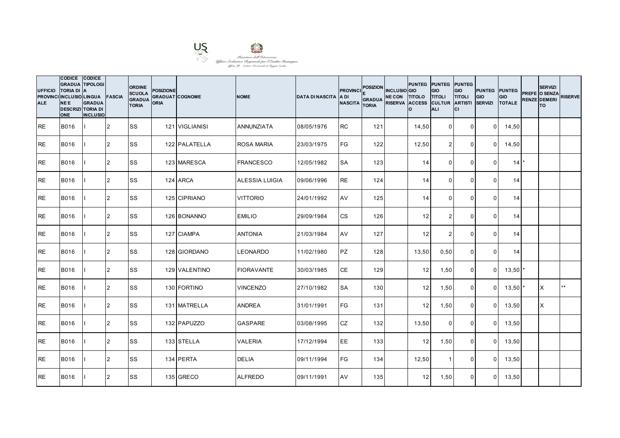

| <b>UFFICIO</b><br><b>ALE</b> | CODICE CODICE<br><b>GRADUA TIPOLOGI</b><br><b>TORIA DI</b><br>PROVINCI INCLUSIO LINGUA FASCIA<br><b>NEE</b><br><b>DESCRIZI TORIA DI</b><br><b>ONE</b> | <b>IA</b><br><b>GRADUA</b><br><b>INCLUSIO</b> |                | <b>ORDINE</b><br><b>SCUOLA</b><br><b>GRADUA</b><br><b>TORIA</b> | <b>POSIZIONE</b><br><b>GRADUAT COGNOME</b><br><b>ORIA</b> |                | <b>NOME</b>       | <b>DATA DI NASCITA</b> | <b>PROVINCI</b><br>IA DI<br><b>NASCITA</b> | <b>POSIZION</b><br><b>GRADUA</b><br><b>TORIA</b> | <b>INCLUSIO</b> GIO<br>NE CON TITOLO TITOLI<br>RISERVA ACCESS CULTUR ARTISTI | PUNTEG PUNTEG PUNTEG<br>Ιo | GIO<br><b>ALI</b> | GIO<br><b>TITOLI</b><br>lcı | PUNTEG PUNTEG<br>GIO<br><b>SERVIZI</b> | <b>GIO</b><br><b>TOTALE</b> | <b>SERVIZI</b><br>PREFE O SENZA<br><b>RENZE DEMERI</b><br>lTO. | <b>RISERVE</b> |
|------------------------------|-------------------------------------------------------------------------------------------------------------------------------------------------------|-----------------------------------------------|----------------|-----------------------------------------------------------------|-----------------------------------------------------------|----------------|-------------------|------------------------|--------------------------------------------|--------------------------------------------------|------------------------------------------------------------------------------|----------------------------|-------------------|-----------------------------|----------------------------------------|-----------------------------|----------------------------------------------------------------|----------------|
| IRE.                         | <b>B016</b>                                                                                                                                           |                                               | 12             | <b>SS</b>                                                       |                                                           | 121 VIGLIANISI | <b>ANNUNZIATA</b> | 08/05/1976             | <b>RC</b>                                  | 121                                              |                                                                              | 14,50                      | $\overline{0}$    | $\Omega$                    | $\overline{0}$                         | 14,50                       |                                                                |                |
| <b>RE</b>                    | <b>B016</b>                                                                                                                                           |                                               | 2              | <b>SS</b>                                                       |                                                           | 122 PALATELLA  | <b>ROSA MARIA</b> | 23/03/1975             | <b>IFG</b>                                 | 122                                              |                                                                              | 12,50                      | 2                 | $\Omega$                    | $\overline{0}$                         | 14,50                       |                                                                |                |
| <b>RE</b>                    | <b>B016</b>                                                                                                                                           |                                               | 2              | <b>SS</b>                                                       |                                                           | 123 MARESCA    | <b>FRANCESCO</b>  | 12/05/1982             | <b>SA</b>                                  | 123                                              |                                                                              | 14                         | $\Omega$          | $\mathbf{0}$                | $\Omega$                               | 14                          |                                                                |                |
| <b>RE</b>                    | <b>B016</b>                                                                                                                                           |                                               | $\overline{2}$ | <b>SS</b>                                                       |                                                           | 124 ARCA       | ALESSIA LUIGIA    | 09/06/1996             | <b>RE</b>                                  | 124                                              |                                                                              | 14                         | $\overline{0}$    | $\mathbf 0$                 | $\Omega$                               | 14                          |                                                                |                |
| <b>IRE</b>                   | <b>B016</b>                                                                                                                                           |                                               | 2              | <b>SS</b>                                                       |                                                           | 125 CIPRIANO   | <b>VITTORIO</b>   | 24/01/1992             | AV                                         | 125                                              |                                                                              | 14                         | $\Omega$          | $\Omega$                    | $\Omega$                               | 14                          |                                                                |                |
| <b>RE</b>                    | B016                                                                                                                                                  |                                               | 2              | SS                                                              |                                                           | 126 BONANNO    | <b>EMILIO</b>     | 29/09/1984             | <b>CS</b>                                  | 126                                              |                                                                              | 12                         | 2                 | $\mathbf{0}$                | $\Omega$                               | 14                          |                                                                |                |
| <b>RE</b>                    | <b>B016</b>                                                                                                                                           |                                               | 2              | <b>SS</b>                                                       |                                                           | 127 CIAMPA     | <b>ANTONIA</b>    | 21/03/1984             | AV                                         | 127                                              |                                                                              | 12                         | $\overline{2}$    | $\mathbf 0$                 | $\Omega$                               | 14                          |                                                                |                |
| <b>RE</b>                    | <b>B016</b>                                                                                                                                           |                                               | 2              | <b>SS</b>                                                       |                                                           | 128 GIORDANO   | <b>LEONARDO</b>   | 11/02/1980             | <b>PZ</b>                                  | 128                                              |                                                                              | 13,50                      | 0,50              | $\Omega$                    | $\Omega$                               | 14                          |                                                                |                |
| <b>RE</b>                    | <b>B016</b>                                                                                                                                           |                                               | 2              | SS                                                              |                                                           | 129 VALENTINO  | <b>FIORAVANTE</b> | 30/03/1985             | <b>CE</b>                                  | 129                                              |                                                                              | 12                         | 1,50              | $\mathbf 0$                 | $\Omega$                               | $13,50$ $*$                 |                                                                |                |
| <b>IRE</b>                   | B016                                                                                                                                                  |                                               | 2              | <b>SS</b>                                                       |                                                           | 130 FORTINO    | <b>VINCENZO</b>   | 27/10/1982             | <b>SA</b>                                  | 130                                              |                                                                              | 12                         | 1,50              | $\overline{0}$              | $\overline{0}$                         | $13,50$ $*$                 | ΙX                                                             | $**$           |
| RE                           | B016                                                                                                                                                  |                                               | $\overline{2}$ | SS                                                              |                                                           | 131 MATRELLA   | <b>ANDREA</b>     | 31/01/1991             | <b>FG</b>                                  | 131                                              |                                                                              | 12                         | 1,50              | $\mathbf{0}$                | $\Omega$                               | 13,50                       | X                                                              |                |
| <b>RE</b>                    | <b>B016</b>                                                                                                                                           |                                               | 2              | <b>SS</b>                                                       |                                                           | 132 PAPUZZO    | <b>GASPARE</b>    | 03/08/1995             | <b>CZ</b>                                  | 132                                              |                                                                              | 13,50                      | $\Omega$          | $\mathbf 0$                 | $\Omega$                               | 13,50                       |                                                                |                |
| <b>RE</b>                    | <b>B016</b>                                                                                                                                           |                                               | 2              | <b>SS</b>                                                       |                                                           | 133 STELLA     | <b>VALERIA</b>    | 17/12/1994             | EE                                         | 133                                              |                                                                              | 12                         | 1,50              | $\overline{0}$              | $\overline{0}$                         | 13,50                       |                                                                |                |
| <b>RE</b>                    | <b>B016</b>                                                                                                                                           |                                               | 2              | <b>SS</b>                                                       |                                                           | 134 PERTA      | <b>DELIA</b>      | 09/11/1994             | FG                                         | 134                                              |                                                                              | 12,50                      | -1                | $\mathbf 0$                 | $\Omega$                               | 13,50                       |                                                                |                |
| <b>RE</b>                    | <b>B016</b>                                                                                                                                           |                                               | 2              | SS                                                              |                                                           | 135 GRECO      | <b>ALFREDO</b>    | 09/11/1991             | AV                                         | 135                                              |                                                                              | 12                         | 1,50              | $\mathbf{0}$                | $\Omega$                               | 13,50                       |                                                                |                |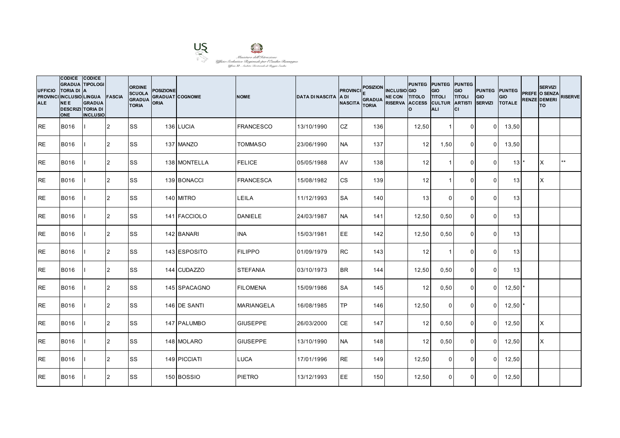

| <b>UFFICIO</b><br><b>ALE</b> | CODICE CODICE<br><b>GRADUA TIPOLOGI</b><br><b>TORIA DI</b><br>PROVINCI INCLUSIO LINGUA FASCIA<br><b>NEE</b><br><b>DESCRIZI TORIA DI</b><br><b>ONE</b> | <b>IA</b><br><b>GRADUA</b><br><b>INCLUSIO</b> |                | <b>ORDINE</b><br><b>SCUOLA</b><br><b>GRADUA</b><br><b>TORIA</b> | <b>POSIZIONE</b><br><b>GRADUAT COGNOME</b><br><b>ORIA</b> |              | <b>NOME</b>       | <b>DATA DI NASCITA</b> | <b>PROVINCI</b><br>IA DI<br><b>NASCITA</b> | <b>POSIZION</b><br><b>GRADUA</b><br><b>TORIA</b> | <b>INCLUSIO</b> GIO<br>NE CON TITOLO TITOLI<br>RISERVA ACCESS CULTUR ARTISTI | PUNTEG PUNTEG PUNTEG<br>Ιo | GIO<br><b>ALI</b> | GIO<br><b>TITOLI</b><br>lcı | <b>PUNTEG PUNTEG</b><br>GIO<br><b>SERVIZI</b> | <b>GIO</b><br><b>TOTALE</b> | <b>SERVIZI</b><br>PREFE O SENZA<br><b>RENZE DEMERI</b><br>lTO. | <b>RISERVE</b> |
|------------------------------|-------------------------------------------------------------------------------------------------------------------------------------------------------|-----------------------------------------------|----------------|-----------------------------------------------------------------|-----------------------------------------------------------|--------------|-------------------|------------------------|--------------------------------------------|--------------------------------------------------|------------------------------------------------------------------------------|----------------------------|-------------------|-----------------------------|-----------------------------------------------|-----------------------------|----------------------------------------------------------------|----------------|
| IRE.                         | <b>B016</b>                                                                                                                                           |                                               | 12             | <b>SS</b>                                                       |                                                           | 136 LUCIA    | <b>FRANCESCO</b>  | 13/10/1990             | <b>CZ</b>                                  | 136                                              |                                                                              | 12,50                      | -1                | $\overline{0}$              | $\Omega$                                      | 13,50                       |                                                                |                |
| <b>RE</b>                    | <b>B016</b>                                                                                                                                           |                                               | 2              | <b>SS</b>                                                       |                                                           | 137 MANZO    | <b>TOMMASO</b>    | 23/06/1990             | <b>NA</b>                                  | 137                                              |                                                                              | 12                         | 1,50              | $\Omega$                    | $\overline{0}$                                | 13,50                       |                                                                |                |
| <b>RE</b>                    | <b>B016</b>                                                                                                                                           |                                               | 2              | <b>SS</b>                                                       |                                                           | 138 MONTELLA | <b>FELICE</b>     | 05/05/1988             | AV                                         | 138                                              |                                                                              | 12                         | -1                | $\mathbf 0$                 | $\Omega$                                      | 13                          | X                                                              | $***$          |
| <b>RE</b>                    | <b>B016</b>                                                                                                                                           |                                               | $\overline{2}$ | <b>SS</b>                                                       |                                                           | 139 BONACCI  | <b>FRANCESCA</b>  | 15/08/1982             | <b>CS</b>                                  | 139                                              |                                                                              | 12                         | -1                | $\mathbf 0$                 | $\overline{0}$                                | 13                          | ΙX                                                             |                |
| <b>IRE</b>                   | <b>B016</b>                                                                                                                                           |                                               | 2              | <b>SS</b>                                                       |                                                           | 140 MITRO    | LEILA             | 11/12/1993             | <b>SA</b>                                  | 140                                              |                                                                              | 13                         | $\Omega$          | $\Omega$                    | $\Omega$                                      | 13                          |                                                                |                |
| <b>RE</b>                    | B016                                                                                                                                                  |                                               | 2              | SS                                                              |                                                           | 141 FACCIOLO | <b>DANIELE</b>    | 24/03/1987             | <b>NA</b>                                  | 141                                              |                                                                              | 12,50                      | 0,50              | $\mathbf{0}$                | $\Omega$                                      | 13                          |                                                                |                |
| <b>RE</b>                    | B016                                                                                                                                                  |                                               | 2              | <b>SS</b>                                                       |                                                           | 142 BANARI   | <b>INA</b>        | 15/03/1981             | EE                                         | 142                                              |                                                                              | 12,50                      | 0,50              | $\overline{0}$              | $\Omega$                                      | 13                          |                                                                |                |
| <b>RE</b>                    | <b>B016</b>                                                                                                                                           |                                               | 2              | <b>SS</b>                                                       |                                                           | 143 ESPOSITO | <b>FILIPPO</b>    | 01/09/1979             | <b>RC</b>                                  | 143                                              |                                                                              | 12                         | -1                | $\mathbf{0}$                | $\Omega$                                      | 13                          |                                                                |                |
| <b>RE</b>                    | <b>B016</b>                                                                                                                                           |                                               | 2              | SS                                                              |                                                           | 144 CUDAZZO  | <b>STEFANIA</b>   | 03/10/1973             | <b>BR</b>                                  | 144                                              |                                                                              | 12,50                      | 0,50              | $\mathbf 0$                 | $\Omega$                                      | 13                          |                                                                |                |
| <b>RE</b>                    | B016                                                                                                                                                  |                                               | 2              | <b>SS</b>                                                       |                                                           | 145 SPACAGNO | <b>FILOMENA</b>   | 15/09/1986             | <b>SA</b>                                  | 145                                              |                                                                              | 12                         | 0,50              | $\overline{0}$              | $\overline{0}$                                | $12,50$ $*$                 |                                                                |                |
| RE                           | B016                                                                                                                                                  |                                               | $\overline{2}$ | SS                                                              |                                                           | 146 DE SANTI | <b>MARIANGELA</b> | 16/08/1985             | <b>TP</b>                                  | 146                                              |                                                                              | 12,50                      | $\Omega$          | $\Omega$                    | $\Omega$                                      | 12,50                       |                                                                |                |
| <b>RE</b>                    | <b>B016</b>                                                                                                                                           |                                               | $\overline{2}$ | <b>SS</b>                                                       |                                                           | 147 PALUMBO  | <b>GIUSEPPE</b>   | 26/03/2000             | <b>CE</b>                                  | 147                                              |                                                                              | 12                         | 0,50              | $\mathbf 0$                 | $\Omega$                                      | 12,50                       | X                                                              |                |
| <b>RE</b>                    | <b>B016</b>                                                                                                                                           |                                               | 2              | <b>SS</b>                                                       |                                                           | 148 MOLARO   | <b>GIUSEPPE</b>   | 13/10/1990             | <b>NA</b>                                  | 148                                              |                                                                              | 12                         | 0,50              | $\overline{0}$              | $\overline{0}$                                | 12,50                       | ΙX                                                             |                |
| <b>RE</b>                    | <b>B016</b>                                                                                                                                           |                                               | 2              | <b>SS</b>                                                       |                                                           | 149 PICCIATI | LUCA              | 17/01/1996             | <b>RE</b>                                  | 149                                              |                                                                              | 12,50                      | $\Omega$          | 0                           | $\Omega$                                      | 12,50                       |                                                                |                |
| <b>RE</b>                    | <b>B016</b>                                                                                                                                           |                                               | 2              | SS                                                              |                                                           | 150 BOSSIO   | <b>PIETRO</b>     | 13/12/1993             | EE                                         | 150                                              |                                                                              | 12,50                      | $\Omega$          | $\mathbf{0}$                | $\Omega$                                      | 12,50                       |                                                                |                |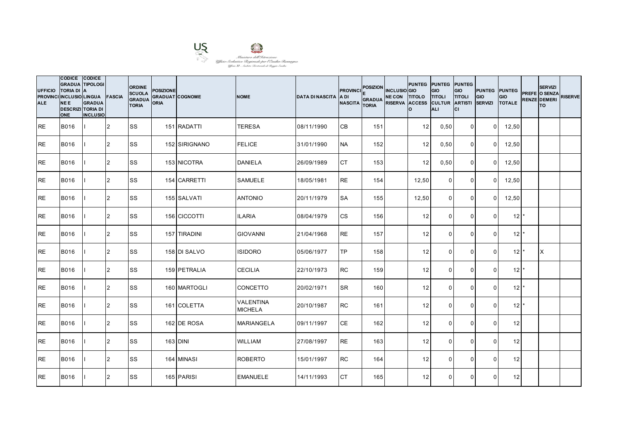

| <b>UFFICIO</b><br><b>ALE</b> | CODICE CODICE<br><b>GRADUA TIPOLOGI</b><br><b>TORIA DI A</b><br>PROVINCI INCLUSIO LINGUA FASCIA<br><b>NEE</b><br><b>DESCRIZI TORIA DI</b><br><b>ONE</b> | <b>GRADUA</b><br><b>INCLUSIO</b> |                | <b>ORDINE</b><br><b>SCUOLA</b><br><b>GRADUA</b><br><b>TORIA</b> | <b>POSIZIONE</b><br><b>ORIA</b> | <b>GRADUAT COGNOME</b> | <b>NOME</b>                        | <b>DATA DI NASCITA</b> | <b>PROVINCI</b><br><b>ADI</b><br><b>NASCITA</b> | POSIZION INCLUSIO GIO<br>GRADUA NE CON TITOLO TITOLI<br><b>TORIA</b> | RISERVA ACCESS CULTUR ARTISTI | PUNTEG PUNTEG PUNTEG<br>lo. | GIO<br>ALI     | GIO<br><b>TITOLI</b><br>lcı | <b>PUNTEG</b> PUNTEG<br>GIO<br><b>SERVIZI</b> | GIO<br><b>TOTALE</b> | <b>SERVIZI</b><br>PREFE O SENZA<br><b>RENZE DEMERI</b><br><b>TO</b> | <b>RISERVE</b> |
|------------------------------|---------------------------------------------------------------------------------------------------------------------------------------------------------|----------------------------------|----------------|-----------------------------------------------------------------|---------------------------------|------------------------|------------------------------------|------------------------|-------------------------------------------------|----------------------------------------------------------------------|-------------------------------|-----------------------------|----------------|-----------------------------|-----------------------------------------------|----------------------|---------------------------------------------------------------------|----------------|
| <b>RE</b>                    | <b>B016</b>                                                                                                                                             |                                  | 2              | <b>SS</b>                                                       |                                 | 151 RADATTI            | <b>TERESA</b>                      | 08/11/1990             | <b>CB</b>                                       | 151                                                                  |                               | 12                          | 0,50           | $\overline{0}$              | $\Omega$                                      | 12,50                |                                                                     |                |
| <b>RE</b>                    | B016                                                                                                                                                    |                                  | $\overline{2}$ | <b>SS</b>                                                       |                                 | 152 SIRIGNANO          | <b>FELICE</b>                      | 31/01/1990             | <b>NA</b>                                       | 152                                                                  |                               | 12                          | 0,50           | $\mathbf 0$                 | $\overline{0}$                                | 12,50                |                                                                     |                |
| <b>RE</b>                    | <b>B016</b>                                                                                                                                             |                                  | $\overline{2}$ | <b>SS</b>                                                       |                                 | 153 NICOTRA            | <b>DANIELA</b>                     | 26/09/1989             | <b>CT</b>                                       | 153                                                                  |                               | 12                          | 0,50           | $\mathbf 0$                 | $\Omega$                                      | 12,50                |                                                                     |                |
| <b>RE</b>                    | B016                                                                                                                                                    |                                  | $\overline{2}$ | <b>SS</b>                                                       |                                 | 154 CARRETTI           | <b>SAMUELE</b>                     | 18/05/1981             | <b>RE</b>                                       | 154                                                                  |                               | 12,50                       | $\mathbf 0$    | $\mathbf 0$                 | $\Omega$                                      | 12,50                |                                                                     |                |
| <b>RE</b>                    | B016                                                                                                                                                    |                                  | $\overline{2}$ | <b>SS</b>                                                       |                                 | 155 SALVATI            | <b>ANTONIO</b>                     | 20/11/1979             | <b>SA</b>                                       | 155                                                                  |                               | 12,50                       | $\Omega$       | $\mathbf 0$                 | $\Omega$                                      | 12,50                |                                                                     |                |
| <b>RE</b>                    | B016                                                                                                                                                    |                                  | $\overline{2}$ | <b>SS</b>                                                       |                                 | 156 CICCOTTI           | <b>ILARIA</b>                      | 08/04/1979             | <b>CS</b>                                       | 156                                                                  |                               | 12                          | $\Omega$       | $\mathbf 0$                 | $\Omega$                                      | 12 <sup>1</sup>      |                                                                     |                |
| <b>RE</b>                    | <b>B016</b>                                                                                                                                             |                                  | 2              | <b>SS</b>                                                       |                                 | 157 TIRADINI           | <b>GIOVANNI</b>                    | 21/04/1968             | <b>RE</b>                                       | 157                                                                  |                               | 12                          | $\mathbf 0$    | $\mathbf 0$                 | $\Omega$                                      | $12^{\star}$         |                                                                     |                |
| <b>RE</b>                    | B016                                                                                                                                                    |                                  | 2              | SS                                                              |                                 | 158 DI SALVO           | <b>ISIDORO</b>                     | 05/06/1977             | <b>TP</b>                                       | 158                                                                  |                               | 12                          | $\Omega$       | $\Omega$                    | $\Omega$                                      | 12                   | X                                                                   |                |
| <b>RE</b>                    | B016                                                                                                                                                    |                                  | 2              | <b>SS</b>                                                       |                                 | 159 PETRALIA           | <b>CECILIA</b>                     | 22/10/1973             | <b>RC</b>                                       | 159                                                                  |                               | 12                          | $\mathbf{0}$   | $\Omega$                    | $\Omega$                                      | $12$ $*$             |                                                                     |                |
| <b>RE</b>                    | B016                                                                                                                                                    |                                  | 2              | <b>SS</b>                                                       |                                 | 160 MARTOGLI           | <b>CONCETTO</b>                    | 20/02/1971             | <b>SR</b>                                       | 160                                                                  |                               | 12                          | $\overline{0}$ | $\mathbf 0$                 | $\Omega$                                      | $12$ $*$             |                                                                     |                |
| <b>RE</b>                    | B016                                                                                                                                                    |                                  | $\overline{2}$ | <b>SS</b>                                                       |                                 | 161 COLETTA            | <b>VALENTINA</b><br><b>MICHELA</b> | 20/10/1987             | <b>RC</b>                                       | 161                                                                  |                               | 12                          | $\Omega$       | $\Omega$                    | $\Omega$                                      | 12 <sup>1</sup>      |                                                                     |                |
| <b>RE</b>                    | B016                                                                                                                                                    |                                  | 2              | <b>SS</b>                                                       |                                 | 162 DE ROSA            | <b>MARIANGELA</b>                  | 09/11/1997             | <b>CE</b>                                       | 162                                                                  |                               | 12                          | $\Omega$       | $\mathbf{0}$                | $\Omega$                                      | 12                   |                                                                     |                |
| <b>RE</b>                    | <b>B016</b>                                                                                                                                             |                                  | 2              | <b>SS</b>                                                       |                                 | 163 DINI               | <b>WILLIAM</b>                     | 27/08/1997             | <b>RE</b>                                       | 163                                                                  |                               | 12                          | $\mathbf 0$    | $\mathbf 0$                 | $\Omega$                                      | 12                   |                                                                     |                |
| <b>RE</b>                    | B016                                                                                                                                                    |                                  | 2              | <b>SS</b>                                                       |                                 | 164 MINASI             | <b>ROBERTO</b>                     | 15/01/1997             | <b>RC</b>                                       | 164                                                                  |                               | 12                          | $\Omega$       | $\Omega$                    | $\Omega$                                      | 12                   |                                                                     |                |
| <b>RE</b>                    | <b>B016</b>                                                                                                                                             |                                  | $\overline{2}$ | <b>SS</b>                                                       |                                 | 165 PARISI             | <b>EMANUELE</b>                    | 14/11/1993             | <b>CT</b>                                       | 165                                                                  |                               | 12                          | $\Omega$       | $\Omega$                    | $\Omega$                                      | 12                   |                                                                     |                |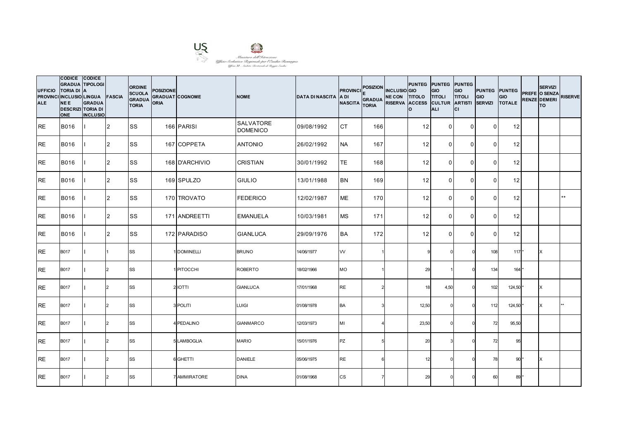

| <b>UFFICIO</b><br><b>ALE</b> | CODICE CODICE<br><b>GRADUA TIPOLOGI</b><br><b>TORIA DI</b><br>PROVINCI INCLUSIO LINGUA FASCIA<br><b>NEE</b><br><b>DESCRIZI TORIA DI</b><br><b>ONE</b> | <b>IA</b><br><b>GRADUA</b><br><b>INCLUSIO</b> |                | <b>ORDINE</b><br><b>SCUOLA</b><br><b>GRADUA</b><br><b>TORIA</b> | <b>POSIZIONE</b><br><b>GRADUAT COGNOME</b><br><b>ORIA</b> |                | <b>NOME</b>                         | <b>DATA DI NASCITA A DI</b> | <b>PROVINCI</b><br><b>NASCITA</b> | <b>POSIZION</b><br><b>GRADUA</b><br><b>TORIA</b> | <b>INCLUSIO</b> GIO<br>NE CON TITOLO TITOLI<br>RISERVA ACCESS CULTUR ARTISTI | PUNTEG PUNTEG PUNTEG<br>Ιo | <b>GIO</b><br><b>ALI</b> | GIO<br><b>TITOLI</b><br>lcı | <b>PUNTEG PUNTEG</b><br>GIO<br><b>SERVIZI</b> | <b>GIO</b><br><b>TOTALE</b> | <b>SERVIZI</b><br>PREFE O SENZA<br><b>RENZE DEMERI</b><br><b>TO</b> | <b>RISERVE</b> |
|------------------------------|-------------------------------------------------------------------------------------------------------------------------------------------------------|-----------------------------------------------|----------------|-----------------------------------------------------------------|-----------------------------------------------------------|----------------|-------------------------------------|-----------------------------|-----------------------------------|--------------------------------------------------|------------------------------------------------------------------------------|----------------------------|--------------------------|-----------------------------|-----------------------------------------------|-----------------------------|---------------------------------------------------------------------|----------------|
| IRE.                         | <b>B016</b>                                                                                                                                           |                                               | 12             | <b>SS</b>                                                       |                                                           | 166 PARISI     | <b>SALVATORE</b><br><b>DOMENICO</b> | 09/08/1992                  | <b>CT</b>                         | 166                                              |                                                                              | 12                         | $\overline{0}$           | $\overline{0}$              | $\Omega$                                      | 12                          |                                                                     |                |
| <b>RE</b>                    | <b>B016</b>                                                                                                                                           |                                               | 2              | <b>SS</b>                                                       |                                                           | 167 COPPETA    | <b>ANTONIO</b>                      | 26/02/1992                  | <b>NA</b>                         | 167                                              |                                                                              | 12                         | $\Omega$                 | $\mathbf{0}$                | $\Omega$                                      | 12                          |                                                                     |                |
| <b>RE</b>                    | <b>B016</b>                                                                                                                                           |                                               | 2              | <b>SS</b>                                                       |                                                           | 168 D'ARCHIVIO | <b>CRISTIAN</b>                     | 30/01/1992                  | TE                                | 168                                              |                                                                              | 12                         | $\Omega$                 | $\mathbf{0}$                | $\Omega$                                      | 12                          |                                                                     |                |
| <b>RE</b>                    | <b>B016</b>                                                                                                                                           |                                               | $\overline{2}$ | <b>SS</b>                                                       |                                                           | 169 SPULZO     | <b>GIULIO</b>                       | 13/01/1988                  | <b>BN</b>                         | 169                                              |                                                                              | 12                         | $\overline{0}$           | $\mathbf 0$                 | $\overline{0}$                                | 12                          |                                                                     |                |
| <b>IRE</b>                   | <b>B016</b>                                                                                                                                           |                                               | 2              | <b>SS</b>                                                       |                                                           | 170 TROVATO    | <b>FEDERICO</b>                     | 12/02/1987                  | <b>ME</b>                         | 170                                              |                                                                              | 12                         | $\Omega$                 | $\mathbf{0}$                | $\Omega$                                      | 12                          |                                                                     | $***$          |
| RE                           | <b>B016</b>                                                                                                                                           |                                               | 2              | <b>SS</b>                                                       |                                                           | 171 ANDREETTI  | <b>EMANUELA</b>                     | 10/03/1981                  | <b>MS</b>                         | 171                                              |                                                                              | 12                         | $\Omega$                 | $\mathbf{0}$                | $\Omega$                                      | 12                          |                                                                     |                |
| <b>RE</b>                    | <b>B016</b>                                                                                                                                           |                                               | 2              | <b>SS</b>                                                       |                                                           | 172 PARADISO   | <b>GIANLUCA</b>                     | 29/09/1976                  | <b>BA</b>                         | 172                                              |                                                                              | 12                         | $\overline{0}$           | $\mathbf 0$                 | $\Omega$                                      | 12                          |                                                                     |                |
| RE                           | <b>B017</b>                                                                                                                                           |                                               |                | SS                                                              |                                                           | 1 DOMINELLI    | <b>BRUNO</b>                        | 14/06/1977                  | W                                 |                                                  |                                                                              |                            |                          |                             | 108                                           | $117*$                      | X                                                                   |                |
| <b>RE</b>                    | <b>B017</b>                                                                                                                                           |                                               |                | SS                                                              |                                                           | 1 PITOCCHI     | ROBERTO                             | 18/02/1966                  | МO                                |                                                  |                                                                              | 29                         |                          |                             | 134                                           | 164 *                       |                                                                     |                |
| <b>RE</b>                    | <b>B017</b>                                                                                                                                           |                                               | $\mathcal{P}$  | <b>SS</b>                                                       |                                                           | 2 IOTTI        | <b>GIANLUCA</b>                     | 17/01/1968                  | <b>RE</b>                         |                                                  |                                                                              | 18                         | 4,50                     | $\Omega$                    | 102                                           | 124,50 *                    | X                                                                   |                |
| <b>RE</b>                    | <b>B017</b>                                                                                                                                           |                                               | $\mathcal{L}$  | <b>SS</b>                                                       |                                                           | 3 POLITI       | <b>LUIGI</b>                        | 01/08/1978                  | <b>BA</b>                         |                                                  |                                                                              | 12,50                      |                          |                             | 112                                           | 124,50                      | ΙX                                                                  |                |
| RE                           | <b>B017</b>                                                                                                                                           |                                               |                | <b>SS</b>                                                       |                                                           | 4 PEDALINO     | <b>GIANMARCO</b>                    | 12/03/1973                  | MI                                |                                                  |                                                                              | 23,50                      |                          |                             | 72                                            | 95,50                       |                                                                     |                |
| <b>IRE</b>                   | <b>B017</b>                                                                                                                                           |                                               | $\mathcal{L}$  | <b>SS</b>                                                       |                                                           | 5 LAMBOGLIA    | <b>MARIO</b>                        | 15/01/1976                  | <b>PZ</b>                         |                                                  |                                                                              | 20                         |                          |                             | 72                                            | 95                          |                                                                     |                |
| <b>RE</b>                    | <b>B017</b>                                                                                                                                           |                                               |                | <b>SS</b>                                                       |                                                           | 6 GHETTI       | <b>DANIELE</b>                      | 05/06/1975                  | <b>RE</b>                         | 6                                                |                                                                              | 12                         |                          |                             | 78                                            | $90*$                       | X                                                                   |                |
| <b>RE</b>                    | <b>B017</b>                                                                                                                                           |                                               |                | SS                                                              |                                                           | 7 AMMIRATORE   | <b>DINA</b>                         | 01/08/1968                  | <b>CS</b>                         |                                                  |                                                                              | 29                         |                          |                             | 60                                            | 89 *                        |                                                                     |                |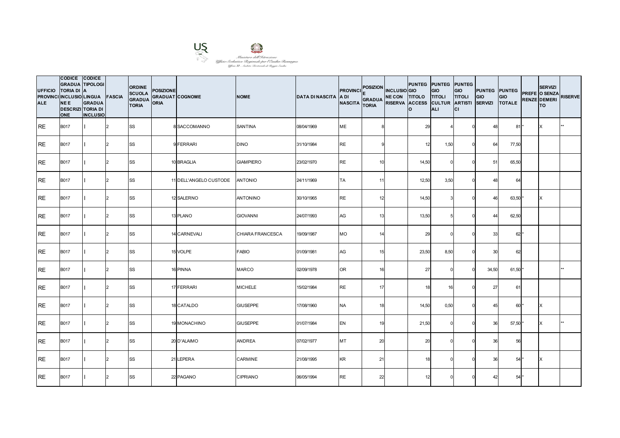

| <b>UFFICIO</b><br><b>ALE</b> | CODICE CODICE<br><b>GRADUA TIPOLOGI</b><br><b>TORIA DI</b><br>PROVINCI INCLUSIO LINGUA FASCIA<br><b>NEE</b><br><b>DESCRIZI TORIA DI</b><br><b>ONE</b> | IA<br><b>GRADUA</b><br><b>INCLUSIO</b> |               | <b>ORDINE</b><br><b>SCUOLA</b><br><b>GRADUA</b><br><b>TORIA</b> | <b>POSIZIONE</b><br><b>GRADUAT COGNOME</b><br><b>ORIA</b> |                        | <b>NOME</b>      | <b>DATA DI NASCITA A DI</b> | <b>PROVINCI</b><br><b>NASCITA</b> | <b>POSIZION</b><br><b>GRADUA</b><br><b>TORIA</b> | <b>INCLUSIO</b> GIO<br>NE CON TITOLO TITOLI<br>RISERVA ACCESS CULTUR ARTISTI | <b>PUNTEG PUNTEG PUNTEG</b><br>lo. | <b>GIO</b><br><b>ALI</b> | <b>GIO</b><br><b>TITOLI</b><br>СI | <b>PUNTEG PUNTEG</b><br>GIO<br><b>SERVIZI</b> | <b>GIO</b><br><b>TOTALE</b> | <b>SERVIZI</b><br>PREFE O SENZA<br><b>RENZE DEMERI</b><br><b>TO</b> | <b>RISERVE</b> |
|------------------------------|-------------------------------------------------------------------------------------------------------------------------------------------------------|----------------------------------------|---------------|-----------------------------------------------------------------|-----------------------------------------------------------|------------------------|------------------|-----------------------------|-----------------------------------|--------------------------------------------------|------------------------------------------------------------------------------|------------------------------------|--------------------------|-----------------------------------|-----------------------------------------------|-----------------------------|---------------------------------------------------------------------|----------------|
| IRE.                         | <b>B017</b>                                                                                                                                           |                                        | 2             | <b>SS</b>                                                       |                                                           | 8 SACCOMANNO           | <b>SANTINA</b>   | 08/04/1969                  | <b>ME</b>                         |                                                  |                                                                              | 29                                 |                          |                                   | 48                                            | $81*$                       | X                                                                   |                |
| <b>RE</b>                    | <b>B017</b>                                                                                                                                           |                                        | $\mathcal{P}$ | <b>SS</b>                                                       |                                                           | 9 FERRARI              | <b>DINO</b>      | 31/10/1984                  | <b>RE</b>                         |                                                  |                                                                              | 12                                 | 1,50                     |                                   | 64                                            | 77,50                       |                                                                     |                |
| <b>RE</b>                    | <b>B017</b>                                                                                                                                           |                                        | $\mathcal{D}$ | SS                                                              |                                                           | 10 BRAGLIA             | <b>GIAMPIERO</b> | 23/02/1970                  | <b>RE</b>                         | 10                                               |                                                                              | 14,50                              |                          |                                   | 51                                            | 65,50                       |                                                                     |                |
| IRE.                         | <b>B017</b>                                                                                                                                           |                                        | $\mathcal{P}$ | SS                                                              |                                                           | 11 DELL'ANGELO CUSTODE | <b>ANTONIO</b>   | 24/11/1969                  | <b>TA</b>                         | 11                                               |                                                                              | 12,50                              | 3,50                     |                                   | 48                                            | 64                          |                                                                     |                |
| <b>RE</b>                    | <b>B017</b>                                                                                                                                           |                                        | $\mathcal{D}$ | <b>SS</b>                                                       |                                                           | 12 SALERNO             | <b>ANTONINO</b>  | 30/10/1965                  | <b>RE</b>                         | 12                                               |                                                                              | 14,50                              |                          |                                   | 46                                            | 63,50                       | X                                                                   |                |
| <b>RE</b>                    | <b>B017</b>                                                                                                                                           |                                        | $\mathcal{D}$ | <b>SS</b>                                                       |                                                           | 13 PLANO               | <b>GIOVANNI</b>  | 24/07/1993                  | AG                                | 13                                               |                                                                              | 13,50                              |                          |                                   | 44                                            | 62,50                       |                                                                     |                |
| <b>IRE</b>                   | <b>B017</b>                                                                                                                                           |                                        | $\mathcal{P}$ | <b>SS</b>                                                       |                                                           | 14 CARNEVALI           | CHIARA FRANCESCA | 19/09/1987                  | МO                                | 14                                               |                                                                              | 29                                 |                          |                                   | 33                                            | $62*$                       |                                                                     |                |
| <b>I</b> RE                  | <b>B017</b>                                                                                                                                           |                                        | $\mathcal{D}$ | <b>SS</b>                                                       |                                                           | 15 VOLPE               | <b>FABIO</b>     | 01/09/1981                  | AG                                | 15                                               |                                                                              | 23,50                              | 8,50                     |                                   | 30                                            | 62                          |                                                                     |                |
| <b>RE</b>                    | <b>B017</b>                                                                                                                                           |                                        |               | <b>SS</b>                                                       |                                                           | 16 PINNA               | <b>MARCO</b>     | 02/09/1978                  | OR                                | 16                                               |                                                                              | 27                                 |                          |                                   | 34,50                                         | 61,50                       |                                                                     |                |
| <b>RE</b>                    | <b>B017</b>                                                                                                                                           |                                        | $\mathcal{P}$ | <b>SS</b>                                                       |                                                           | 17 FERRARI             | <b>MICHELE</b>   | 15/02/1984                  | <b>RE</b>                         | 17                                               |                                                                              | 18                                 | 16                       |                                   | 27                                            | 61                          |                                                                     |                |
| <b>IRE</b>                   | <b>B017</b>                                                                                                                                           |                                        | $\mathcal{D}$ | <b>SS</b>                                                       |                                                           | 18 CATALDO             | <b>GIUSEPPE</b>  | 17/08/1960                  | <b>NA</b>                         | 18                                               |                                                                              | 14,50                              | 0,50                     |                                   | 45                                            | $60*$                       | X                                                                   |                |
| IRE.                         | <b>B017</b>                                                                                                                                           |                                        |               | <b>SS</b>                                                       |                                                           | 19 MONACHINO           | <b>GIUSEPPE</b>  | 01/07/1984                  | EN                                | 19                                               |                                                                              | 21,50                              |                          |                                   | 36                                            | 57,50                       |                                                                     |                |
| <b>RE</b>                    | <b>B017</b>                                                                                                                                           |                                        | $\mathcal{P}$ | <b>SS</b>                                                       |                                                           | 20 D'ALAIMO            | <b>ANDREA</b>    | 07/02/1977                  | MT                                | 20                                               |                                                                              | 20                                 |                          |                                   | 36                                            | 56                          |                                                                     |                |
| RE                           | <b>B017</b>                                                                                                                                           |                                        | 2             | <b>SS</b>                                                       |                                                           | 21 LEPERA              | CARMINE          | 21/08/1995                  | KR                                | 21                                               |                                                                              | 18                                 |                          |                                   | 36                                            | 54                          | IX                                                                  |                |
| <b>RE</b>                    | <b>B017</b>                                                                                                                                           |                                        |               | SS                                                              |                                                           | 22 PAGANO              | <b>CIPRIANO</b>  | 06/05/1994                  | <b>RE</b>                         | 22                                               |                                                                              | 12                                 |                          |                                   | 42                                            | $54*$                       |                                                                     |                |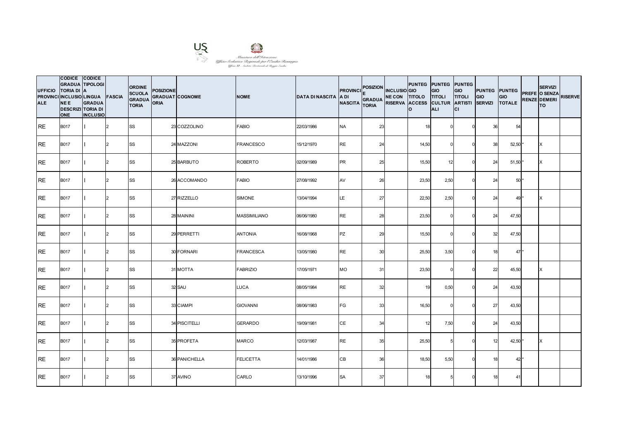

| <b>UFFICIO</b><br><b>ALE</b> | CODICE CODICE<br><b>TORIA DI A</b><br>PROVINCI INCLUSIO LINGUA FASCIA<br><b>NEE</b><br><b>DESCRIZI TORIA DI</b><br><b>ONE</b> | <b>GRADUA TIPOLOGI</b><br><b>GRADUA</b><br><b>INCLUSIO</b> |               | <b>ORDINE</b><br><b>SCUOLA</b><br><b>GRADUA</b><br><b>TORIA</b> | <b>POSIZIONE</b><br><b>GRADUAT COGNOME</b><br><b>ORIA</b> |               | <b>NOME</b>         | <b>DATA DI NASCITA A DI</b> | <b>PROVINCI</b><br><b>NASCITA</b> | POSIZION INCLUSIO GIO<br>GRADUA NE CON TITOLO TITOLI<br><b>TORIA</b> | lo.   | <b>PUNTEG PUNTEG PUNTEG</b><br><b>GIO</b><br>RISERVA ACCESS CULTUR ARTISTI SERVIZI<br><b>ALI</b> | <b>GIO</b><br><b>TITOLI</b><br>lcı | <b>PUNTEG</b> PUNTEG<br>GIO | GIO<br><b>TOTALE</b> | <b>SERVIZI</b><br>PREFE O SENZA<br><b>RENZE DEMERI</b><br><b>TO</b> | <b>RISERVE</b> |
|------------------------------|-------------------------------------------------------------------------------------------------------------------------------|------------------------------------------------------------|---------------|-----------------------------------------------------------------|-----------------------------------------------------------|---------------|---------------------|-----------------------------|-----------------------------------|----------------------------------------------------------------------|-------|--------------------------------------------------------------------------------------------------|------------------------------------|-----------------------------|----------------------|---------------------------------------------------------------------|----------------|
| IRE.                         | <b>B017</b>                                                                                                                   |                                                            | 2             | <b>SS</b>                                                       |                                                           | 23 COZZOLINO  | <b>FABIO</b>        | 22/03/1986                  | <b>NA</b>                         | 23                                                                   | 18    |                                                                                                  |                                    | 36                          | 54                   |                                                                     |                |
| <b>RE</b>                    | <b>B017</b>                                                                                                                   |                                                            | $\mathcal{P}$ | <b>SS</b>                                                       |                                                           | 24 MAZZONI    | <b>FRANCESCO</b>    | 15/12/1970                  | <b>RE</b>                         | 24                                                                   | 14,50 |                                                                                                  |                                    | 38                          | 52,50                | X                                                                   |                |
| <b>RE</b>                    | <b>B017</b>                                                                                                                   |                                                            | $\mathcal{D}$ | SS                                                              |                                                           | 25 BARBUTO    | <b>ROBERTO</b>      | 02/09/1989                  | <b>PR</b>                         | 25                                                                   | 15,50 | 12                                                                                               |                                    | 24                          | $51,50*$             | X                                                                   |                |
| IRE.                         | <b>B017</b>                                                                                                                   |                                                            | $\mathcal{P}$ | SS                                                              |                                                           | 26 ACCOMANDO  | <b>FABIO</b>        | 27/08/1992                  | AV                                | 26                                                                   | 23,50 | 2,50                                                                                             |                                    | 24                          | $50*$                |                                                                     |                |
| <b>RE</b>                    | <b>B017</b>                                                                                                                   |                                                            | $\mathcal{D}$ | <b>SS</b>                                                       |                                                           | 27 RIZZELLO   | <b>SIMONE</b>       | 13/04/1994                  | LE                                | 27                                                                   | 22,50 | 2,50                                                                                             |                                    | 24                          | 49*                  | ΙX                                                                  |                |
| <b>RE</b>                    | <b>B017</b>                                                                                                                   |                                                            | $\mathcal{D}$ | <b>SS</b>                                                       |                                                           | 28 MAININI    | <b>MASSIMILIANO</b> | 06/06/1980                  | <b>RE</b>                         | 28                                                                   | 23,50 |                                                                                                  |                                    | 24                          | 47,50                |                                                                     |                |
| <b>IRE</b>                   | <b>B017</b>                                                                                                                   |                                                            | $\mathcal{P}$ | <b>SS</b>                                                       |                                                           | 29 PERRETTI   | <b>ANTONIA</b>      | 16/08/1968                  | <b>PZ</b>                         | 29                                                                   | 15,50 |                                                                                                  |                                    | 32                          | 47,50                |                                                                     |                |
| RE                           | <b>B017</b>                                                                                                                   |                                                            | $\mathcal{D}$ | <b>SS</b>                                                       |                                                           | 30 FORNARI    | <b>FRANCESCA</b>    | 13/05/1980                  | <b>RE</b>                         | 30                                                                   | 25,50 | 3,50                                                                                             |                                    | 18                          | 47*                  |                                                                     |                |
| <b>RE</b>                    | <b>B017</b>                                                                                                                   |                                                            |               | <b>SS</b>                                                       |                                                           | 31 MOTTA      | <b>FABRIZIO</b>     | 17/05/1971                  | МO                                | 31                                                                   | 23,50 |                                                                                                  |                                    | 22                          | 45,50                | X                                                                   |                |
| <b>RE</b>                    | <b>B017</b>                                                                                                                   |                                                            | $\mathcal{P}$ | <b>SS</b>                                                       |                                                           | 32 SAU        | <b>LUCA</b>         | 08/05/1984                  | <b>RE</b>                         | 32                                                                   | 19    | 0,50                                                                                             |                                    | 24                          | 43,50                |                                                                     |                |
| <b>IRE</b>                   | <b>B017</b>                                                                                                                   |                                                            | $\mathcal{D}$ | <b>SS</b>                                                       |                                                           | 33 CIAMPI     | <b>GIOVANNI</b>     | 08/06/1983                  | FG                                | 33                                                                   | 16,50 |                                                                                                  |                                    | 27                          | 43,50                |                                                                     |                |
| IRE.                         | <b>B017</b>                                                                                                                   |                                                            |               | <b>SS</b>                                                       |                                                           | 34 PISCITELLI | <b>GERARDO</b>      | 19/09/1981                  | CE                                | 34                                                                   | 12    | 7,50                                                                                             |                                    | 24                          | 43,50                |                                                                     |                |
| <b>RE</b>                    | <b>B017</b>                                                                                                                   |                                                            | $\mathcal{P}$ | <b>SS</b>                                                       |                                                           | 35 PROFETA    | <b>MARCO</b>        | 12/03/1987                  | <b>RE</b>                         | 35                                                                   | 25,50 | 5                                                                                                |                                    | 12                          | 42,50                | X                                                                   |                |
| RE                           | <b>B017</b>                                                                                                                   |                                                            | 2             | <b>SS</b>                                                       |                                                           | 36 PANICHELLA | <b>FELICETTA</b>    | 14/01/1986                  | CВ                                | 36                                                                   | 18,50 | 5,50                                                                                             |                                    | 18                          | $42*$                |                                                                     |                |
| <b>RE</b>                    | <b>B017</b>                                                                                                                   |                                                            |               | SS                                                              |                                                           | 37 AVINO      | CARLO               | 13/10/1996                  | <b>SA</b>                         | 37                                                                   | 18    |                                                                                                  |                                    | 18                          | 41                   |                                                                     |                |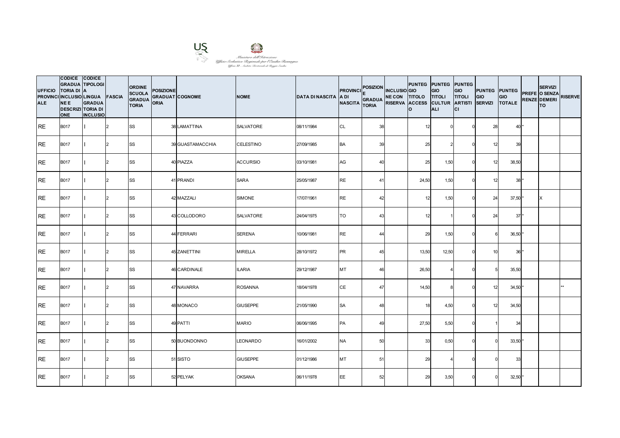

| <b>UFFICIO</b><br><b>ALE</b> | CODICE CODICE<br><b>GRADUA TIPOLOGI</b><br><b>TORIA DI A</b><br>PROVINCI INCLUSIO LINGUA FASCIA<br><b>NEE</b><br><b>DESCRIZI TORIA DI</b><br><b>ONE</b> | <b>GRADUA</b><br><b>INCLUSIO</b> |               | <b>ORDINE</b><br><b>SCUOLA</b><br><b>GRADUA</b><br><b>TORIA</b> | <b>POSIZIONE</b><br><b>GRADUAT COGNOME</b><br><b>ORIA</b> |                  | <b>NOME</b>      | <b>DATA DI NASCITA A DI</b> | <b>PROVINCI</b><br><b>NASCITA</b> | POSIZION INCLUSIO GIO<br>GRADUA NE CON TITOLO TITOLI<br><b>TORIA</b> | lo.   | <b>PUNTEG PUNTEG PUNTEG</b><br><b>GIO</b><br>RISERVA ACCESS CULTUR ARTISTI SERVIZI<br><b>ALI</b> | <b>GIO</b><br><b>TITOLI</b><br>lcı | <b>PUNTEG</b> PUNTEG<br>GIO | GIO<br><b>TOTALE</b> | <b>SERVIZI</b><br>PREFE O SENZA<br><b>RENZE DEMERI</b><br><b>TO</b> | <b>RISERVE</b> |
|------------------------------|---------------------------------------------------------------------------------------------------------------------------------------------------------|----------------------------------|---------------|-----------------------------------------------------------------|-----------------------------------------------------------|------------------|------------------|-----------------------------|-----------------------------------|----------------------------------------------------------------------|-------|--------------------------------------------------------------------------------------------------|------------------------------------|-----------------------------|----------------------|---------------------------------------------------------------------|----------------|
| <b>IRE</b>                   | <b>B017</b>                                                                                                                                             |                                  | 2             | <b>SS</b>                                                       |                                                           | 38 LAMATTINA     | <b>SALVATORE</b> | 08/11/1984                  | <b>CL</b>                         | 38                                                                   | 12    |                                                                                                  |                                    | 28                          | 40*                  |                                                                     |                |
| <b>RE</b>                    | <b>B017</b>                                                                                                                                             |                                  | $\mathcal{P}$ | <b>SS</b>                                                       |                                                           | 39 GUASTAMACCHIA | <b>CELESTINO</b> | 27/09/1985                  | BA                                | 39                                                                   | 25    |                                                                                                  |                                    | 12                          | 39                   |                                                                     |                |
| <b>RE</b>                    | <b>B017</b>                                                                                                                                             |                                  | $\mathcal{D}$ | SS                                                              |                                                           | 40 PIAZZA        | <b>ACCURSIO</b>  | 03/10/1981                  | AG                                | 40                                                                   | 25    | 1,50                                                                                             |                                    | 12                          | 38,50                |                                                                     |                |
| IRE.                         | <b>B017</b>                                                                                                                                             |                                  | $\mathcal{P}$ | SS                                                              |                                                           | 41 PRANDI        | <b>SARA</b>      | 25/05/1987                  | <b>RE</b>                         | 41                                                                   | 24,50 | 1,50                                                                                             |                                    | 12                          | $38*$                |                                                                     |                |
| <b>RE</b>                    | <b>B017</b>                                                                                                                                             |                                  | $\mathcal{D}$ | <b>SS</b>                                                       |                                                           | 42 MAZZALI       | <b>SIMONE</b>    | 17/07/1961                  | <b>RE</b>                         | 42                                                                   | 12    | 1,50                                                                                             |                                    | 24                          | $37,50$ *            | ΙX                                                                  |                |
| <b>RE</b>                    | <b>B017</b>                                                                                                                                             |                                  | $\mathcal{D}$ | <b>SS</b>                                                       |                                                           | 43 COLLODORO     | <b>SALVATORE</b> | 24/04/1975                  | TO                                | 43                                                                   | 12    |                                                                                                  |                                    | 24                          | $37*$                |                                                                     |                |
| <b>IRE</b>                   | <b>B017</b>                                                                                                                                             |                                  | $\mathcal{P}$ | <b>SS</b>                                                       |                                                           | 44 FERRARI       | <b>SERENA</b>    | 10/06/1981                  | <b>RE</b>                         | 44                                                                   | 29    | 1,50                                                                                             | $\Omega$                           |                             | 36,50 *              |                                                                     |                |
| RE                           | <b>B017</b>                                                                                                                                             |                                  | $\mathcal{D}$ | <b>SS</b>                                                       |                                                           | 45 ZANETTINI     | <b>MIRELLA</b>   | 28/10/1972                  | <b>PR</b>                         | 45                                                                   | 13,50 | 12,50                                                                                            |                                    | 10                          | $36*$                |                                                                     |                |
| <b>RE</b>                    | <b>B017</b>                                                                                                                                             |                                  |               | <b>SS</b>                                                       |                                                           | 46 CARDINALE     | <b>ILARIA</b>    | 29/12/1987                  | MT                                | 46                                                                   | 26,50 |                                                                                                  |                                    |                             | 35,50                |                                                                     |                |
| <b>RE</b>                    | <b>B017</b>                                                                                                                                             |                                  | $\mathcal{P}$ | <b>SS</b>                                                       |                                                           | 47 NAVARRA       | <b>ROSANNA</b>   | 18/04/1978                  | CE                                | 47                                                                   | 14,50 |                                                                                                  |                                    | 12                          | $34,50*$             |                                                                     |                |
| <b>IRE</b>                   | <b>B017</b>                                                                                                                                             |                                  | $\mathcal{D}$ | <b>SS</b>                                                       |                                                           | 48 MONACO        | <b>GIUSEPPE</b>  | 21/05/1990                  | <b>SA</b>                         | 48                                                                   | 18    | 4,50                                                                                             |                                    | 12                          | 34,50                |                                                                     |                |
| <b>RE</b>                    | <b>B017</b>                                                                                                                                             |                                  |               | <b>SS</b>                                                       |                                                           | 49 PATTI         | <b>MARIO</b>     | 06/06/1995                  | PA                                | 49                                                                   | 27,50 | 5,50                                                                                             |                                    |                             | 34                   |                                                                     |                |
| <b>RE</b>                    | <b>B017</b>                                                                                                                                             |                                  | $\mathcal{P}$ | <b>SS</b>                                                       |                                                           | 50 BUONDONNO     | <b>LEONARDO</b>  | 16/01/2002                  | <b>NA</b>                         | 50                                                                   | 33    | 0,50                                                                                             | $\Omega$                           |                             | $33,50$ *            |                                                                     |                |
| RE                           | <b>B017</b>                                                                                                                                             |                                  | 2             | <b>SS</b>                                                       |                                                           | 51 SISTO         | <b>GIUSEPPE</b>  | 01/12/1986                  | MT                                | 51                                                                   | 29    |                                                                                                  |                                    |                             | 33                   |                                                                     |                |
| <b>RE</b>                    | <b>B017</b>                                                                                                                                             |                                  |               | SS                                                              |                                                           | 52 PELYAK        | <b>OKSANA</b>    | 06/11/1978                  | EE                                | 52                                                                   | 29    | 3,50                                                                                             |                                    |                             | $32,50$ *            |                                                                     |                |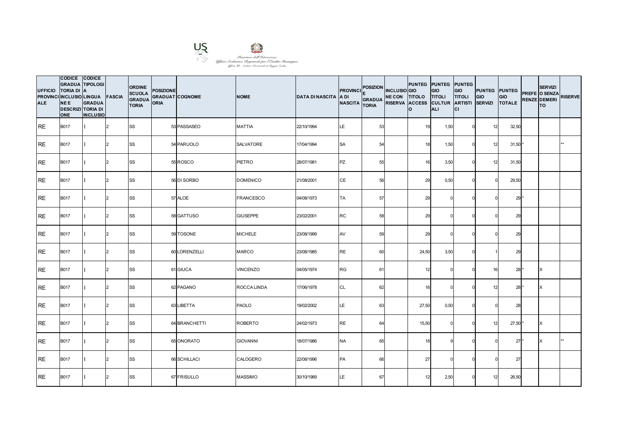

| <b>UFFICIO</b><br><b>ALE</b> | CODICE CODICE<br><b>GRADUA TIPOLOGI</b><br><b>TORIA DI A</b><br>PROVINCI INCLUSIO LINGUA FASCIA<br><b>NEE</b><br><b>DESCRIZI TORIA DI</b><br><b>ONE</b> | <b>GRADUA</b><br><b>INCLUSIO</b> |               | <b>ORDINE</b><br><b>SCUOLA</b><br><b>GRADUA</b><br><b>TORIA</b> | <b>POSIZIONE</b><br><b>GRADUAT COGNOME</b><br><b>ORIA</b> |               | <b>NOME</b>      | <b>DATA DI NASCITA A DI</b> | <b>PROVINCI</b><br><b>NASCITA</b> | POSIZION INCLUSIO GIO<br>GRADUA NE CON TITOLO TITOLI<br><b>TORIA</b> | lo.   | <b>PUNTEG PUNTEG PUNTEG</b><br><b>GIO</b><br>RISERVA ACCESS CULTUR ARTISTI SERVIZI<br><b>ALI</b> | <b>GIO</b><br><b>TITOLI</b><br>lcı | <b>PUNTEG</b> PUNTEG<br>GIO | GIO<br><b>TOTALE</b> | <b>SERVIZI</b><br>PREFE O SENZA<br><b>RENZE DEMERI</b><br><b>TO</b> | <b>RISERVE</b> |
|------------------------------|---------------------------------------------------------------------------------------------------------------------------------------------------------|----------------------------------|---------------|-----------------------------------------------------------------|-----------------------------------------------------------|---------------|------------------|-----------------------------|-----------------------------------|----------------------------------------------------------------------|-------|--------------------------------------------------------------------------------------------------|------------------------------------|-----------------------------|----------------------|---------------------------------------------------------------------|----------------|
| IRE.                         | <b>B017</b>                                                                                                                                             |                                  | 2             | <b>SS</b>                                                       |                                                           | 53 PASSASEO   | <b>MATTIA</b>    | 22/10/1994                  | LE                                | 53                                                                   | 19    | 1,50                                                                                             |                                    | 12                          | 32,50                |                                                                     |                |
| <b>RE</b>                    | <b>B017</b>                                                                                                                                             |                                  | $\mathcal{P}$ | <b>SS</b>                                                       |                                                           | 54 PARUOLO    | SALVATORE        | 17/04/1994                  | <b>SA</b>                         | 54                                                                   | 18    | 1,50                                                                                             |                                    | 12                          | $31,50$ *            |                                                                     |                |
| <b>RE</b>                    | <b>B017</b>                                                                                                                                             |                                  | $\mathcal{D}$ | SS                                                              |                                                           | 55 ROSCO      | <b>PIETRO</b>    | 28/07/1981                  | <b>PZ</b>                         | 55                                                                   | 16    | 3,50                                                                                             |                                    | 12                          | 31,50                |                                                                     |                |
| IRE.                         | <b>B017</b>                                                                                                                                             |                                  | $\mathcal{P}$ | SS                                                              |                                                           | 56 DI SORBO   | <b>DOMENICO</b>  | 21/08/2001                  | CE                                | 56                                                                   | 29    | 0,50                                                                                             |                                    |                             | 29,50                |                                                                     |                |
| <b>RE</b>                    | <b>B017</b>                                                                                                                                             |                                  | $\mathcal{D}$ | <b>SS</b>                                                       |                                                           | 57 ALOE       | <b>FRANCESCO</b> | 04/08/1973                  | <b>TA</b>                         | 57                                                                   | 29    |                                                                                                  |                                    |                             | 29'                  |                                                                     |                |
| <b>RE</b>                    | <b>B017</b>                                                                                                                                             |                                  | $\mathcal{D}$ | <b>SS</b>                                                       |                                                           | 58 GATTUSO    | <b>GIUSEPPE</b>  | 23/02/2001                  | RC                                | 58                                                                   | 29    |                                                                                                  |                                    |                             | 29                   |                                                                     |                |
| <b>IRE</b>                   | <b>B017</b>                                                                                                                                             |                                  | $\mathcal{P}$ | <b>SS</b>                                                       |                                                           | 59 TOSONE     | <b>MICHELE</b>   | 23/08/1999                  | AV                                | 59                                                                   | 29    |                                                                                                  |                                    |                             | 29                   |                                                                     |                |
| RE                           | <b>B017</b>                                                                                                                                             |                                  | $\mathcal{D}$ | <b>SS</b>                                                       |                                                           | 60 LORENZELLI | <b>MARCO</b>     | 23/08/1985                  | <b>RE</b>                         | 60                                                                   | 24,50 | 3,50                                                                                             |                                    |                             | 29                   |                                                                     |                |
| <b>RE</b>                    | <b>B017</b>                                                                                                                                             |                                  |               | <b>SS</b>                                                       |                                                           | 61 GIUCA      | <b>VINCENZO</b>  | 04/05/1974                  | <b>RG</b>                         | 61                                                                   | 12    |                                                                                                  |                                    | 16                          | 28 *                 | X                                                                   |                |
| <b>RE</b>                    | <b>B017</b>                                                                                                                                             |                                  | $\mathcal{P}$ | <b>SS</b>                                                       |                                                           | 62 PAGANO     | ROCCA LINDA      | 17/06/1978                  | CL                                | 62                                                                   | 16    |                                                                                                  |                                    | 12                          | $28*$                | ΙX                                                                  |                |
| <b>IRE</b>                   | <b>B017</b>                                                                                                                                             |                                  | $\mathcal{D}$ | <b>SS</b>                                                       |                                                           | 63 LIBETTA    | <b>PAOLO</b>     | 19/02/2002                  | LE                                | 63                                                                   | 27,50 | 0,50                                                                                             |                                    |                             | 28                   |                                                                     |                |
| <b>RE</b>                    | <b>B017</b>                                                                                                                                             |                                  |               | <b>SS</b>                                                       |                                                           | 64 BRANCHETTI | <b>ROBERTO</b>   | 24/02/1973                  | <b>RE</b>                         | 64                                                                   | 15,50 |                                                                                                  |                                    | 12                          | $27,50*$             |                                                                     |                |
| <b>RE</b>                    | <b>B017</b>                                                                                                                                             |                                  | $\mathcal{P}$ | <b>SS</b>                                                       |                                                           | 65 ONORATO    | <b>GIOVANNI</b>  | 18/07/1986                  | <b>NA</b>                         | 65                                                                   | 18    |                                                                                                  | $\Omega$                           |                             | $27*$                | X                                                                   | $**$           |
| RE                           | <b>B017</b>                                                                                                                                             |                                  | 2             | <b>SS</b>                                                       |                                                           | 66 SCHILLACI  | CALOGERO         | 22/08/1996                  | PA                                | 66                                                                   | 27    |                                                                                                  |                                    |                             | 27                   |                                                                     |                |
| <b>RE</b>                    | <b>B017</b>                                                                                                                                             |                                  |               | SS                                                              |                                                           | 67 FRISULLO   | <b>MASSIMO</b>   | 30/10/1989                  | LE                                | 67                                                                   | 12    | 2,50                                                                                             |                                    | 12                          | 26,50                |                                                                     |                |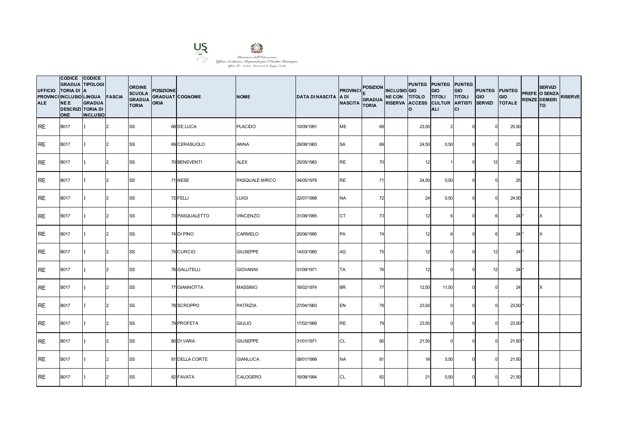

| <b>UFFICIO</b><br><b>ALE</b> | CODICE CODICE<br><b>GRADUA TIPOLOGI</b><br><b>TORIA DI A</b><br>PROVINCI INCLUSIO LINGUA FASCIA<br><b>NEE</b><br><b>DESCRIZI TORIA DI</b><br><b>ONE</b> | <b>GRADUA</b><br><b>INCLUSIO</b> |               | <b>ORDINE</b><br><b>SCUOLA</b><br><b>GRADUA</b><br><b>TORIA</b> | <b>POSIZIONE</b><br><b>GRADUAT COGNOME</b><br><b>ORIA</b> |                | <b>NOME</b>     | <b>DATA DI NASCITA A DI</b> | <b>PROVINCI</b><br><b>NASCITA</b> | POSIZION INCLUSIO GIO<br>GRADUA NE CON TITOLO TITOLI<br><b>TORIA</b> | <b>PUNTEG PUNTEG PUNTEG</b><br>RISERVA ACCESS CULTUR ARTISTI<br>lo. | <b>GIO</b><br><b>ALI</b> | <b>GIO</b><br><b>TITOLI</b><br>СI | <b>PUNTEG</b> PUNTEG<br>GIO<br><b>SERVIZI</b> | GIO<br><b>TOTALE</b> | <b>SERVIZI</b><br>PREFE O SENZA<br><b>RENZE DEMERI</b><br><b>TO</b> | <b>RISERVE</b> |
|------------------------------|---------------------------------------------------------------------------------------------------------------------------------------------------------|----------------------------------|---------------|-----------------------------------------------------------------|-----------------------------------------------------------|----------------|-----------------|-----------------------------|-----------------------------------|----------------------------------------------------------------------|---------------------------------------------------------------------|--------------------------|-----------------------------------|-----------------------------------------------|----------------------|---------------------------------------------------------------------|----------------|
| <b>IRE</b>                   | <b>B017</b>                                                                                                                                             |                                  | 2             | <b>SS</b>                                                       |                                                           | 68 DE LUCA     | <b>PLACIDO</b>  | 10/09/1991                  | <b>ME</b>                         | 68                                                                   | 23,50                                                               |                          |                                   |                                               | 25,50                |                                                                     |                |
| <b>RE</b>                    | <b>B017</b>                                                                                                                                             |                                  | $\mathcal{P}$ | <b>SS</b>                                                       |                                                           | 69 CERASUOLO   | <b>ANNA</b>     | 29/08/1983                  | <b>SA</b>                         | 69                                                                   | 24,50                                                               | 0,50                     |                                   |                                               | 25                   |                                                                     |                |
| <b>RE</b>                    | <b>B017</b>                                                                                                                                             |                                  | $\mathcal{D}$ | SS                                                              |                                                           | 70 BENEVENTI   | <b>ALEX</b>     | 25/05/1983                  | <b>RE</b>                         | 70                                                                   | 12                                                                  |                          |                                   | 12                                            | 25                   |                                                                     |                |
| IRE.                         | <b>B017</b>                                                                                                                                             |                                  | $\mathcal{P}$ | SS                                                              |                                                           | 71 NESE        | PASQUALE MIRCO  | 04/05/1978                  | <b>RE</b>                         | 71                                                                   | 24,50                                                               | 0,50                     |                                   |                                               | 25                   |                                                                     |                |
| <b>RE</b>                    | <b>B017</b>                                                                                                                                             |                                  | $\mathcal{D}$ | <b>SS</b>                                                       |                                                           | 72 FELLI       | <b>LUIGI</b>    | 22/07/1998                  | <b>NA</b>                         | 72                                                                   | 24                                                                  | 0,50                     |                                   |                                               | 24,50                |                                                                     |                |
| <b>RE</b>                    | <b>B017</b>                                                                                                                                             |                                  | $\mathcal{D}$ | <b>SS</b>                                                       |                                                           | 73 PASQUALETTO | <b>VINCENZO</b> | 31/08/1995                  | CT                                | 73                                                                   | 12                                                                  |                          |                                   |                                               | $24*$                | ΙX                                                                  |                |
| <b>IRE</b>                   | <b>B017</b>                                                                                                                                             |                                  | $\mathcal{P}$ | <b>SS</b>                                                       |                                                           | 74 DI PINO     | CARMELO         | 20/06/1995                  | PA                                | 74                                                                   | 12                                                                  |                          |                                   |                                               | 24                   | X                                                                   |                |
| RE                           | <b>B017</b>                                                                                                                                             |                                  | $\mathcal{D}$ | <b>SS</b>                                                       |                                                           | 75 CURCIO      | <b>GIUSEPPE</b> | 14/03/1985                  | AG                                | 75                                                                   | 12                                                                  |                          |                                   | 12                                            | $24*$                |                                                                     |                |
| <b>RE</b>                    | <b>B017</b>                                                                                                                                             |                                  |               | <b>SS</b>                                                       |                                                           | 76 GALLITELLI  | <b>GIOVANNI</b> | 01/09/1971                  | <b>TA</b>                         | 76                                                                   | 12                                                                  |                          |                                   | 12                                            | $24*$                |                                                                     |                |
| <b>RE</b>                    | <b>B017</b>                                                                                                                                             |                                  | $\mathcal{P}$ | <b>SS</b>                                                       |                                                           | 77 GIANNOTTA   | <b>MASSIMO</b>  | 16/02/1974                  | <b>BR</b>                         | 77                                                                   | 12,50                                                               | 11,50                    |                                   |                                               | 24                   | ΙX                                                                  |                |
| <b>IRE</b>                   | <b>B017</b>                                                                                                                                             |                                  | $\mathcal{D}$ | <b>SS</b>                                                       |                                                           | 78 SCROPPO     | <b>PATRIZIA</b> | 27/04/1983                  | EN                                | 78                                                                   | 23,50                                                               |                          |                                   |                                               | 23,50'               |                                                                     |                |
| IRE.                         | <b>B017</b>                                                                                                                                             |                                  |               | <b>SS</b>                                                       |                                                           | 79 PROFETA     | <b>GIULIO</b>   | 17/02/1989                  | <b>RE</b>                         | 79                                                                   | 23,50                                                               |                          |                                   |                                               | 23,50'               |                                                                     |                |
| <b>RE</b>                    | <b>B017</b>                                                                                                                                             |                                  | $\mathcal{P}$ | <b>SS</b>                                                       |                                                           | 80 DI VARA     | <b>GIUSEPPE</b> | 31/01/1971                  | CL                                | 80                                                                   | 21,50                                                               |                          | $\Omega$                          |                                               | $21,50$ *            |                                                                     |                |
| RE                           | <b>B017</b>                                                                                                                                             |                                  | 2             | <b>SS</b>                                                       |                                                           | 81 DELLA CORTE | <b>GIANLUCA</b> | 08/01/1998                  | <b>NA</b>                         | 81                                                                   | 16                                                                  | 5,50                     |                                   |                                               | 21,50                |                                                                     |                |
| <b>RE</b>                    | <b>B017</b>                                                                                                                                             |                                  |               | SS                                                              |                                                           | 82 FAVATA      | CALOGERO        | 16/08/1994                  | CL                                | 82                                                                   | 21                                                                  | 0,50                     |                                   |                                               | 21,50                |                                                                     |                |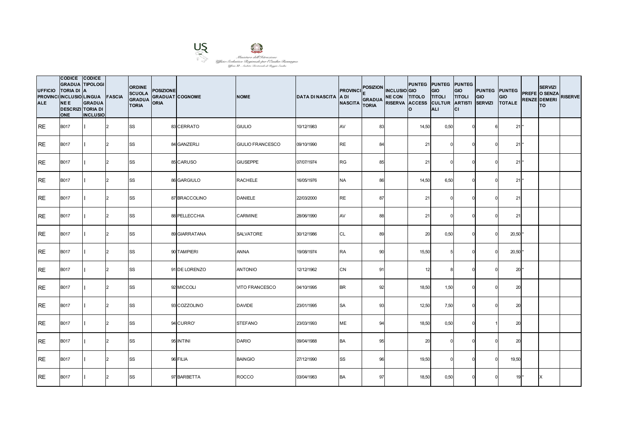

| <b>UFFICIO</b><br><b>ALE</b> | CODICE CODICE<br><b>GRADUA TIPOLOGI</b><br><b>TORIA DI A</b><br>PROVINCI INCLUSIO LINGUA FASCIA<br><b>NEE</b><br><b>DESCRIZI TORIA DI</b><br><b>ONE</b> | <b>GRADUA</b><br><b>INCLUSIO</b> |               | <b>ORDINE</b><br><b>SCUOLA</b><br><b>GRADUA</b><br><b>TORIA</b> | <b>POSIZIONE</b><br><b>GRADUAT COGNOME</b><br><b>ORIA</b> |               | <b>NOME</b>             | <b>DATA DI NASCITA A DI</b> | <b>PROVINCI</b><br><b>NASCITA</b> | POSIZION INCLUSIO GIO<br><b>GRADUA</b><br><b>TORIA</b> | NE CON TITOLO TITOLI<br>RISERVA ACCESS CULTUR ARTISTI | <b>PUNTEG PUNTEG PUNTEG</b><br>lo. | <b>GIO</b><br><b>ALI</b> | <b>GIO</b><br><b>TITOLI</b><br>lcı | <b>PUNTEG</b> PUNTEG<br>GIO<br><b>SERVIZI</b> | GIO<br><b>TOTALE</b> | <b>SERVIZI</b><br>PREFE O SENZA<br><b>RENZE DEMERI</b><br><b>TO</b> | <b>RISERVE</b> |
|------------------------------|---------------------------------------------------------------------------------------------------------------------------------------------------------|----------------------------------|---------------|-----------------------------------------------------------------|-----------------------------------------------------------|---------------|-------------------------|-----------------------------|-----------------------------------|--------------------------------------------------------|-------------------------------------------------------|------------------------------------|--------------------------|------------------------------------|-----------------------------------------------|----------------------|---------------------------------------------------------------------|----------------|
| IRE.                         | <b>B017</b>                                                                                                                                             |                                  | 2             | <b>SS</b>                                                       |                                                           | 83 CERRATO    | <b>GIULIO</b>           | 10/12/1983                  | AV                                | 83                                                     |                                                       | 14,50                              | 0,50                     | U                                  |                                               | $21*$                |                                                                     |                |
| <b>RE</b>                    | <b>B017</b>                                                                                                                                             |                                  | $\mathcal{P}$ | <b>SS</b>                                                       |                                                           | 84 GANZERLI   | <b>GIULIO FRANCESCO</b> | 09/10/1990                  | <b>RE</b>                         | 84                                                     |                                                       | 21                                 |                          |                                    |                                               | 21                   |                                                                     |                |
| <b>RE</b>                    | <b>B017</b>                                                                                                                                             |                                  | $\mathcal{D}$ | SS                                                              |                                                           | 85 CARUSO     | <b>GIUSEPPE</b>         | 07/07/1974                  | <b>RG</b>                         | 85                                                     |                                                       | 21                                 |                          |                                    |                                               | $21*$                |                                                                     |                |
| IRE.                         | <b>B017</b>                                                                                                                                             |                                  | $\mathcal{P}$ | SS                                                              |                                                           | 86 GARGIULO   | <b>RACHELE</b>          | 16/05/1976                  | <b>NA</b>                         | 86                                                     |                                                       | 14,50                              | 6,50                     |                                    |                                               | 21                   |                                                                     |                |
| <b>RE</b>                    | <b>B017</b>                                                                                                                                             |                                  | $\mathcal{D}$ | <b>SS</b>                                                       |                                                           | 87 BRACCOLINO | <b>DANIELE</b>          | 22/03/2000                  | <b>RE</b>                         | 87                                                     |                                                       | 21                                 |                          |                                    |                                               | 21                   |                                                                     |                |
| <b>RE</b>                    | <b>B017</b>                                                                                                                                             |                                  | $\mathcal{D}$ | <b>SS</b>                                                       |                                                           | 88 PELLECCHIA | CARMINE                 | 28/06/1990                  | AV                                | 88                                                     |                                                       | 21                                 |                          |                                    |                                               | 21                   |                                                                     |                |
| <b>IRE</b>                   | <b>B017</b>                                                                                                                                             |                                  | $\mathcal{P}$ | <b>SS</b>                                                       |                                                           | 89 GIARRATANA | <b>SALVATORE</b>        | 30/12/1986                  | <b>CL</b>                         | 89                                                     |                                                       | 20                                 | 0,50                     | $\Omega$                           |                                               | $20,50$ *            |                                                                     |                |
| RE                           | <b>B017</b>                                                                                                                                             |                                  | $\mathcal{D}$ | <b>SS</b>                                                       |                                                           | 90 TAMPIERI   | <b>ANNA</b>             | 19/08/1974                  | <b>RA</b>                         | 90                                                     |                                                       | 15,50                              |                          |                                    |                                               | $20,50$ *            |                                                                     |                |
| <b>RE</b>                    | <b>B017</b>                                                                                                                                             |                                  |               | <b>SS</b>                                                       |                                                           | 91 DE LORENZO | <b>ANTONIO</b>          | 12/12/1962                  | CN                                | 91                                                     |                                                       | 12                                 |                          |                                    |                                               | $20*$                |                                                                     |                |
| <b>RE</b>                    | <b>B017</b>                                                                                                                                             |                                  | $\mathcal{P}$ | <b>SS</b>                                                       |                                                           | 92 MICCOLI    | VITO FRANCESCO          | 04/10/1995                  | <b>BR</b>                         | 92                                                     |                                                       | 18,50                              | 1,50                     |                                    |                                               | 20                   |                                                                     |                |
| <b>IRE</b>                   | <b>B017</b>                                                                                                                                             |                                  | $\mathcal{D}$ | <b>SS</b>                                                       |                                                           | 93 COZZOLINO  | <b>DAVIDE</b>           | 23/01/1995                  | <b>SA</b>                         | 93                                                     |                                                       | 12,50                              | 7,50                     |                                    |                                               | 20                   |                                                                     |                |
| <b>RE</b>                    | <b>B017</b>                                                                                                                                             |                                  |               | <b>SS</b>                                                       |                                                           | 94 CURRO'     | <b>STEFANO</b>          | 23/03/1993                  | ME                                | 94                                                     |                                                       | 18,50                              | 0,50                     |                                    |                                               | 20                   |                                                                     |                |
| <b>RE</b>                    | <b>B017</b>                                                                                                                                             |                                  | $\mathcal{P}$ | <b>SS</b>                                                       |                                                           | 95 INTINI     | <b>DARIO</b>            | 09/04/1988                  | <b>BA</b>                         | 95                                                     |                                                       | 20                                 |                          | $\Omega$                           |                                               | 20                   |                                                                     |                |
| RE                           | <b>B017</b>                                                                                                                                             |                                  | 2             | <b>SS</b>                                                       |                                                           | 96 FILIA      | <b>BAINGIO</b>          | 27/12/1990                  | SS                                | 96                                                     |                                                       | 19,50                              |                          |                                    |                                               | 19,50                |                                                                     |                |
| <b>RE</b>                    | <b>B017</b>                                                                                                                                             |                                  |               | SS                                                              |                                                           | 97 BARBETTA   | ROCCO                   | 03/04/1983                  | <b>BA</b>                         | 97                                                     |                                                       | 18,50                              | 0,50                     |                                    |                                               | $19*$                | X                                                                   |                |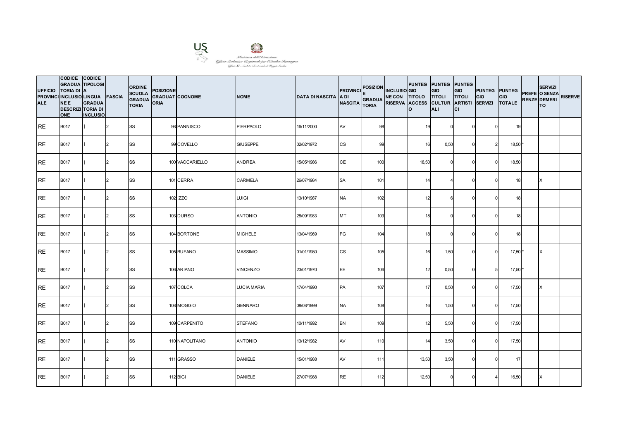

| <b>UFFICIO</b><br><b>ALE</b> | CODICE CODICE<br><b>GRADUA TIPOLOGI</b><br><b>TORIA DI A</b><br>PROVINCI INCLUSIO LINGUA FASCIA<br><b>NEE</b><br><b>DESCRIZI TORIA DI</b><br><b>ONE</b> | <b>GRADUA</b><br><b>INCLUSIO</b> |               | <b>ORDINE</b><br><b>SCUOLA</b><br><b>GRADUA</b><br><b>TORIA</b> | <b>POSIZIONE</b><br><b>GRADUAT COGNOME</b><br><b>ORIA</b> |                 | <b>NOME</b>        | <b>DATA DI NASCITA A DI</b> | <b>PROVINCI</b><br><b>NASCITA</b> | POSIZION INCLUSIO GIO<br>GRADUA NE CON TITOLO TITOLI<br><b>TORIA</b> | PUNTEG PUNTEG PUNTEG<br>RISERVA ACCESS CULTUR ARTISTI SERVIZI<br>lo. | <b>GIO</b><br><b>ALI</b> | <b>GIO</b><br><b>TITOLI</b><br>lcı | <b>PUNTEG</b> PUNTEG<br>GIO | GIO<br><b>TOTALE</b> | <b>SERVIZI</b><br>PREFE O SENZA<br><b>RENZE DEMERI</b><br><b>TO</b> | <b>RISERVE</b> |
|------------------------------|---------------------------------------------------------------------------------------------------------------------------------------------------------|----------------------------------|---------------|-----------------------------------------------------------------|-----------------------------------------------------------|-----------------|--------------------|-----------------------------|-----------------------------------|----------------------------------------------------------------------|----------------------------------------------------------------------|--------------------------|------------------------------------|-----------------------------|----------------------|---------------------------------------------------------------------|----------------|
| IRE.                         | <b>B017</b>                                                                                                                                             |                                  | I2            | <b>SS</b>                                                       |                                                           | 98 PANNISCO     | <b>PIERPAOLO</b>   | 16/11/2000                  | AV                                | 98                                                                   | 19                                                                   |                          |                                    |                             | 19                   |                                                                     |                |
| <b>RE</b>                    | <b>B017</b>                                                                                                                                             |                                  | $\mathcal{P}$ | <b>SS</b>                                                       |                                                           | 99 COVELLO      | <b>GIUSEPPE</b>    | 02/02/1972                  | CS                                | 99                                                                   | 16                                                                   | 0,50                     |                                    |                             | 18,50                |                                                                     |                |
| RE                           | <b>B017</b>                                                                                                                                             |                                  | $\mathcal{D}$ | <b>SS</b>                                                       |                                                           | 100 VACCARIELLO | <b>ANDREA</b>      | 15/05/1986                  | CE                                | 100                                                                  | 18,50                                                                |                          |                                    |                             | 18,50                |                                                                     |                |
| IRE.                         | <b>B017</b>                                                                                                                                             |                                  | 2             | <b>SS</b>                                                       |                                                           | 101 CERRA       | CARMELA            | 26/07/1984                  | <b>SA</b>                         | 101                                                                  | 14                                                                   |                          |                                    |                             | 18                   | X                                                                   |                |
| <b>RE</b>                    | <b>B017</b>                                                                                                                                             |                                  | $\mathcal{D}$ | <b>SS</b>                                                       |                                                           | 102 IZZO        | <b>LUIGI</b>       | 13/10/1987                  | <b>NA</b>                         | 102                                                                  | 12                                                                   |                          |                                    |                             | 18                   |                                                                     |                |
| RE                           | <b>B017</b>                                                                                                                                             |                                  | $\mathcal{D}$ | <b>SS</b>                                                       |                                                           | 103 DURSO       | <b>ANTONIO</b>     | 28/09/1983                  | MT                                | 103                                                                  | 18                                                                   |                          |                                    |                             | 18                   |                                                                     |                |
| <b>RE</b>                    | <b>B017</b>                                                                                                                                             |                                  | $\mathcal{D}$ | <b>SS</b>                                                       |                                                           | 104 BORTONE     | <b>MICHELE</b>     | 13/04/1969                  | FG                                | 104                                                                  | 18                                                                   |                          |                                    |                             | 18                   |                                                                     |                |
| <b>RE</b>                    | <b>B017</b>                                                                                                                                             |                                  | $\mathcal{D}$ | SS                                                              |                                                           | 105 BUFANO      | <b>MASSIMO</b>     | 01/01/1980                  | СS                                | 105                                                                  | 16                                                                   | 1,50                     |                                    |                             | $17,50*$             | X                                                                   |                |
| RE                           | <b>B017</b>                                                                                                                                             |                                  | $\mathcal{P}$ | <b>SS</b>                                                       |                                                           | 106 ARIANO      | <b>VINCENZO</b>    | 23/01/1970                  | EE                                | 106                                                                  | 12                                                                   | 0,50                     |                                    |                             | 17,50 *              |                                                                     |                |
| <b>RE</b>                    | <b>B017</b>                                                                                                                                             |                                  | $\mathcal{P}$ | SS                                                              |                                                           | 107 COLCA       | <b>LUCIA MARIA</b> | 17/04/1990                  | PA                                | 107                                                                  | 17                                                                   | 0,50                     | U                                  |                             | 17,50                | X                                                                   |                |
| <b>RE</b>                    | <b>B017</b>                                                                                                                                             |                                  | $\mathcal{L}$ | SS                                                              |                                                           | 108 MOGGIO      | <b>GENNARO</b>     | 08/08/1999                  | <b>NA</b>                         | 108                                                                  | 16                                                                   | 1,50                     |                                    |                             | 17,50                |                                                                     |                |
| RE                           | <b>B017</b>                                                                                                                                             |                                  |               | <b>SS</b>                                                       |                                                           | 109 CARPENITO   | <b>STEFANO</b>     | 10/11/1992                  | <b>BN</b>                         | 109                                                                  | 12                                                                   | 5,50                     |                                    |                             | 17,50                |                                                                     |                |
| <b>RE</b>                    | <b>B017</b>                                                                                                                                             |                                  | $\mathcal{P}$ | <b>SS</b>                                                       |                                                           | 110 NAPOLITANO  | <b>ANTONIO</b>     | 13/12/1982                  | AV                                | 110                                                                  | 14                                                                   | 3,50                     | $\Omega$                           |                             | 17,50                |                                                                     |                |
| <b>RE</b>                    | <b>B017</b>                                                                                                                                             |                                  | $\mathcal{D}$ | SS                                                              |                                                           | 111 GRASSO      | <b>DANIELE</b>     | 15/01/1988                  | AV                                | 111                                                                  | 13,50                                                                | 3,50                     |                                    |                             | 17                   |                                                                     |                |
| <b>IRE</b>                   | <b>B017</b>                                                                                                                                             |                                  |               | <b>SS</b>                                                       |                                                           | 112 BIGI        | <b>DANIELE</b>     | 27/07/1988                  | <b>RE</b>                         | 112                                                                  | 12,50                                                                |                          |                                    |                             | 16,50                | X                                                                   |                |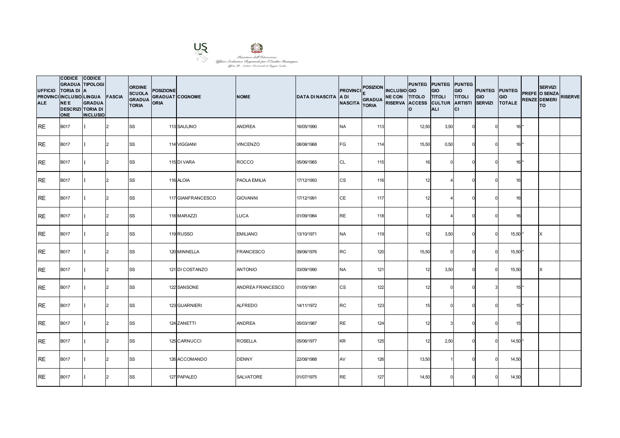

| <b>UFFICIO</b><br><b>ALE</b> | CODICE CODICE<br><b>GRADUA TIPOLOGI</b><br><b>TORIA DI A</b><br>PROVINCI INCLUSIO LINGUA FASCIA<br><b>NEE</b><br><b>DESCRIZI TORIA DI</b><br><b>ONE</b> | <b>GRADUA</b><br><b>INCLUSIO</b> |                | <b>ORDINE</b><br><b>SCUOLA</b><br><b>GRADUA</b><br><b>TORIA</b> | <b>POSIZIONE</b><br><b>GRADUAT COGNOME</b><br><b>ORIA</b> |                   | <b>NOME</b>      | <b>DATA DI NASCITA A DI</b> | <b>PROVINCI</b><br><b>NASCITA</b> | POSIZION INCLUSIO GIO<br>GRADUA NE CON TITOLO TITOLI<br><b>TORIA</b> | PUNTEG PUNTEG PUNTEG<br>RISERVA ACCESS CULTUR ARTISTI SERVIZI<br>Ιo | <b>GIO</b><br><b>ALI</b> | <b>GIO</b><br><b>TITOLI</b><br>lcı | <b>PUNTEG</b> PUNTEG<br>GIO | GIO<br><b>TOTALE</b> | <b>SERVIZI</b><br>PREFE O SENZA<br><b>RENZE DEMERI</b><br><b>TO</b> | <b>RISERVE</b> |
|------------------------------|---------------------------------------------------------------------------------------------------------------------------------------------------------|----------------------------------|----------------|-----------------------------------------------------------------|-----------------------------------------------------------|-------------------|------------------|-----------------------------|-----------------------------------|----------------------------------------------------------------------|---------------------------------------------------------------------|--------------------------|------------------------------------|-----------------------------|----------------------|---------------------------------------------------------------------|----------------|
| <b>IRE</b>                   | <b>B017</b>                                                                                                                                             |                                  | 2              | <b>SS</b>                                                       |                                                           | 113 SAULINO       | <b>ANDREA</b>    | 16/05/1990                  | <b>NA</b>                         | 113                                                                  | 12,50                                                               | 3,50                     | $\Omega$                           |                             | $16*$                |                                                                     |                |
| <b>RE</b>                    | <b>B017</b>                                                                                                                                             |                                  | $\mathcal{P}$  | <b>SS</b>                                                       |                                                           | 114 VIGGIANI      | <b>VINCENZO</b>  | 08/08/1968                  | FG                                | 114                                                                  | 15,50                                                               | 0,50                     |                                    |                             | $16*$                |                                                                     |                |
| RE                           | <b>B017</b>                                                                                                                                             |                                  | $\mathcal{D}$  | <b>SS</b>                                                       |                                                           | 115 DI VARA       | ROCCO            | 05/06/1965                  | CL                                | 115                                                                  | 16                                                                  |                          |                                    |                             | $16*$                |                                                                     |                |
| <b>RE</b>                    | <b>B017</b>                                                                                                                                             |                                  | $\overline{2}$ | <b>SS</b>                                                       |                                                           | 116 ALOIA         | PAOLA EMILIA     | 17/12/1993                  | <b>CS</b>                         | 116                                                                  | 12                                                                  |                          |                                    |                             | 16                   |                                                                     |                |
| <b>IRE</b>                   | <b>B017</b>                                                                                                                                             |                                  | $\mathcal{P}$  | <b>SS</b>                                                       |                                                           | 117 GIANFRANCESCO | <b>GIOVANNI</b>  | 17/12/1991                  | CE                                | 117                                                                  | 12                                                                  |                          |                                    |                             | 16                   |                                                                     |                |
| RE                           | <b>B017</b>                                                                                                                                             |                                  | $\mathcal{D}$  | <b>SS</b>                                                       |                                                           | 118 MARAZZI       | <b>LUCA</b>      | 01/09/1984                  | <b>RE</b>                         | 118                                                                  | 12                                                                  |                          |                                    |                             | 16                   |                                                                     |                |
| <b>RE</b>                    | <b>B017</b>                                                                                                                                             |                                  | $\mathcal{P}$  | <b>SS</b>                                                       |                                                           | 119 RUSSO         | <b>EMILIANO</b>  | 13/10/1971                  | <b>NA</b>                         | 119                                                                  | 12                                                                  | 3,50                     | $\Omega$                           |                             | 15,50                | X                                                                   |                |
| RE                           | <b>B017</b>                                                                                                                                             |                                  | $\mathcal{D}$  | SS                                                              |                                                           | 120 MINNELLA      | <b>FRANCESCO</b> | 09/06/1976                  | RC                                | 120                                                                  | 15,50                                                               |                          |                                    |                             | 15,50 *              |                                                                     |                |
| <b>RE</b>                    | <b>B017</b>                                                                                                                                             |                                  |                | <b>SS</b>                                                       |                                                           | 121 DI COSTANZO   | <b>ANTONIO</b>   | 03/09/1990                  | NA                                | 121                                                                  | 12                                                                  | 3,50                     |                                    |                             | 15,50                | X                                                                   |                |
| <b>IRE</b>                   | <b>B017</b>                                                                                                                                             |                                  | $\mathcal{P}$  | <b>SS</b>                                                       |                                                           | 122 SANSONE       | ANDREA FRANCESCO | 01/05/1981                  | CS                                | 122                                                                  | 12                                                                  |                          |                                    |                             | $15$ <sup>*</sup>    |                                                                     |                |
| RE                           | <b>B017</b>                                                                                                                                             |                                  | $\mathcal{L}$  | <b>SS</b>                                                       |                                                           | 123 GUARNIERI     | <b>ALFREDO</b>   | 14/11/1972                  | <b>RC</b>                         | 123                                                                  | 15                                                                  |                          |                                    |                             | $15$ <sup>*</sup>    |                                                                     |                |
| RE                           | <b>B017</b>                                                                                                                                             |                                  |                | <b>SS</b>                                                       |                                                           | 124 ZANETTI       | <b>ANDREA</b>    | 05/03/1987                  | <b>RE</b>                         | 124                                                                  | 12                                                                  |                          |                                    |                             | 15                   |                                                                     |                |
| <b>RE</b>                    | <b>B017</b>                                                                                                                                             |                                  | $\mathcal{D}$  | <b>SS</b>                                                       |                                                           | 125 CARNUCCI      | <b>ROSELLA</b>   | 05/06/1977                  | KR                                | 125                                                                  | 12                                                                  | 2,50                     | $\Omega$                           |                             | $14,50$ *            |                                                                     |                |
| <b>RE</b>                    | <b>B017</b>                                                                                                                                             |                                  | 2              | <b>SS</b>                                                       |                                                           | 126 ACCOMANDO     | <b>DENNY</b>     | 22/08/1988                  | AV                                | 126                                                                  | 13,50                                                               |                          | $\Omega$                           |                             | 14,50                |                                                                     |                |
| <b>RE</b>                    | <b>B017</b>                                                                                                                                             |                                  |                | <b>SS</b>                                                       |                                                           | 127 PAPALEO       | <b>SALVATORE</b> | 01/07/1975                  | <b>RE</b>                         | 127                                                                  | 14,50                                                               |                          |                                    |                             | 14,50                |                                                                     |                |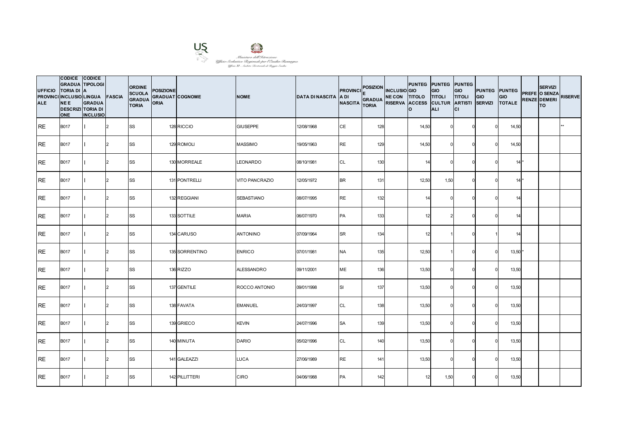

| <b>UFFICIO</b><br><b>ALE</b> | CODICE CODICE<br><b>GRADUA TIPOLOGI</b><br><b>TORIA DI A</b><br>PROVINCI INCLUSIO LINGUA FASCIA<br><b>NEE</b><br><b>DESCRIZI TORIA DI</b><br><b>ONE</b> | <b>GRADUA</b><br><b>INCLUSIO</b> |                | <b>ORDINE</b><br><b>SCUOLA</b><br><b>GRADUA</b><br><b>TORIA</b> | <b>POSIZIONE</b><br><b>GRADUAT COGNOME</b><br><b>ORIA</b> |                | <b>NOME</b>       | <b>DATA DI NASCITA A DI</b> | <b>PROVINCI</b><br><b>NASCITA</b> | POSIZION INCLUSIO GIO<br>GRADUA NE CON TITOLO TITOLI<br><b>TORIA</b> | PUNTEG PUNTEG PUNTEG<br>RISERVA ACCESS CULTUR ARTISTI SERVIZI<br>Ιo | <b>GIO</b><br><b>ALI</b> | <b>GIO</b><br><b>TITOLI</b><br>lcı | <b>PUNTEG</b> PUNTEG<br>GIO | GIO<br><b>TOTALE</b> | <b>SERVIZI</b><br>PREFE O SENZA<br><b>RENZE DEMERI</b><br><b>TO</b> | <b>RISERVE</b> |
|------------------------------|---------------------------------------------------------------------------------------------------------------------------------------------------------|----------------------------------|----------------|-----------------------------------------------------------------|-----------------------------------------------------------|----------------|-------------------|-----------------------------|-----------------------------------|----------------------------------------------------------------------|---------------------------------------------------------------------|--------------------------|------------------------------------|-----------------------------|----------------------|---------------------------------------------------------------------|----------------|
| <b>IRE</b>                   | <b>B017</b>                                                                                                                                             |                                  | 2              | <b>SS</b>                                                       |                                                           | 128 RICCIO     | <b>GIUSEPPE</b>   | 12/08/1968                  | CE                                | 128                                                                  | 14,50                                                               |                          |                                    |                             | 14,50                |                                                                     |                |
| <b>RE</b>                    | <b>B017</b>                                                                                                                                             |                                  | $\mathcal{P}$  | <b>SS</b>                                                       |                                                           | 129 ROMOLI     | <b>MASSIMO</b>    | 19/05/1963                  | <b>RE</b>                         | 129                                                                  | 14,50                                                               |                          |                                    |                             | 14,50                |                                                                     |                |
| <b>RE</b>                    | <b>B017</b>                                                                                                                                             |                                  | $\mathcal{D}$  | <b>SS</b>                                                       |                                                           | 130 MORREALE   | <b>LEONARDO</b>   | 08/10/1981                  | CL                                | 130                                                                  | 14                                                                  |                          |                                    |                             | $14*$                |                                                                     |                |
| <b>RE</b>                    | <b>B017</b>                                                                                                                                             |                                  | $\overline{2}$ | <b>SS</b>                                                       |                                                           | 131 PONTRELLI  | VITO PANCRAZIO    | 12/05/1972                  | <b>BR</b>                         | 131                                                                  | 12,50                                                               | 1,50                     |                                    |                             | $14*$                |                                                                     |                |
| <b>IRE</b>                   | <b>B017</b>                                                                                                                                             |                                  | $\mathcal{P}$  | <b>SS</b>                                                       |                                                           | 132 REGGIANI   | <b>SEBASTIANO</b> | 08/07/1995                  | <b>RE</b>                         | 132                                                                  | 14                                                                  |                          |                                    |                             | 14                   |                                                                     |                |
| RE                           | <b>B017</b>                                                                                                                                             |                                  | $\mathcal{P}$  | <b>SS</b>                                                       |                                                           | 133 SOTTILE    | <b>MARIA</b>      | 06/07/1970                  | PA                                | 133                                                                  | 12                                                                  |                          |                                    |                             | 14                   |                                                                     |                |
| <b>RE</b>                    | <b>B017</b>                                                                                                                                             |                                  | $\mathcal{P}$  | SS                                                              |                                                           | 134 CARUSO     | <b>ANTONINO</b>   | 07/09/1964                  | <b>SR</b>                         | 134                                                                  | 12                                                                  |                          | U                                  |                             | 14                   |                                                                     |                |
| RE                           | <b>B017</b>                                                                                                                                             |                                  | $\mathcal{D}$  | SS                                                              |                                                           | 135 SORRENTINO | <b>ENRICO</b>     | 07/01/1981                  | NA                                | 135                                                                  | 12,50                                                               |                          |                                    |                             | $13,50$ *            |                                                                     |                |
| <b>RE</b>                    | <b>B017</b>                                                                                                                                             |                                  |                | SS                                                              |                                                           | 136 RIZZO      | ALESSANDRO        | 09/11/2001                  | ME                                | 136                                                                  | 13,50                                                               |                          |                                    |                             | 13,50                |                                                                     |                |
| <b>IRE</b>                   | <b>B017</b>                                                                                                                                             |                                  | $\mathcal{P}$  | <b>SS</b>                                                       |                                                           | 137 GENTILE    | ROCCO ANTONIO     | 09/01/1998                  | lsı                               | 137                                                                  | 13,50                                                               |                          | $\Omega$                           |                             | 13,50                |                                                                     |                |
| RE                           | <b>B017</b>                                                                                                                                             |                                  | $\mathcal{P}$  | <b>SS</b>                                                       |                                                           | 138 FAVATA     | <b>EMANUEL</b>    | 24/03/1997                  | CL                                | 138                                                                  | 13,50                                                               |                          |                                    |                             | 13,50                |                                                                     |                |
| <b>RE</b>                    | <b>B017</b>                                                                                                                                             |                                  |                | <b>SS</b>                                                       |                                                           | 139 GRIECO     | <b>KEVIN</b>      | 24/07/1996                  | <b>SA</b>                         | 139                                                                  | 13,50                                                               |                          |                                    |                             | 13,50                |                                                                     |                |
| <b>RE</b>                    | <b>B017</b>                                                                                                                                             |                                  | $\mathcal{D}$  | <b>SS</b>                                                       |                                                           | 140 MINUTA     | <b>DARIO</b>      | 05/02/1996                  | CL                                | 140                                                                  | 13,50                                                               |                          | $\Omega$                           |                             | 13,50                |                                                                     |                |
| <b>RE</b>                    | <b>B017</b>                                                                                                                                             |                                  | 2              | <b>SS</b>                                                       |                                                           | 141 GALEAZZI   | LUCA              | 27/06/1989                  | <b>RE</b>                         | 141                                                                  | 13,50                                                               |                          | $\Omega$                           |                             | 13,50                |                                                                     |                |
| <b>RE</b>                    | <b>B017</b>                                                                                                                                             |                                  | $\mathcal{D}$  | <b>SS</b>                                                       |                                                           | 142 PILLITTERI | <b>CIRO</b>       | 04/06/1988                  | PA                                | 142                                                                  | 12                                                                  | 1,50                     |                                    |                             | 13,50                |                                                                     |                |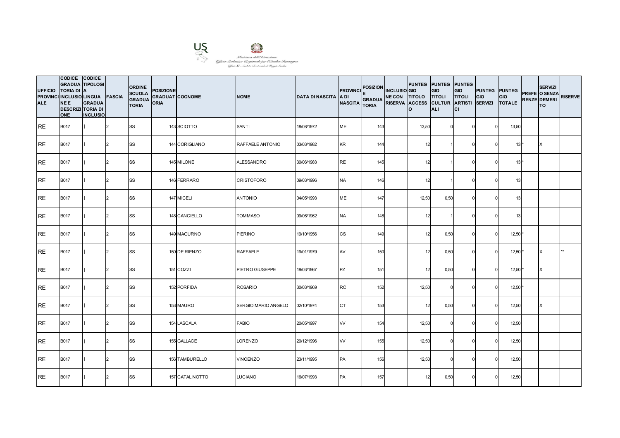

| <b>UFFICIO</b><br><b>ALE</b> | CODICE CODICE<br><b>GRADUA TIPOLOGI</b><br><b>TORIA DI A</b><br>PROVINCI INCLUSIO LINGUA FASCIA<br><b>NEE</b><br><b>DESCRIZI TORIA DI</b><br><b>ONE</b> | <b>GRADUA</b><br><b>INCLUSIO</b> |               | <b>ORDINE</b><br><b>SCUOLA</b><br><b>GRADUA</b><br><b>TORIA</b> | <b>POSIZIONE</b><br><b>GRADUAT COGNOME</b><br><b>ORIA</b> |                 | <b>NOME</b>         | <b>DATA DI NASCITA A DI</b> | <b>PROVINCI</b><br><b>NASCITA</b> | POSIZION INCLUSIO GIO<br>GRADUA NE CON TITOLO TITOLI<br><b>TORIA</b> | <b>PUNTEG PUNTEG PUNTEG</b><br>RISERVA ACCESS CULTUR ARTISTI SERVIZI<br>lo. | <b>GIO</b><br><b>ALI</b> | <b>GIO</b><br><b>TITOLI</b><br>СI | <b>PUNTEG</b> PUNTEG<br>GIO | <b>GIO</b><br><b>TOTALE</b> | <b>SERVIZI</b><br>PREFE O SENZA<br><b>RENZE DEMERI</b><br><b>TO</b> | <b>RISERVE</b> |
|------------------------------|---------------------------------------------------------------------------------------------------------------------------------------------------------|----------------------------------|---------------|-----------------------------------------------------------------|-----------------------------------------------------------|-----------------|---------------------|-----------------------------|-----------------------------------|----------------------------------------------------------------------|-----------------------------------------------------------------------------|--------------------------|-----------------------------------|-----------------------------|-----------------------------|---------------------------------------------------------------------|----------------|
| <b>IRE</b>                   | <b>B017</b>                                                                                                                                             |                                  | 2             | <b>SS</b>                                                       |                                                           | 143 SCIOTTO     | SANTI               | 18/08/1972                  | ME                                | 143                                                                  | 13,50                                                                       |                          |                                   |                             | 13,50                       |                                                                     |                |
| <b>RE</b>                    | <b>B017</b>                                                                                                                                             |                                  | $\mathcal{D}$ | <b>SS</b>                                                       |                                                           | 144 CORIGLIANO  | RAFFAELE ANTONIO    | 03/03/1982                  | KR                                | 144                                                                  | 12                                                                          |                          |                                   |                             | $13*$                       | X                                                                   |                |
| <b>IRE</b>                   | <b>B017</b>                                                                                                                                             |                                  | $\mathcal{D}$ | SS                                                              |                                                           | 145 MILONE      | ALESSANDRO          | 30/06/1983                  | <b>RE</b>                         | 145                                                                  | 12                                                                          |                          |                                   |                             | $13*$                       |                                                                     |                |
| IRE.                         | <b>B017</b>                                                                                                                                             |                                  | $\mathcal{P}$ | <b>SS</b>                                                       |                                                           | 146 FERRARO     | <b>CRISTOFORO</b>   | 09/03/1996                  | <b>NA</b>                         | 146                                                                  | 12                                                                          |                          |                                   |                             | 13                          |                                                                     |                |
| <b>RE</b>                    | <b>B017</b>                                                                                                                                             |                                  | $\mathcal{D}$ | <b>SS</b>                                                       |                                                           | 147 MICELI      | <b>ANTONIO</b>      | 04/05/1993                  | ME                                | 147                                                                  | 12,50                                                                       | 0,50                     |                                   |                             | 13                          |                                                                     |                |
| <b>RE</b>                    | <b>B017</b>                                                                                                                                             |                                  | $\mathcal{D}$ | <b>SS</b>                                                       |                                                           | 148 CANCIELLO   | <b>TOMMASO</b>      | 09/06/1962                  | <b>NA</b>                         | 148                                                                  | 12                                                                          |                          |                                   |                             | 13                          |                                                                     |                |
| <b>IRE</b>                   | <b>B017</b>                                                                                                                                             |                                  | $\mathcal{P}$ | <b>SS</b>                                                       |                                                           | 149 MAGURNO     | <b>PIERINO</b>      | 19/10/1956                  | <b>CS</b>                         | 149                                                                  | 12                                                                          | 0,50                     | $\Omega$                          |                             | $12,50$ *                   |                                                                     |                |
| <b>I</b> RE                  | <b>B017</b>                                                                                                                                             |                                  | $\mathcal{D}$ | SS                                                              |                                                           | 150 DE RIENZO   | <b>RAFFAELE</b>     | 19/01/1979                  | AV                                | 150                                                                  | 12                                                                          | 0,50                     |                                   |                             | $12,50$ *                   | X                                                                   |                |
| <b>RE</b>                    | <b>B017</b>                                                                                                                                             |                                  |               | <b>SS</b>                                                       |                                                           | 151 COZZI       | PIETRO GIUSEPPE     | 19/03/1967                  | PZ                                | 151                                                                  | 12                                                                          | 0,50                     |                                   |                             | $12,50$ *                   | X                                                                   |                |
| <b>RE</b>                    | <b>B017</b>                                                                                                                                             |                                  | $\mathcal{P}$ | <b>SS</b>                                                       |                                                           | 152 PORFIDA     | <b>ROSARIO</b>      | 30/03/1969                  | <b>RC</b>                         | 152                                                                  | 12,50                                                                       |                          |                                   |                             | $12,50$ *                   |                                                                     |                |
| <b>IRE</b>                   | <b>B017</b>                                                                                                                                             |                                  | $\mathcal{L}$ | <b>SS</b>                                                       |                                                           | 153 MAURO       | SERGIO MARIO ANGELO | 02/10/1974                  | <b>CT</b>                         | 153                                                                  | 12                                                                          | 0,50                     |                                   |                             | 12,50                       | X                                                                   |                |
| IRE.                         | <b>B017</b>                                                                                                                                             |                                  |               | <b>SS</b>                                                       |                                                           | 154 LASCALA     | <b>FABIO</b>        | 20/05/1997                  | W                                 | 154                                                                  | 12,50                                                                       |                          |                                   |                             | 12,50                       |                                                                     |                |
| <b>RE</b>                    | <b>B017</b>                                                                                                                                             |                                  | $\mathcal{P}$ | <b>SS</b>                                                       |                                                           | 155 GALLACE     | LORENZO             | 20/12/1996                  | <b>VV</b>                         | 155                                                                  | 12,50                                                                       |                          | $\Omega$                          |                             | 12,50                       |                                                                     |                |
| RE                           | <b>B017</b>                                                                                                                                             |                                  | 2             | <b>SS</b>                                                       |                                                           | 156 TAMBURELLO  | <b>VINCENZO</b>     | 23/11/1995                  | PA                                | 156                                                                  | 12,50                                                                       |                          |                                   |                             | 12,50                       |                                                                     |                |
| <b>RE</b>                    | <b>B017</b>                                                                                                                                             |                                  |               | <b>SS</b>                                                       |                                                           | 157 CATALINOTTO | <b>LUCIANO</b>      | 16/07/1993                  | PA                                | 157                                                                  | 12                                                                          | 0,50                     |                                   |                             | 12,50                       |                                                                     |                |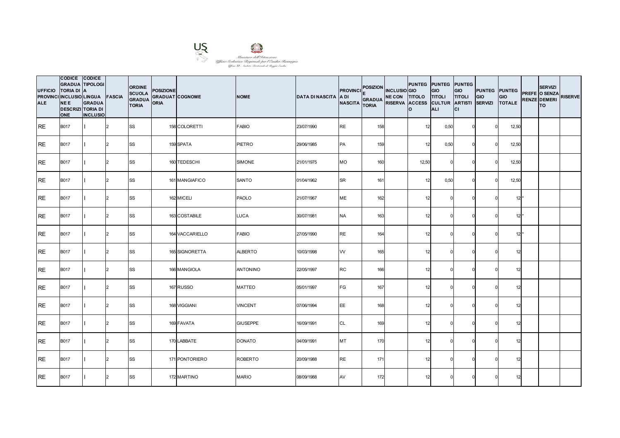

| <b>UFFICIO</b><br><b>ALE</b> | CODICE CODICE<br><b>GRADUA TIPOLOGI</b><br>TORIA DI A<br>PROVINCI INCLUSIO LINGUA FASCIA<br><b>NEE</b><br><b>DESCRIZI TORIA DI</b><br><b>ONE</b> | <b>GRADUA</b><br><b>INCLUSIO</b> |               | <b>ORDINE</b><br><b>SCUOLA</b><br><b>GRADUA</b><br><b>TORIA</b> | <b>POSIZIONE</b><br><b>GRADUAT COGNOME</b><br>ORIA |                 | <b>NOME</b>     | <b>DATA DI NASCITA A DI</b> | <b>PROVINCI</b><br>NASCITA TORIA | POSIZION INCLUSIO GIO<br>GRADUA NE CON TITOLO TITOLI | RISERVA ACCESS CULTUR ARTISTI SERVIZI | PUNTEG PUNTEG PUNTEG<br>lo. | <b>GIO</b><br><b>ALI</b> | <b>GIO</b><br><b>TITOLI</b><br>lcı | <b>PUNTEG PUNTEG</b><br>GIO | GIO<br><b>TOTALE</b> | <b>SERVIZI</b><br>PREFE O SENZA<br><b>RENZE DEMERI</b><br><b>TO</b> | <b>RISERVE</b> |
|------------------------------|--------------------------------------------------------------------------------------------------------------------------------------------------|----------------------------------|---------------|-----------------------------------------------------------------|----------------------------------------------------|-----------------|-----------------|-----------------------------|----------------------------------|------------------------------------------------------|---------------------------------------|-----------------------------|--------------------------|------------------------------------|-----------------------------|----------------------|---------------------------------------------------------------------|----------------|
| <b>IRE</b>                   | <b>B017</b>                                                                                                                                      |                                  | I2            | <b>SS</b>                                                       |                                                    | 158 COLORETTI   | <b>FABIO</b>    | 23/07/1990                  | <b>RE</b>                        | 158                                                  |                                       | 12                          | 0,50                     | U                                  |                             | 12,50                |                                                                     |                |
| <b>RE</b>                    | <b>B017</b>                                                                                                                                      |                                  | $\mathcal{P}$ | <b>SS</b>                                                       |                                                    | 159 SPATA       | <b>PIETRO</b>   | 29/06/1985                  | PA                               | 159                                                  |                                       | 12                          | 0,50                     |                                    |                             | 12,50                |                                                                     |                |
| <b>RE</b>                    | <b>B017</b>                                                                                                                                      |                                  | $\mathcal{D}$ | SS                                                              |                                                    | 160 TEDESCHI    | <b>SIMONE</b>   | 21/01/1975                  | МO                               | 160                                                  |                                       | 12,50                       |                          |                                    |                             | 12,50                |                                                                     |                |
| IRE.                         | <b>B017</b>                                                                                                                                      |                                  | $\mathcal{P}$ | SS                                                              |                                                    | 161 MANGIAFICO  | SANTO           | 01/04/1962                  | <b>SR</b>                        | 161                                                  |                                       | 12                          | 0,50                     |                                    |                             | 12,50                |                                                                     |                |
| <b>RE</b>                    | <b>B017</b>                                                                                                                                      |                                  | $\mathcal{D}$ | <b>SS</b>                                                       |                                                    | 162 MICELI      | <b>PAOLO</b>    | 21/07/1967                  | ME                               | 162                                                  |                                       | 12                          |                          |                                    |                             | $12*$                |                                                                     |                |
| <b>RE</b>                    | <b>B017</b>                                                                                                                                      |                                  | $\mathcal{D}$ | <b>SS</b>                                                       |                                                    | 163 COSTABILE   | <b>LUCA</b>     | 30/07/1981                  | <b>NA</b>                        | 163                                                  |                                       | 12                          |                          |                                    |                             | $12*$                |                                                                     |                |
| <b>IRE</b>                   | <b>B017</b>                                                                                                                                      |                                  | $\mathcal{P}$ | <b>SS</b>                                                       |                                                    | 164 VACCARIELLO | <b>FABIO</b>    | 27/05/1990                  | <b>RE</b>                        | 164                                                  |                                       | 12                          |                          |                                    |                             | $12*$                |                                                                     |                |
| RE                           | <b>B017</b>                                                                                                                                      |                                  | $\mathcal{D}$ | <b>SS</b>                                                       |                                                    | 165 SIGNORETTA  | <b>ALBERTO</b>  | 10/03/1998                  | W                                | 165                                                  |                                       | 12                          |                          |                                    |                             | 12                   |                                                                     |                |
| <b>RE</b>                    | <b>B017</b>                                                                                                                                      |                                  |               | <b>SS</b>                                                       |                                                    | 166 MANGIOLA    | <b>ANTONINO</b> | 22/05/1997                  | RC                               | 166                                                  |                                       | 12                          |                          |                                    |                             | 12                   |                                                                     |                |
| <b>RE</b>                    | <b>B017</b>                                                                                                                                      |                                  | $\mathcal{P}$ | <b>SS</b>                                                       |                                                    | 167 RUSSO       | <b>MATTEO</b>   | 05/01/1997                  | FG                               | 167                                                  |                                       | 12                          |                          |                                    |                             | 12                   |                                                                     |                |
| <b>IRE</b>                   | <b>B017</b>                                                                                                                                      |                                  | $\mathcal{D}$ | <b>SS</b>                                                       |                                                    | 168 VIGGIANI    | <b>VINCENT</b>  | 07/06/1994                  | EE                               | 168                                                  |                                       | 12                          |                          |                                    |                             | 12                   |                                                                     |                |
| RE                           | <b>B017</b>                                                                                                                                      |                                  |               | <b>SS</b>                                                       |                                                    | 169 FAVATA      | <b>GIUSEPPE</b> | 16/09/1991                  | CL                               | 169                                                  |                                       | 12                          |                          |                                    |                             | 12                   |                                                                     |                |
| <b>RE</b>                    | <b>B017</b>                                                                                                                                      |                                  | $\mathcal{P}$ | <b>SS</b>                                                       |                                                    | 170 LABBATE     | <b>DONATO</b>   | 04/09/1991                  | MT                               | 170                                                  |                                       | 12                          |                          |                                    |                             | 12                   |                                                                     |                |
| RE                           | <b>B017</b>                                                                                                                                      |                                  | 2             | <b>SS</b>                                                       |                                                    | 171 PONTORIERO  | <b>ROBERTO</b>  | 20/09/1988                  | <b>RE</b>                        | 171                                                  |                                       | 12                          |                          |                                    |                             | 12                   |                                                                     |                |
| <b>RE</b>                    | <b>B017</b>                                                                                                                                      |                                  |               | <b>SS</b>                                                       |                                                    | 172 MARTINO     | <b>MARIO</b>    | 08/09/1988                  | AV                               | 172                                                  |                                       | 12                          |                          |                                    |                             | 12                   |                                                                     |                |